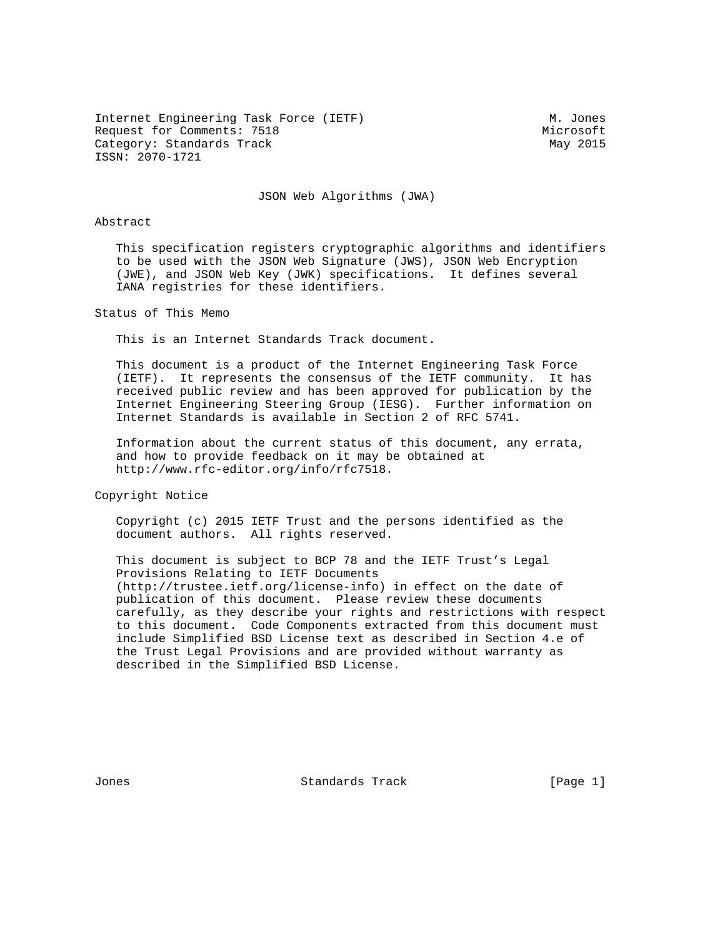Internet Engineering Task Force (IETF) M. Jones Request for Comments: 7518 Microsoft Category: Standards Track May 2015 ISSN: 2070-1721

JSON Web Algorithms (JWA)

#### Abstract

 This specification registers cryptographic algorithms and identifiers to be used with the JSON Web Signature (JWS), JSON Web Encryption (JWE), and JSON Web Key (JWK) specifications. It defines several IANA registries for these identifiers.

Status of This Memo

This is an Internet Standards Track document.

 This document is a product of the Internet Engineering Task Force (IETF). It represents the consensus of the IETF community. It has received public review and has been approved for publication by the Internet Engineering Steering Group (IESG). Further information on Internet Standards is available in Section 2 of RFC 5741.

 Information about the current status of this document, any errata, and how to provide feedback on it may be obtained at http://www.rfc-editor.org/info/rfc7518.

Copyright Notice

 Copyright (c) 2015 IETF Trust and the persons identified as the document authors. All rights reserved.

 This document is subject to BCP 78 and the IETF Trust's Legal Provisions Relating to IETF Documents (http://trustee.ietf.org/license-info) in effect on the date of publication of this document. Please review these documents carefully, as they describe your rights and restrictions with respect to this document. Code Components extracted from this document must include Simplified BSD License text as described in Section 4.e of the Trust Legal Provisions and are provided without warranty as described in the Simplified BSD License.

Jones Standards Track [Page 1]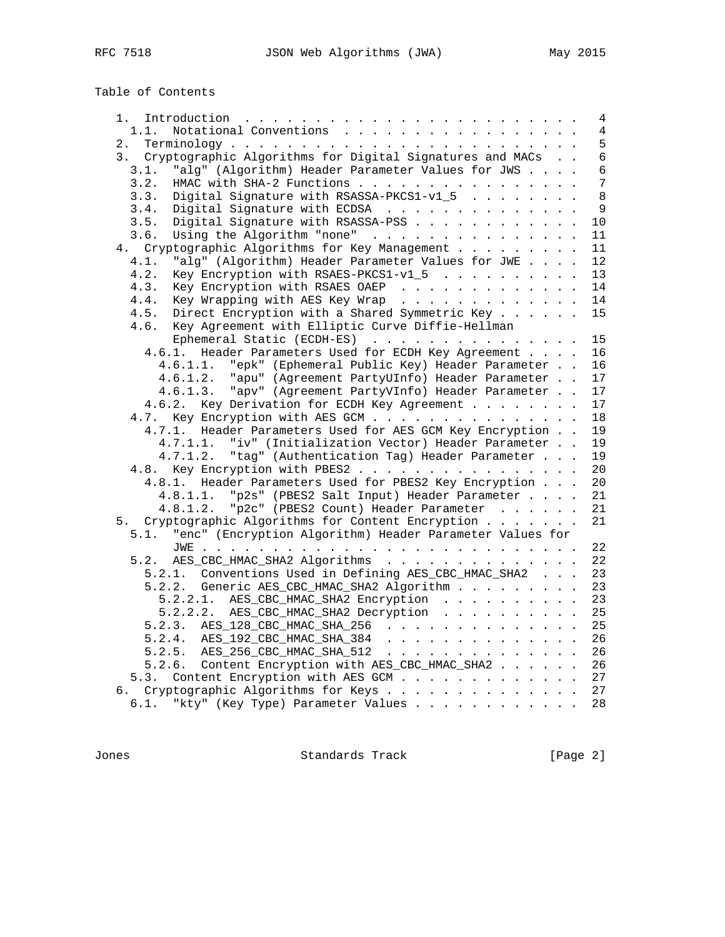Table of Contents

|                                                               | $\overline{4}$ |
|---------------------------------------------------------------|----------------|
| Notational Conventions<br>1.1.                                | 4              |
|                                                               | 5              |
| 3. Cryptographic Algorithms for Digital Signatures and MACs   | $6\phantom{a}$ |
| "alg" (Algorithm) Header Parameter Values for JWS<br>3.1.     | 6              |
| HMAC with SHA-2 Functions<br>3.2.                             | 7              |
| Digital Signature with RSASSA-PKCS1-v1_5<br>3.3.              | 8              |
| Digital Signature with ECDSA<br>3.4.                          | 9              |
| Digital Signature with RSASSA-PSS<br>3.5.                     | 10             |
| Using the Algorithm "none"<br>3.6.                            | 11             |
| 4. Cryptographic Algorithms for Key Management                | 11             |
| "alg" (Algorithm) Header Parameter Values for JWE<br>4.1.     | 12             |
| 4.2.<br>Key Encryption with RSAES-PKCS1-v1_5                  | 13             |
| Key Encryption with RSAES OAEP<br>4.3.                        | 14             |
| Key Wrapping with AES Key Wrap<br>4.4.                        | 14             |
| Direct Encryption with a Shared Symmetric Key<br>4.5.         | 15             |
| 4.6. Key Agreement with Elliptic Curve Diffie-Hellman         |                |
| Ephemeral Static (ECDH-ES)                                    | 15             |
| 4.6.1. Header Parameters Used for ECDH Key Agreement          | 16             |
| 4.6.1.1. "epk" (Ephemeral Public Key) Header Parameter        | 16             |
| 4.6.1.2. "apu" (Agreement PartyUInfo) Header Parameter        | 17             |
| 4.6.1.3. "apv" (Agreement PartyVInfo) Header Parameter        | 17             |
| 4.6.2. Key Derivation for ECDH Key Agreement                  | 17             |
| 4.7. Key Encryption with AES GCM                              | 18             |
| 4.7.1. Header Parameters Used for AES GCM Key Encryption      | 19             |
| "iv" (Initialization Vector) Header Parameter<br>4.7.1.1.     | 19             |
| 4.7.1.2. "tag" (Authentication Tag) Header Parameter          | 19             |
| 4.8. Key Encryption with PBES2                                | 20             |
| 4.8.1. Header Parameters Used for PBES2 Key Encryption        | 20             |
| 4.8.1.1. "p2s" (PBES2 Salt Input) Header Parameter            | 21             |
| 4.8.1.2. "p2c" (PBES2 Count) Header Parameter                 | 21             |
| 5. Cryptographic Algorithms for Content Encryption            | 21             |
| 5.1. "enc" (Encryption Algorithm) Header Parameter Values for |                |
|                                                               | 22             |
| 5.2. AES_CBC_HMAC_SHA2 Algorithms                             | 22             |
| 5.2.1. Conventions Used in Defining AES_CBC_HMAC_SHA2         | 23             |
| 5.2.2. Generic AES_CBC_HMAC_SHA2 Algorithm                    | 23             |
| 5.2.2.1. AES_CBC_HMAC_SHA2 Encryption                         | 23             |
| AES_CBC_HMAC_SHA2 Decryption<br>5.2.2.2.                      | 25             |
| 5.2.3. AES_128_CBC_HMAC_SHA_256                               | 25             |
| 5.2.4. AES_192_CBC_HMAC_SHA_384                               | 26             |
| 5.2.5. AES_256_CBC_HMAC_SHA_512                               | 26             |
| 5.2.6. Content Encryption with AES_CBC_HMAC_SHA2              | 26             |
| 5.3. Content Encryption with AES GCM                          | 27             |
| 6. Cryptographic Algorithms for Keys                          | 27             |
| 6.1. "kty" (Key Type) Parameter Values                        | 28             |

Jones Standards Track [Page 2]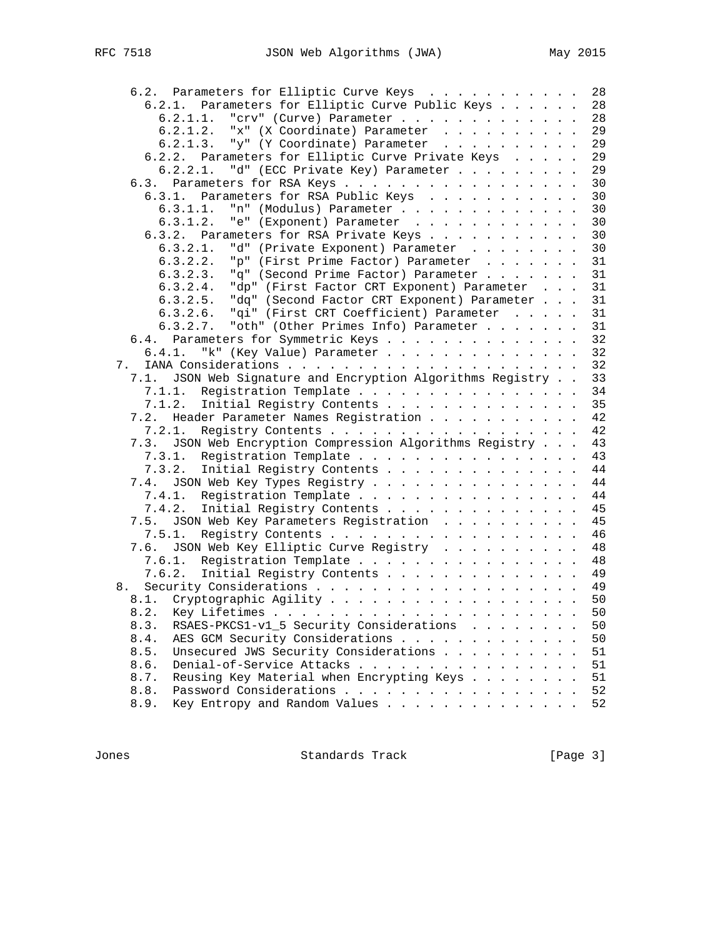| 6.2. Parameters for Elliptic Curve Keys                       | 28 |
|---------------------------------------------------------------|----|
| Parameters for Elliptic Curve Public Keys<br>6.2.1.           | 28 |
| "crv" (Curve) Parameter<br>6.2.1.1.                           | 28 |
| "x" (X Coordinate) Parameter<br>6.2.1.2.                      | 29 |
| 6.2.1.3.<br>"y" (Y Coordinate) Parameter                      | 29 |
| 6.2.2. Parameters for Elliptic Curve Private Keys             | 29 |
| 6.2.2.1.<br>"d" (ECC Private Key) Parameter                   | 29 |
| Parameters for RSA Keys<br>6.3.                               | 30 |
| 6.3.1.<br>Parameters for RSA Public Keys                      | 30 |
| "n" (Modulus) Parameter<br>6.3.1.1.                           | 30 |
| 6.3.1.2.<br>"e" (Exponent) Parameter                          | 30 |
| 6.3.2. Parameters for RSA Private Keys                        | 30 |
| 6.3.2.1.                                                      | 30 |
| "d" (Private Exponent) Parameter                              |    |
| 6.3.2.2.<br>"p" (First Prime Factor) Parameter                | 31 |
| "q" (Second Prime Factor) Parameter<br>6.3.2.3.               | 31 |
| "dp" (First Factor CRT Exponent) Parameter<br>6.3.2.4.        | 31 |
| "dq" (Second Factor CRT Exponent) Parameter<br>6.3.2.5.       | 31 |
| 6.3.2.6.<br>"qi" (First CRT Coefficient) Parameter            | 31 |
| "oth" (Other Primes Info) Parameter<br>6.3.2.7.               | 31 |
| Parameters for Symmetric Keys<br>6.4.                         | 32 |
| 6.4.1.<br>"k" (Key Value) Parameter                           | 32 |
| 7.                                                            | 32 |
| JSON Web Signature and Encryption Algorithms Registry<br>7.1. | 33 |
| 7.1.1.<br>Registration Template                               | 34 |
| Initial Registry Contents<br>7.1.2.                           | 35 |
| Header Parameter Names Registration<br>7.2.                   | 42 |
| 7.2.1.<br>Registry Contents                                   | 42 |
| 7.3. JSON Web Encryption Compression Algorithms Registry      | 43 |
| 7.3.1.<br>Registration Template                               | 43 |
| 7.3.2.<br>Initial Registry Contents                           | 44 |
| JSON Web Key Types Registry<br>7.4.                           | 44 |
| Registration Template<br>7.4.1.                               | 44 |
| 7.4.2.<br>Initial Registry Contents                           | 45 |
| 7.5. JSON Web Key Parameters Registration                     | 45 |
| 7.5.1.<br>Registry Contents                                   | 46 |
| 7.6. JSON Web Key Elliptic Curve Registry                     | 48 |
| Registration Template<br>7.6.1.                               | 48 |
| 7.6.2.<br>Initial Registry Contents                           | 49 |
|                                                               | 49 |
| 8.                                                            |    |
| 8.1.                                                          | 50 |
| 8.2.                                                          | 50 |
| 8.3.<br>RSAES-PKCS1-v1_5 Security Considerations              | 50 |
| 8.4.<br>AES GCM Security Considerations                       | 50 |
| Unsecured JWS Security Considerations<br>8.5.                 | 51 |
| 8.6.<br>Denial-of-Service Attacks                             | 51 |
| Reusing Key Material when Encrypting Keys<br>8.7.             | 51 |
| Password Considerations<br>8.8.                               | 52 |
| Key Entropy and Random Values<br>8.9.                         | 52 |

Jones Standards Track [Page 3]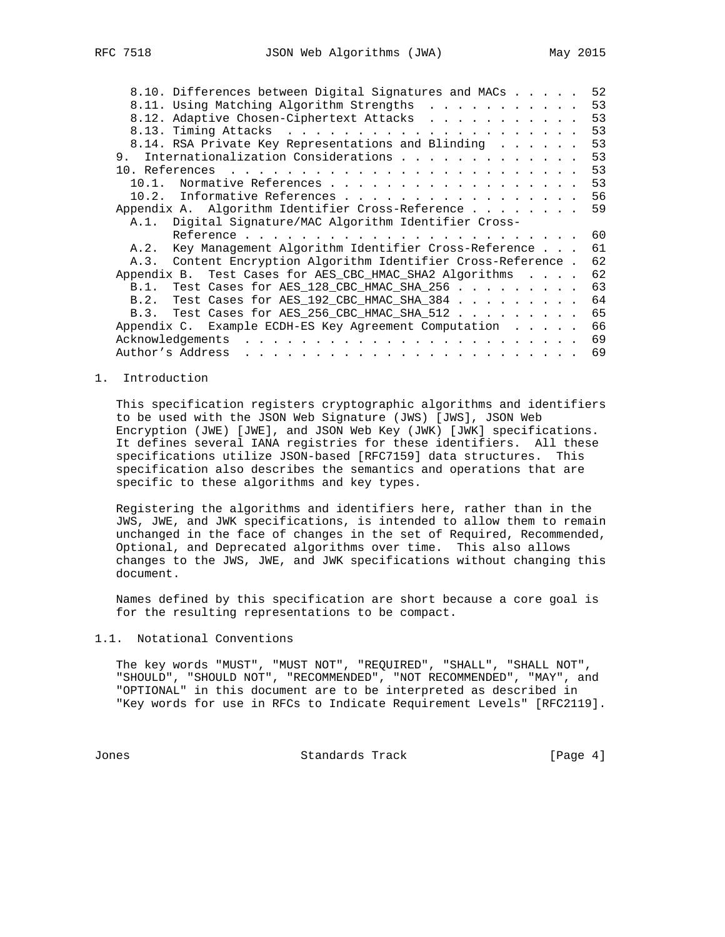| 8.11. Using Matching Algorithm Strengths<br>8.12. Adaptive Chosen-Ciphertext Attacks<br>8.14. RSA Private Key Representations and Blinding<br>Internationalization Considerations<br>9.<br>Normative References<br>$10.1$ .<br>10.2. Informative References<br>Appendix A. Algorithm Identifier Cross-Reference<br>A.1. Digital Signature/MAC Algorithm Identifier Cross-<br>A.2. Key Management Algorithm Identifier Cross-Reference<br>A.3. Content Encryption Algorithm Identifier Cross-Reference.<br>Appendix B. Test Cases for AES CBC HMAC SHA2 Algorithms<br>B.1. Test Cases for AES_128_CBC_HMAC_SHA_256<br>B.2. Test Cases for AES_192_CBC_HMAC_SHA_384<br>B.3. Test Cases for AES_256_CBC_HMAC_SHA_512 | 8.10. Differences between Digital Signatures and MACs | 52 |
|-------------------------------------------------------------------------------------------------------------------------------------------------------------------------------------------------------------------------------------------------------------------------------------------------------------------------------------------------------------------------------------------------------------------------------------------------------------------------------------------------------------------------------------------------------------------------------------------------------------------------------------------------------------------------------------------------------------------|-------------------------------------------------------|----|
|                                                                                                                                                                                                                                                                                                                                                                                                                                                                                                                                                                                                                                                                                                                   |                                                       | 53 |
|                                                                                                                                                                                                                                                                                                                                                                                                                                                                                                                                                                                                                                                                                                                   |                                                       | 53 |
|                                                                                                                                                                                                                                                                                                                                                                                                                                                                                                                                                                                                                                                                                                                   |                                                       | 53 |
|                                                                                                                                                                                                                                                                                                                                                                                                                                                                                                                                                                                                                                                                                                                   |                                                       | 53 |
|                                                                                                                                                                                                                                                                                                                                                                                                                                                                                                                                                                                                                                                                                                                   |                                                       | 53 |
|                                                                                                                                                                                                                                                                                                                                                                                                                                                                                                                                                                                                                                                                                                                   |                                                       | 53 |
|                                                                                                                                                                                                                                                                                                                                                                                                                                                                                                                                                                                                                                                                                                                   |                                                       | 53 |
|                                                                                                                                                                                                                                                                                                                                                                                                                                                                                                                                                                                                                                                                                                                   |                                                       | 56 |
|                                                                                                                                                                                                                                                                                                                                                                                                                                                                                                                                                                                                                                                                                                                   |                                                       | 59 |
|                                                                                                                                                                                                                                                                                                                                                                                                                                                                                                                                                                                                                                                                                                                   |                                                       |    |
|                                                                                                                                                                                                                                                                                                                                                                                                                                                                                                                                                                                                                                                                                                                   |                                                       | 60 |
|                                                                                                                                                                                                                                                                                                                                                                                                                                                                                                                                                                                                                                                                                                                   |                                                       | 61 |
|                                                                                                                                                                                                                                                                                                                                                                                                                                                                                                                                                                                                                                                                                                                   |                                                       | 62 |
|                                                                                                                                                                                                                                                                                                                                                                                                                                                                                                                                                                                                                                                                                                                   |                                                       | 62 |
|                                                                                                                                                                                                                                                                                                                                                                                                                                                                                                                                                                                                                                                                                                                   |                                                       | 63 |
|                                                                                                                                                                                                                                                                                                                                                                                                                                                                                                                                                                                                                                                                                                                   |                                                       | 64 |
|                                                                                                                                                                                                                                                                                                                                                                                                                                                                                                                                                                                                                                                                                                                   |                                                       | 65 |
|                                                                                                                                                                                                                                                                                                                                                                                                                                                                                                                                                                                                                                                                                                                   | Appendix C. Example ECDH-ES Key Agreement Computation | 66 |
| Acknowledgements                                                                                                                                                                                                                                                                                                                                                                                                                                                                                                                                                                                                                                                                                                  |                                                       | 69 |
| Author's Address                                                                                                                                                                                                                                                                                                                                                                                                                                                                                                                                                                                                                                                                                                  |                                                       | 69 |

#### 1. Introduction

 This specification registers cryptographic algorithms and identifiers to be used with the JSON Web Signature (JWS) [JWS], JSON Web Encryption (JWE) [JWE], and JSON Web Key (JWK) [JWK] specifications. It defines several IANA registries for these identifiers. All these specifications utilize JSON-based [RFC7159] data structures. This specification also describes the semantics and operations that are specific to these algorithms and key types.

 Registering the algorithms and identifiers here, rather than in the JWS, JWE, and JWK specifications, is intended to allow them to remain unchanged in the face of changes in the set of Required, Recommended, Optional, and Deprecated algorithms over time. This also allows changes to the JWS, JWE, and JWK specifications without changing this document.

 Names defined by this specification are short because a core goal is for the resulting representations to be compact.

## 1.1. Notational Conventions

 The key words "MUST", "MUST NOT", "REQUIRED", "SHALL", "SHALL NOT", "SHOULD", "SHOULD NOT", "RECOMMENDED", "NOT RECOMMENDED", "MAY", and "OPTIONAL" in this document are to be interpreted as described in "Key words for use in RFCs to Indicate Requirement Levels" [RFC2119].

Jones Standards Track [Page 4]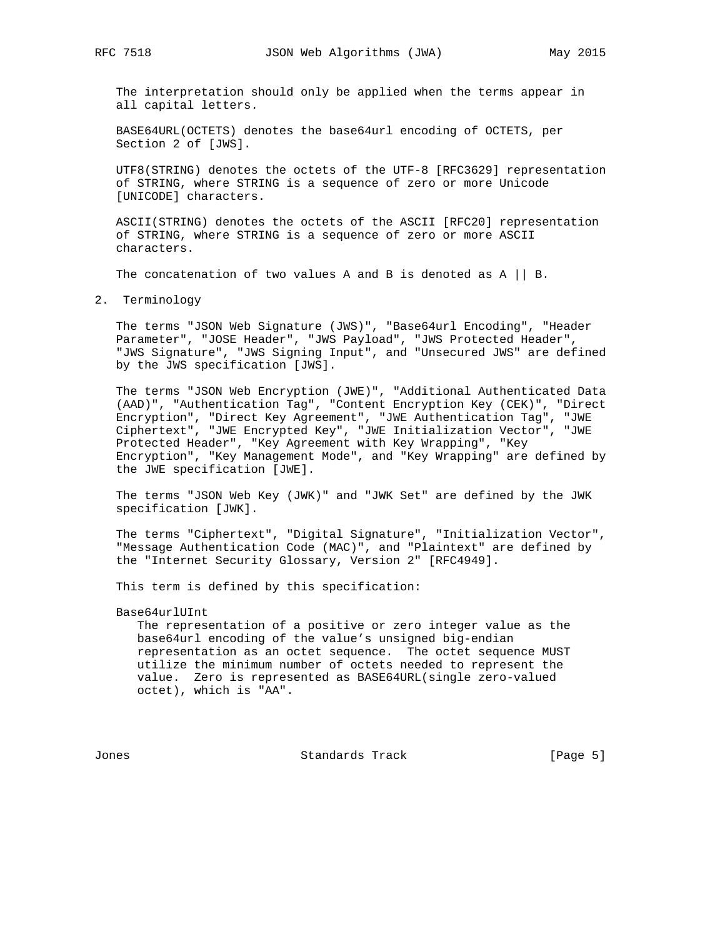The interpretation should only be applied when the terms appear in all capital letters.

 BASE64URL(OCTETS) denotes the base64url encoding of OCTETS, per Section 2 of [JWS].

 UTF8(STRING) denotes the octets of the UTF-8 [RFC3629] representation of STRING, where STRING is a sequence of zero or more Unicode [UNICODE] characters.

 ASCII(STRING) denotes the octets of the ASCII [RFC20] representation of STRING, where STRING is a sequence of zero or more ASCII characters.

The concatenation of two values A and B is denoted as  $A \mid B$ .

2. Terminology

 The terms "JSON Web Signature (JWS)", "Base64url Encoding", "Header Parameter", "JOSE Header", "JWS Payload", "JWS Protected Header", "JWS Signature", "JWS Signing Input", and "Unsecured JWS" are defined by the JWS specification [JWS].

 The terms "JSON Web Encryption (JWE)", "Additional Authenticated Data (AAD)", "Authentication Tag", "Content Encryption Key (CEK)", "Direct Encryption", "Direct Key Agreement", "JWE Authentication Tag", "JWE Ciphertext", "JWE Encrypted Key", "JWE Initialization Vector", "JWE Protected Header", "Key Agreement with Key Wrapping", "Key Encryption", "Key Management Mode", and "Key Wrapping" are defined by the JWE specification [JWE].

 The terms "JSON Web Key (JWK)" and "JWK Set" are defined by the JWK specification [JWK].

 The terms "Ciphertext", "Digital Signature", "Initialization Vector", "Message Authentication Code (MAC)", and "Plaintext" are defined by the "Internet Security Glossary, Version 2" [RFC4949].

This term is defined by this specification:

Base64urlUInt

 The representation of a positive or zero integer value as the base64url encoding of the value's unsigned big-endian representation as an octet sequence. The octet sequence MUST utilize the minimum number of octets needed to represent the value. Zero is represented as BASE64URL(single zero-valued octet), which is "AA".

Jones Standards Track [Page 5]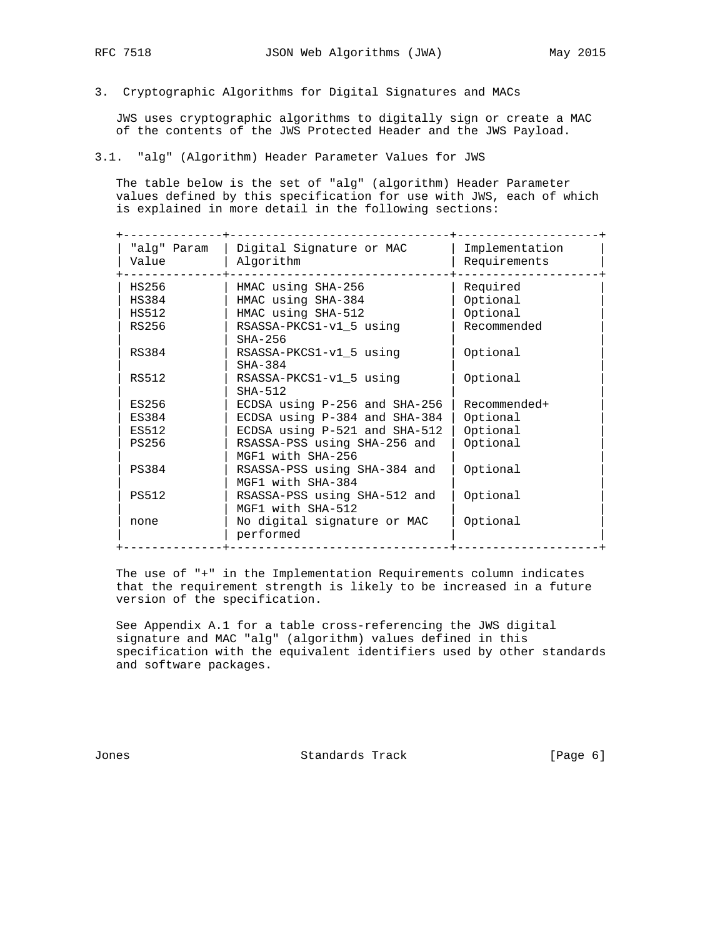3. Cryptographic Algorithms for Digital Signatures and MACs

 JWS uses cryptographic algorithms to digitally sign or create a MAC of the contents of the JWS Protected Header and the JWS Payload.

3.1. "alg" (Algorithm) Header Parameter Values for JWS

 The table below is the set of "alg" (algorithm) Header Parameter values defined by this specification for use with JWS, each of which is explained in more detail in the following sections:

| "alg" Param<br>Value | Digital Signature or MAC<br>Algorithm             | Implementation<br>Requirements |
|----------------------|---------------------------------------------------|--------------------------------|
| HS256                | HMAC using SHA-256                                | Required                       |
| HS384                | HMAC using SHA-384                                | Optional                       |
| HS512                | HMAC using SHA-512                                | Optional                       |
| RS256                | RSASSA-PKCS1-v1_5 using<br>$SHA-256$              | Recommended                    |
| RS384                | RSASSA-PKCS1-v1 5 using<br>$SHA-384$              | Optional                       |
| RS512                | RSASSA-PKCS1-v1 5 using<br>$SHA-512$              | Optional                       |
| ES256                | ECDSA using $P-256$ and SHA-256                   | Recommended+                   |
| ES384                | ECDSA using P-384 and SHA-384                     | Optional                       |
| ES512                | ECDSA using P-521 and SHA-512                     | Optional                       |
| PS256                | RSASSA-PSS using SHA-256 and<br>MGF1 with SHA-256 | Optional                       |
| PS384                | RSASSA-PSS using SHA-384 and<br>MGF1 with SHA-384 | Optional                       |
| PS512                | RSASSA-PSS using SHA-512 and<br>MGF1 with SHA-512 | Optional                       |
| none                 | No digital signature or MAC<br>performed          | Optional                       |

 The use of "+" in the Implementation Requirements column indicates that the requirement strength is likely to be increased in a future version of the specification.

 See Appendix A.1 for a table cross-referencing the JWS digital signature and MAC "alg" (algorithm) values defined in this specification with the equivalent identifiers used by other standards and software packages.

Jones Standards Track [Page 6]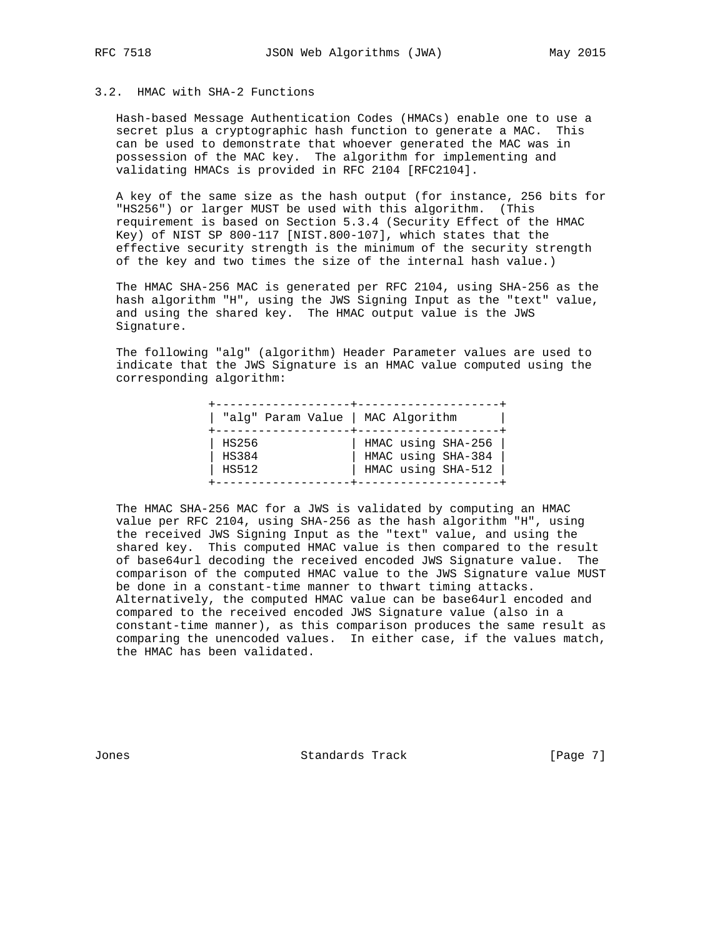## 3.2. HMAC with SHA-2 Functions

 Hash-based Message Authentication Codes (HMACs) enable one to use a secret plus a cryptographic hash function to generate a MAC. This can be used to demonstrate that whoever generated the MAC was in possession of the MAC key. The algorithm for implementing and validating HMACs is provided in RFC 2104 [RFC2104].

 A key of the same size as the hash output (for instance, 256 bits for "HS256") or larger MUST be used with this algorithm. (This requirement is based on Section 5.3.4 (Security Effect of the HMAC Key) of NIST SP 800-117 [NIST.800-107], which states that the effective security strength is the minimum of the security strength of the key and two times the size of the internal hash value.)

 The HMAC SHA-256 MAC is generated per RFC 2104, using SHA-256 as the hash algorithm "H", using the JWS Signing Input as the "text" value, and using the shared key. The HMAC output value is the JWS Signature.

 The following "alg" (algorithm) Header Parameter values are used to indicate that the JWS Signature is an HMAC value computed using the corresponding algorithm:

| "alg" Param Value   MAC Algorithm |                                                                |
|-----------------------------------|----------------------------------------------------------------|
| HS256<br>HS384<br>HS512           | HMAC using SHA-256<br>HMAC using SHA-384<br>HMAC using SHA-512 |

 The HMAC SHA-256 MAC for a JWS is validated by computing an HMAC value per RFC 2104, using SHA-256 as the hash algorithm "H", using the received JWS Signing Input as the "text" value, and using the shared key. This computed HMAC value is then compared to the result of base64url decoding the received encoded JWS Signature value. The comparison of the computed HMAC value to the JWS Signature value MUST be done in a constant-time manner to thwart timing attacks. Alternatively, the computed HMAC value can be base64url encoded and compared to the received encoded JWS Signature value (also in a constant-time manner), as this comparison produces the same result as comparing the unencoded values. In either case, if the values match, the HMAC has been validated.

Jones Standards Track [Page 7]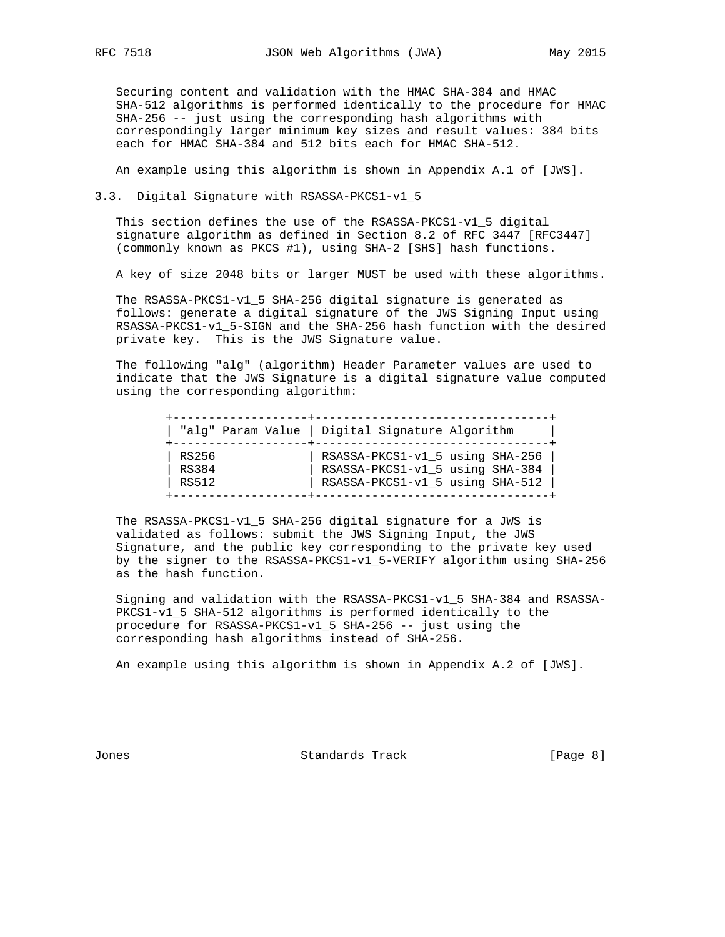Securing content and validation with the HMAC SHA-384 and HMAC SHA-512 algorithms is performed identically to the procedure for HMAC SHA-256 -- just using the corresponding hash algorithms with correspondingly larger minimum key sizes and result values: 384 bits each for HMAC SHA-384 and 512 bits each for HMAC SHA-512.

An example using this algorithm is shown in Appendix A.1 of [JWS].

3.3. Digital Signature with RSASSA-PKCS1-v1\_5

 This section defines the use of the RSASSA-PKCS1-v1\_5 digital signature algorithm as defined in Section 8.2 of RFC 3447 [RFC3447] (commonly known as PKCS #1), using SHA-2 [SHS] hash functions.

A key of size 2048 bits or larger MUST be used with these algorithms.

 The RSASSA-PKCS1-v1\_5 SHA-256 digital signature is generated as follows: generate a digital signature of the JWS Signing Input using RSASSA-PKCS1-v1\_5-SIGN and the SHA-256 hash function with the desired private key. This is the JWS Signature value.

 The following "alg" (algorithm) Header Parameter values are used to indicate that the JWS Signature is a digital signature value computed using the corresponding algorithm:

|              | "alg" Param Value   Digital Signature Algorithm |
|--------------|-------------------------------------------------|
| RS256        | RSASSA-PKCS1-v1_5 using SHA-256                 |
| <b>RS384</b> | RSASSA-PKCS1-v1_5 using SHA-384                 |
| RS512        | RSASSA-PKCS1-v1_5 using SHA-512                 |

 The RSASSA-PKCS1-v1\_5 SHA-256 digital signature for a JWS is validated as follows: submit the JWS Signing Input, the JWS Signature, and the public key corresponding to the private key used by the signer to the RSASSA-PKCS1-v1\_5-VERIFY algorithm using SHA-256 as the hash function.

 Signing and validation with the RSASSA-PKCS1-v1\_5 SHA-384 and RSASSA- PKCS1-v1\_5 SHA-512 algorithms is performed identically to the procedure for RSASSA-PKCS1-v1\_5 SHA-256 -- just using the corresponding hash algorithms instead of SHA-256.

An example using this algorithm is shown in Appendix A.2 of [JWS].

Jones Standards Track [Page 8]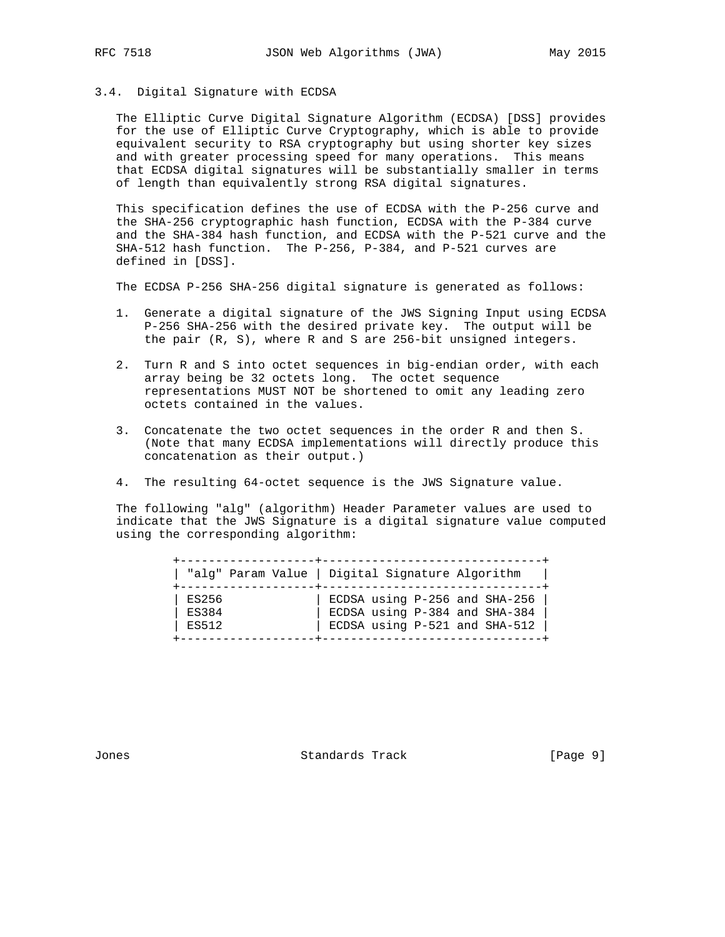## 3.4. Digital Signature with ECDSA

 The Elliptic Curve Digital Signature Algorithm (ECDSA) [DSS] provides for the use of Elliptic Curve Cryptography, which is able to provide equivalent security to RSA cryptography but using shorter key sizes and with greater processing speed for many operations. This means that ECDSA digital signatures will be substantially smaller in terms of length than equivalently strong RSA digital signatures.

 This specification defines the use of ECDSA with the P-256 curve and the SHA-256 cryptographic hash function, ECDSA with the P-384 curve and the SHA-384 hash function, and ECDSA with the P-521 curve and the SHA-512 hash function. The P-256, P-384, and P-521 curves are defined in [DSS].

The ECDSA P-256 SHA-256 digital signature is generated as follows:

- 1. Generate a digital signature of the JWS Signing Input using ECDSA P-256 SHA-256 with the desired private key. The output will be the pair (R, S), where R and S are 256-bit unsigned integers.
- 2. Turn R and S into octet sequences in big-endian order, with each array being be 32 octets long. The octet sequence representations MUST NOT be shortened to omit any leading zero octets contained in the values.
- 3. Concatenate the two octet sequences in the order R and then S. (Note that many ECDSA implementations will directly produce this concatenation as their output.)
- 4. The resulting 64-octet sequence is the JWS Signature value.

 The following "alg" (algorithm) Header Parameter values are used to indicate that the JWS Signature is a digital signature value computed using the corresponding algorithm:

|              | "alg" Param Value   Digital Signature Algorithm |
|--------------|-------------------------------------------------|
| ES256        | ECDSA using $P-256$ and SHA-256                 |
| <b>ES384</b> | ECDSA using P-384 and SHA-384                   |
| ES512        | ECDSA using P-521 and SHA-512                   |

Jones Standards Track [Page 9]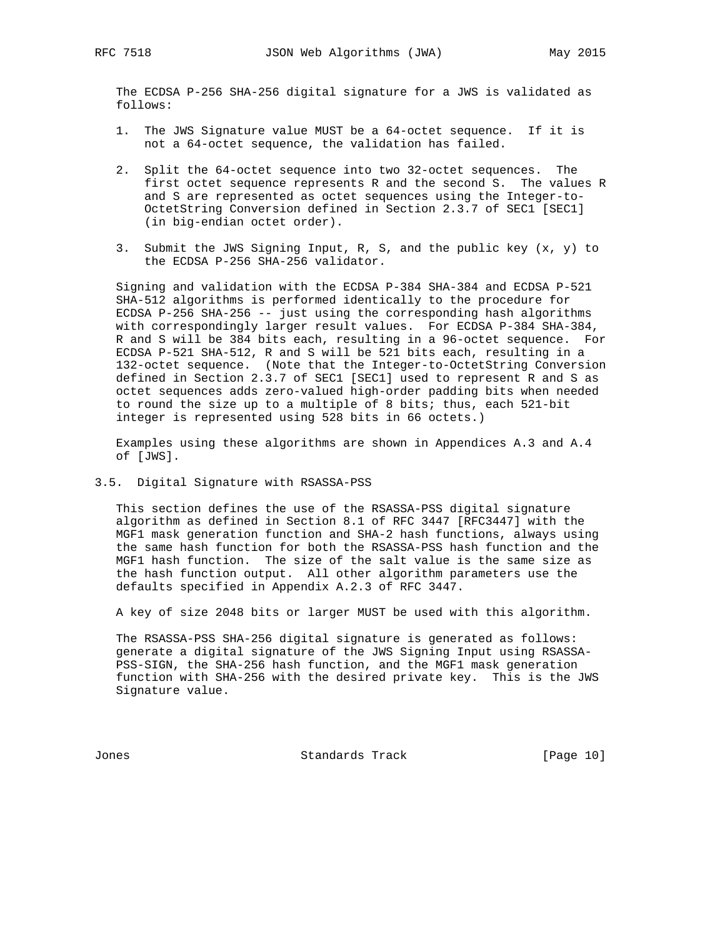The ECDSA P-256 SHA-256 digital signature for a JWS is validated as follows:

- 1. The JWS Signature value MUST be a 64-octet sequence. If it is not a 64-octet sequence, the validation has failed.
- 2. Split the 64-octet sequence into two 32-octet sequences. The first octet sequence represents R and the second S. The values R and S are represented as octet sequences using the Integer-to- OctetString Conversion defined in Section 2.3.7 of SEC1 [SEC1] (in big-endian octet order).
- 3. Submit the JWS Signing Input, R, S, and the public key (x, y) to the ECDSA P-256 SHA-256 validator.

 Signing and validation with the ECDSA P-384 SHA-384 and ECDSA P-521 SHA-512 algorithms is performed identically to the procedure for ECDSA P-256 SHA-256 -- just using the corresponding hash algorithms with correspondingly larger result values. For ECDSA P-384 SHA-384, R and S will be 384 bits each, resulting in a 96-octet sequence. For ECDSA P-521 SHA-512, R and S will be 521 bits each, resulting in a 132-octet sequence. (Note that the Integer-to-OctetString Conversion defined in Section 2.3.7 of SEC1 [SEC1] used to represent R and S as octet sequences adds zero-valued high-order padding bits when needed to round the size up to a multiple of 8 bits; thus, each 521-bit integer is represented using 528 bits in 66 octets.)

 Examples using these algorithms are shown in Appendices A.3 and A.4 of [JWS].

### 3.5. Digital Signature with RSASSA-PSS

 This section defines the use of the RSASSA-PSS digital signature algorithm as defined in Section 8.1 of RFC 3447 [RFC3447] with the MGF1 mask generation function and SHA-2 hash functions, always using the same hash function for both the RSASSA-PSS hash function and the MGF1 hash function. The size of the salt value is the same size as the hash function output. All other algorithm parameters use the defaults specified in Appendix A.2.3 of RFC 3447.

A key of size 2048 bits or larger MUST be used with this algorithm.

 The RSASSA-PSS SHA-256 digital signature is generated as follows: generate a digital signature of the JWS Signing Input using RSASSA- PSS-SIGN, the SHA-256 hash function, and the MGF1 mask generation function with SHA-256 with the desired private key. This is the JWS Signature value.

Jones Standards Track [Page 10]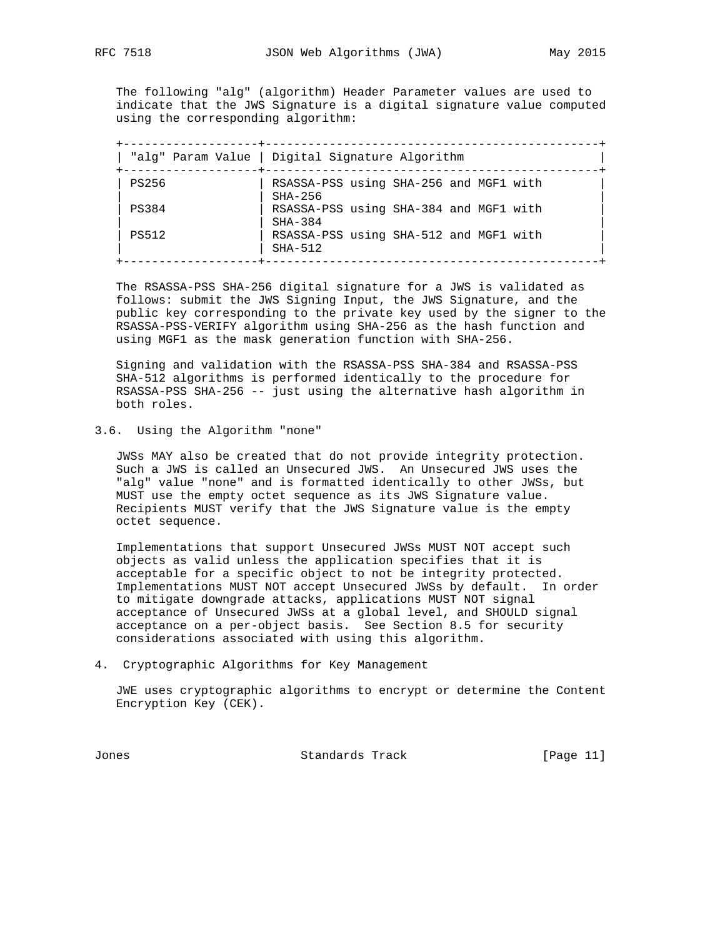The following "alg" (algorithm) Header Parameter values are used to indicate that the JWS Signature is a digital signature value computed using the corresponding algorithm:

|              | "alg" Param Value   Digital Signature Algorithm     |
|--------------|-----------------------------------------------------|
| <b>PS256</b> | RSASSA-PSS using SHA-256 and MGF1 with<br>$SHA-256$ |
| PS384        | RSASSA-PSS using SHA-384 and MGF1 with<br>$SHA-384$ |
| PS512        | RSASSA-PSS using SHA-512 and MGF1 with<br>$SHA-512$ |

 The RSASSA-PSS SHA-256 digital signature for a JWS is validated as follows: submit the JWS Signing Input, the JWS Signature, and the public key corresponding to the private key used by the signer to the RSASSA-PSS-VERIFY algorithm using SHA-256 as the hash function and using MGF1 as the mask generation function with SHA-256.

 Signing and validation with the RSASSA-PSS SHA-384 and RSASSA-PSS SHA-512 algorithms is performed identically to the procedure for RSASSA-PSS SHA-256 -- just using the alternative hash algorithm in both roles.

3.6. Using the Algorithm "none"

 JWSs MAY also be created that do not provide integrity protection. Such a JWS is called an Unsecured JWS. An Unsecured JWS uses the "alg" value "none" and is formatted identically to other JWSs, but MUST use the empty octet sequence as its JWS Signature value. Recipients MUST verify that the JWS Signature value is the empty octet sequence.

 Implementations that support Unsecured JWSs MUST NOT accept such objects as valid unless the application specifies that it is acceptable for a specific object to not be integrity protected. Implementations MUST NOT accept Unsecured JWSs by default. In order to mitigate downgrade attacks, applications MUST NOT signal acceptance of Unsecured JWSs at a global level, and SHOULD signal acceptance on a per-object basis. See Section 8.5 for security considerations associated with using this algorithm.

4. Cryptographic Algorithms for Key Management

 JWE uses cryptographic algorithms to encrypt or determine the Content Encryption Key (CEK).

Jones Standards Track [Page 11]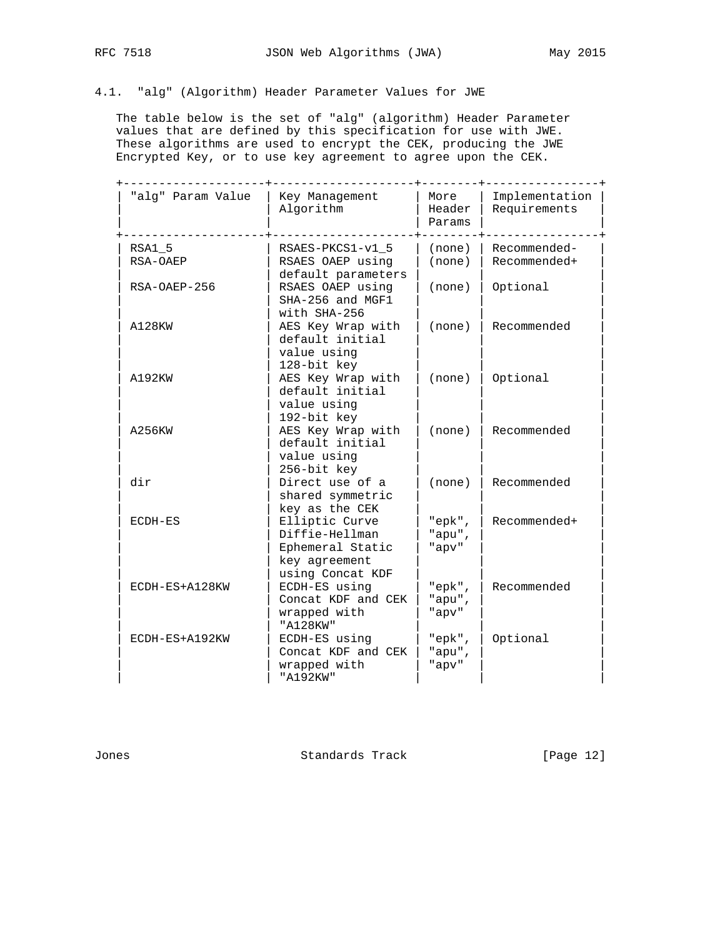# 4.1. "alg" (Algorithm) Header Parameter Values for JWE

 The table below is the set of "alg" (algorithm) Header Parameter values that are defined by this specification for use with JWE. These algorithms are used to encrypt the CEK, producing the JWE Encrypted Key, or to use key agreement to agree upon the CEK.

| "alg" Param Value  | Key Management<br>Algorithm                                                                                 | More<br>Header<br>Params      | Implementation<br>Requirements |
|--------------------|-------------------------------------------------------------------------------------------------------------|-------------------------------|--------------------------------|
| RSA1 5<br>RSA-OAEP | RSAES-PKCS1-v1 5<br>RSAES OAEP using<br>default parameters                                                  | (none)<br>(none)              | Recommended-<br>Recommended+   |
| RSA-OAEP-256       | RSAES OAEP using<br>SHA-256 and MGF1                                                                        | (none)                        | Optional                       |
| A128KW             | with SHA-256<br>AES Key Wrap with<br>default initial<br>value using                                         | (none)                        | Recommended                    |
| A192KW             | 128-bit key<br>AES Key Wrap with<br>default initial<br>value using                                          | (none)                        | Optional                       |
| A256KW             | 192-bit key<br>AES Key Wrap with<br>default initial<br>value using                                          | (none)                        | Recommended                    |
| dir                | 256-bit key<br>Direct use of a<br>shared symmetric                                                          | (none)                        | Recommended                    |
| $ECDH-ES$          | key as the CEK<br>Elliptic Curve<br>Diffie-Hellman<br>Ephemeral Static<br>key agreement<br>using Concat KDF | " $epk$ ",<br>"apu",<br>"apv" | Recommended+                   |
| ECDH-ES+A128KW     | ECDH-ES using<br>Concat KDF and CEK<br>wrapped with<br>"A128KW"                                             | " $epk$ ",<br>"apu",<br>"apv" | Recommended                    |
| ECDH-ES+A192KW     | ECDH-ES using<br>Concat KDF and CEK<br>wrapped with<br>"A192KW"                                             | " $epk$ ",<br>"apu",<br>"apv" | Optional                       |

Jones Standards Track [Page 12]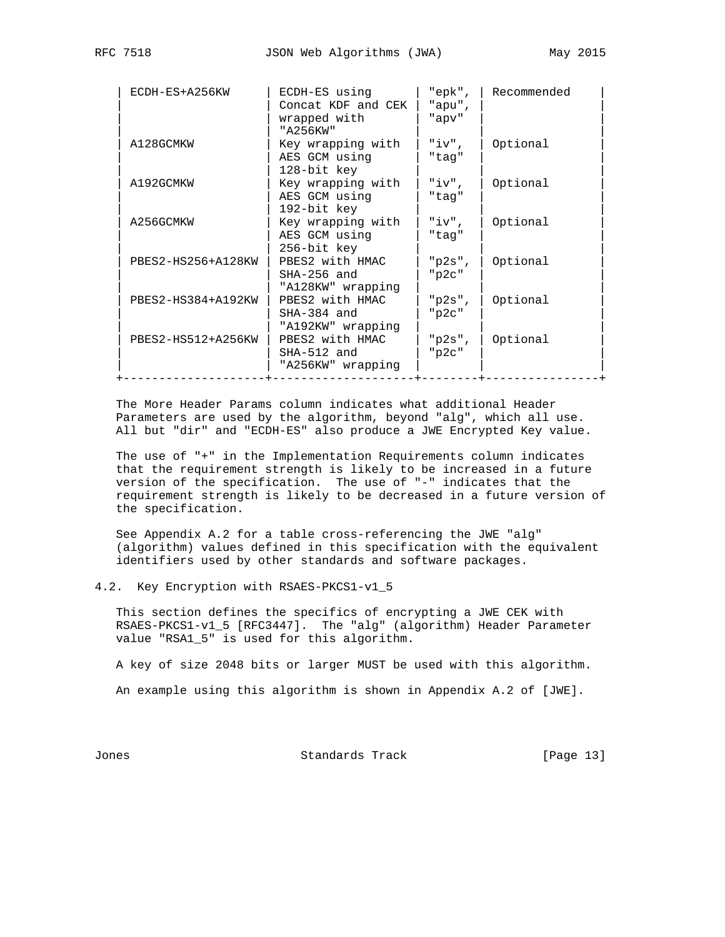| ECDH-ES+A256KW     | ECDH-ES using<br>Concat KDF and CEK<br>wrapped with<br>"A256KW" | "epk",<br>"apu",<br>"apv"            | Recommended |
|--------------------|-----------------------------------------------------------------|--------------------------------------|-------------|
| A128GCMKW          | Key wrapping with<br>AES GCM using<br>128-bit key               | "iv",<br>"tag"                       | Optional    |
| A192GCMKW          | Key wrapping with<br>AES GCM using<br>192-bit key               | "iv",<br>"tag"                       | Optional    |
| A256GCMKW          | Key wrapping with<br>AES GCM using<br>256-bit key               | "iv",<br>"tag"                       | Optional    |
| PBES2-HS256+A128KW | PBES2 with HMAC<br>$SHA-256$ and<br>"A128KW" wrapping           | " $p2s$ ",<br>"p2c"                  | Optional    |
| PBES2-HS384+A192KW | PBES2 with HMAC<br>$SHA-384$ and<br>"A192KW" wrapping           | " $p2s$ ",<br>$"$ <sub>p2c</sub> $"$ | Optional    |
| PBES2-HS512+A256KW | PBES2 with HMAC<br>$SHA-512$ and<br>"A256KW" wrapping           | " $p2s$ ",<br>"p2c"                  | Optional    |

 The More Header Params column indicates what additional Header Parameters are used by the algorithm, beyond "alg", which all use. All but "dir" and "ECDH-ES" also produce a JWE Encrypted Key value.

 The use of "+" in the Implementation Requirements column indicates that the requirement strength is likely to be increased in a future version of the specification. The use of "-" indicates that the requirement strength is likely to be decreased in a future version of the specification.

 See Appendix A.2 for a table cross-referencing the JWE "alg" (algorithm) values defined in this specification with the equivalent identifiers used by other standards and software packages.

4.2. Key Encryption with RSAES-PKCS1-v1\_5

 This section defines the specifics of encrypting a JWE CEK with RSAES-PKCS1-v1\_5 [RFC3447]. The "alg" (algorithm) Header Parameter value "RSA1\_5" is used for this algorithm.

A key of size 2048 bits or larger MUST be used with this algorithm.

An example using this algorithm is shown in Appendix A.2 of [JWE].

Jones Standards Track [Page 13]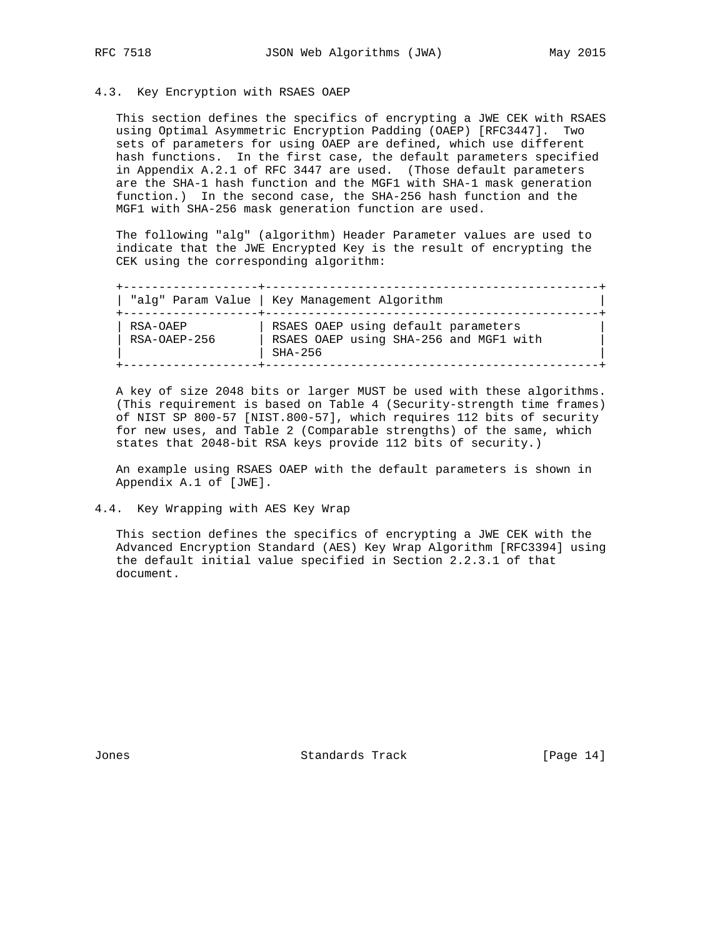## 4.3. Key Encryption with RSAES OAEP

 This section defines the specifics of encrypting a JWE CEK with RSAES using Optimal Asymmetric Encryption Padding (OAEP) [RFC3447]. Two sets of parameters for using OAEP are defined, which use different hash functions. In the first case, the default parameters specified in Appendix A.2.1 of RFC 3447 are used. (Those default parameters are the SHA-1 hash function and the MGF1 with SHA-1 mask generation function.) In the second case, the SHA-256 hash function and the MGF1 with SHA-256 mask generation function are used.

 The following "alg" (algorithm) Header Parameter values are used to indicate that the JWE Encrypted Key is the result of encrypting the CEK using the corresponding algorithm:

 +-------------------+-----------------------------------------------+ | "alg" Param Value | Key Management Algorithm | +-------------------+-----------------------------------------------+ | RSA-OAEP | RSAES OAEP using default parameters | | | RSA-OAEP-256 | RSAES OAEP using SHA-256 and MGF1 with | | | SHA-256 | +-------------------+-----------------------------------------------+

 A key of size 2048 bits or larger MUST be used with these algorithms. (This requirement is based on Table 4 (Security-strength time frames) of NIST SP 800-57 [NIST.800-57], which requires 112 bits of security for new uses, and Table 2 (Comparable strengths) of the same, which states that 2048-bit RSA keys provide 112 bits of security.)

 An example using RSAES OAEP with the default parameters is shown in Appendix A.1 of [JWE].

 This section defines the specifics of encrypting a JWE CEK with the Advanced Encryption Standard (AES) Key Wrap Algorithm [RFC3394] using the default initial value specified in Section 2.2.3.1 of that document.

Jones Standards Track [Page 14]

<sup>4.4.</sup> Key Wrapping with AES Key Wrap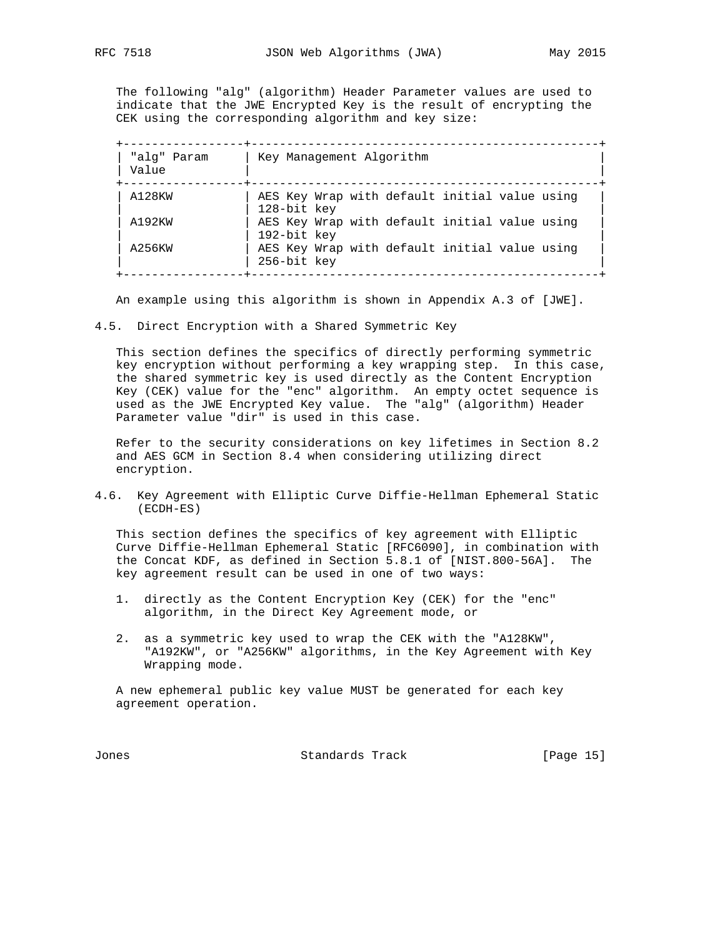The following "alg" (algorithm) Header Parameter values are used to indicate that the JWE Encrypted Key is the result of encrypting the CEK using the corresponding algorithm and key size:

| "alq" Param<br>Value | Key Management Algorithm                                     |
|----------------------|--------------------------------------------------------------|
| A128KW               | AES Key Wrap with default initial value using<br>128-bit key |
| A192KW               | AES Key Wrap with default initial value using<br>192-bit key |
| A256KW               | AES Key Wrap with default initial value using<br>256-bit key |

An example using this algorithm is shown in Appendix A.3 of [JWE].

4.5. Direct Encryption with a Shared Symmetric Key

 This section defines the specifics of directly performing symmetric key encryption without performing a key wrapping step. In this case, the shared symmetric key is used directly as the Content Encryption Key (CEK) value for the "enc" algorithm. An empty octet sequence is used as the JWE Encrypted Key value. The "alg" (algorithm) Header Parameter value "dir" is used in this case.

 Refer to the security considerations on key lifetimes in Section 8.2 and AES GCM in Section 8.4 when considering utilizing direct encryption.

4.6. Key Agreement with Elliptic Curve Diffie-Hellman Ephemeral Static (ECDH-ES)

 This section defines the specifics of key agreement with Elliptic Curve Diffie-Hellman Ephemeral Static [RFC6090], in combination with the Concat KDF, as defined in Section 5.8.1 of [NIST.800-56A]. The key agreement result can be used in one of two ways:

- 1. directly as the Content Encryption Key (CEK) for the "enc" algorithm, in the Direct Key Agreement mode, or
- 2. as a symmetric key used to wrap the CEK with the "A128KW", "A192KW", or "A256KW" algorithms, in the Key Agreement with Key Wrapping mode.

 A new ephemeral public key value MUST be generated for each key agreement operation.

Jones Standards Track [Page 15]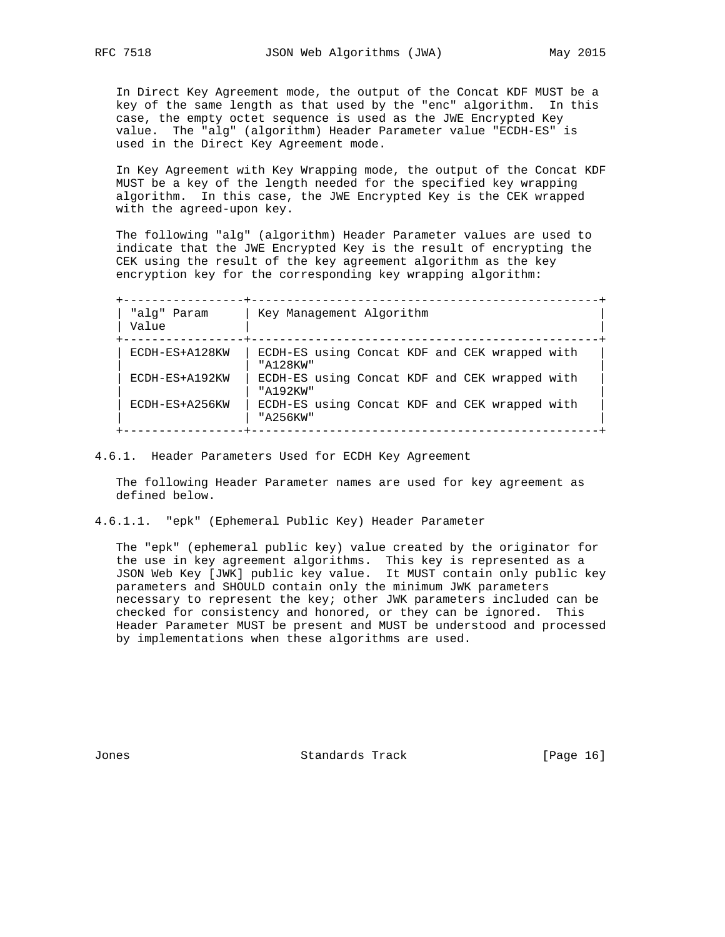In Direct Key Agreement mode, the output of the Concat KDF MUST be a key of the same length as that used by the "enc" algorithm. In this case, the empty octet sequence is used as the JWE Encrypted Key value. The "alg" (algorithm) Header Parameter value "ECDH-ES" is used in the Direct Key Agreement mode.

 In Key Agreement with Key Wrapping mode, the output of the Concat KDF MUST be a key of the length needed for the specified key wrapping algorithm. In this case, the JWE Encrypted Key is the CEK wrapped with the agreed-upon key.

 The following "alg" (algorithm) Header Parameter values are used to indicate that the JWE Encrypted Key is the result of encrypting the CEK using the result of the key agreement algorithm as the key encryption key for the corresponding key wrapping algorithm:

 +-----------------+-------------------------------------------------+ | "alg" Param | Key Management Algorithm | | Value | | +-----------------+-------------------------------------------------+ | ECDH-ES+A128KW | ECDH-ES using Concat KDF and CEK wrapped with | | | "A128KW" | | ECDH-ES+A192KW | ECDH-ES using Concat KDF and CEK wrapped with | | | "A192KW" | | ECDH-ES+A256KW | ECDH-ES using Concat KDF and CEK wrapped with | | | "A256KW" | +-----------------+-------------------------------------------------+

4.6.1. Header Parameters Used for ECDH Key Agreement

 The following Header Parameter names are used for key agreement as defined below.

4.6.1.1. "epk" (Ephemeral Public Key) Header Parameter

 The "epk" (ephemeral public key) value created by the originator for the use in key agreement algorithms. This key is represented as a JSON Web Key [JWK] public key value. It MUST contain only public key parameters and SHOULD contain only the minimum JWK parameters necessary to represent the key; other JWK parameters included can be checked for consistency and honored, or they can be ignored. This Header Parameter MUST be present and MUST be understood and processed by implementations when these algorithms are used.

Jones Standards Track [Page 16]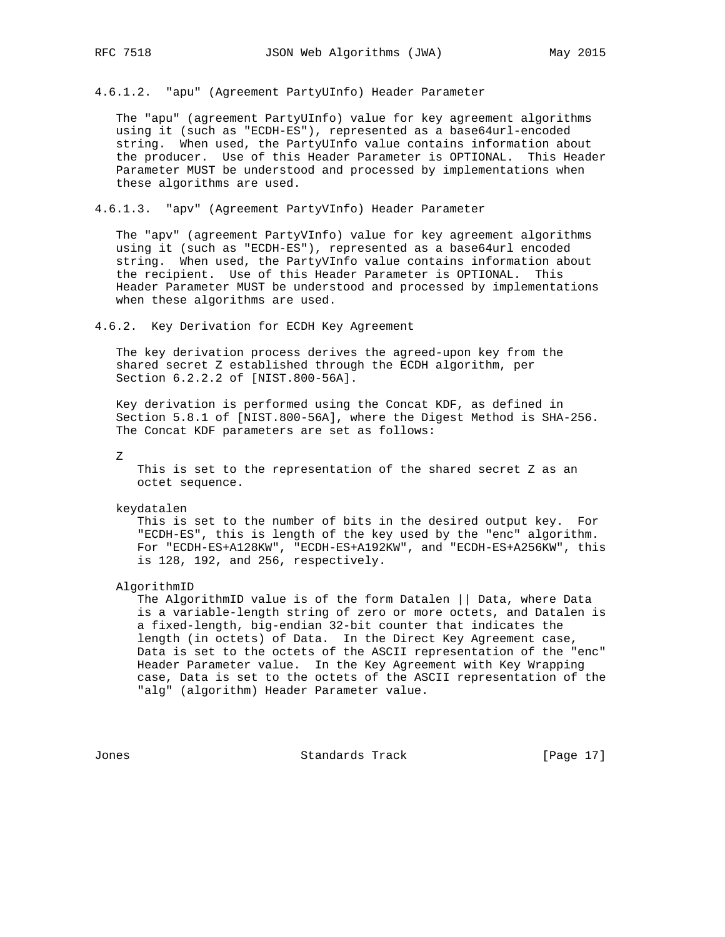4.6.1.2. "apu" (Agreement PartyUInfo) Header Parameter

 The "apu" (agreement PartyUInfo) value for key agreement algorithms using it (such as "ECDH-ES"), represented as a base64url-encoded string. When used, the PartyUInfo value contains information about the producer. Use of this Header Parameter is OPTIONAL. This Header Parameter MUST be understood and processed by implementations when these algorithms are used.

4.6.1.3. "apv" (Agreement PartyVInfo) Header Parameter

 The "apv" (agreement PartyVInfo) value for key agreement algorithms using it (such as "ECDH-ES"), represented as a base64url encoded string. When used, the PartyVInfo value contains information about the recipient. Use of this Header Parameter is OPTIONAL. This Header Parameter MUST be understood and processed by implementations when these algorithms are used.

4.6.2. Key Derivation for ECDH Key Agreement

 The key derivation process derives the agreed-upon key from the shared secret Z established through the ECDH algorithm, per Section 6.2.2.2 of [NIST.800-56A].

 Key derivation is performed using the Concat KDF, as defined in Section 5.8.1 of [NIST.800-56A], where the Digest Method is SHA-256. The Concat KDF parameters are set as follows:

Z

 This is set to the representation of the shared secret Z as an octet sequence.

keydatalen

 This is set to the number of bits in the desired output key. For "ECDH-ES", this is length of the key used by the "enc" algorithm. For "ECDH-ES+A128KW", "ECDH-ES+A192KW", and "ECDH-ES+A256KW", this is 128, 192, and 256, respectively.

AlgorithmID

 The AlgorithmID value is of the form Datalen || Data, where Data is a variable-length string of zero or more octets, and Datalen is a fixed-length, big-endian 32-bit counter that indicates the length (in octets) of Data. In the Direct Key Agreement case, Data is set to the octets of the ASCII representation of the "enc" Header Parameter value. In the Key Agreement with Key Wrapping case, Data is set to the octets of the ASCII representation of the "alg" (algorithm) Header Parameter value.

Jones Standards Track [Page 17]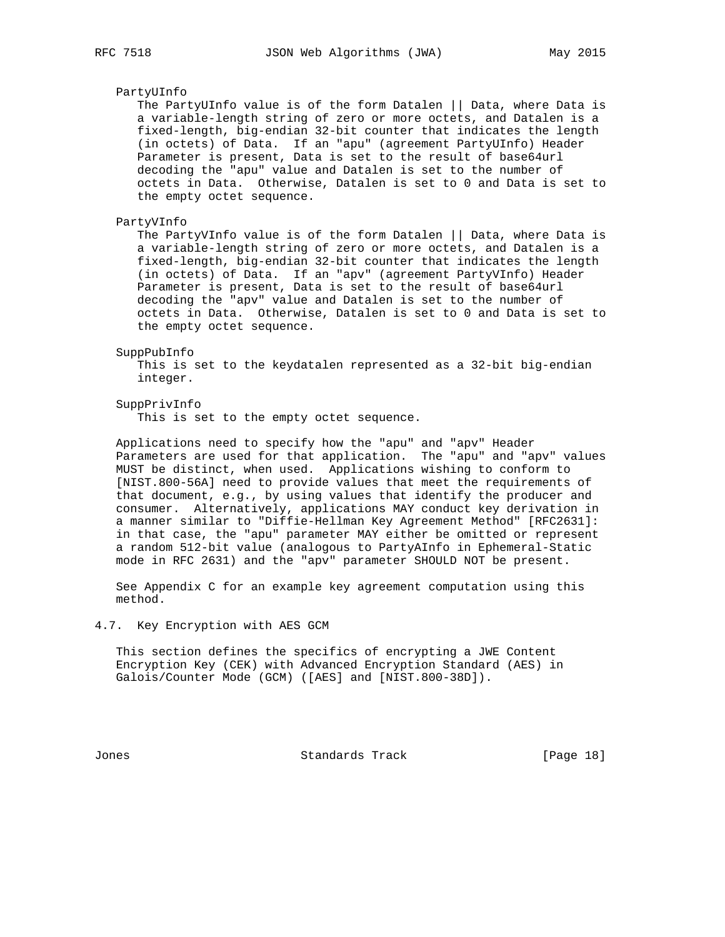#### PartyUInfo

 The PartyUInfo value is of the form Datalen || Data, where Data is a variable-length string of zero or more octets, and Datalen is a fixed-length, big-endian 32-bit counter that indicates the length (in octets) of Data. If an "apu" (agreement PartyUInfo) Header Parameter is present, Data is set to the result of base64url decoding the "apu" value and Datalen is set to the number of octets in Data. Otherwise, Datalen is set to 0 and Data is set to the empty octet sequence.

## PartyVInfo

 The PartyVInfo value is of the form Datalen || Data, where Data is a variable-length string of zero or more octets, and Datalen is a fixed-length, big-endian 32-bit counter that indicates the length (in octets) of Data. If an "apv" (agreement PartyVInfo) Header Parameter is present, Data is set to the result of base64url decoding the "apv" value and Datalen is set to the number of octets in Data. Otherwise, Datalen is set to 0 and Data is set to the empty octet sequence.

#### SuppPubInfo

 This is set to the keydatalen represented as a 32-bit big-endian integer.

#### SuppPrivInfo

This is set to the empty octet sequence.

 Applications need to specify how the "apu" and "apv" Header Parameters are used for that application. The "apu" and "apv" values MUST be distinct, when used. Applications wishing to conform to [NIST.800-56A] need to provide values that meet the requirements of that document, e.g., by using values that identify the producer and consumer. Alternatively, applications MAY conduct key derivation in a manner similar to "Diffie-Hellman Key Agreement Method" [RFC2631]: in that case, the "apu" parameter MAY either be omitted or represent a random 512-bit value (analogous to PartyAInfo in Ephemeral-Static mode in RFC 2631) and the "apv" parameter SHOULD NOT be present.

 See Appendix C for an example key agreement computation using this method.

#### 4.7. Key Encryption with AES GCM

 This section defines the specifics of encrypting a JWE Content Encryption Key (CEK) with Advanced Encryption Standard (AES) in Galois/Counter Mode (GCM) ([AES] and [NIST.800-38D]).

Jones Standards Track [Page 18]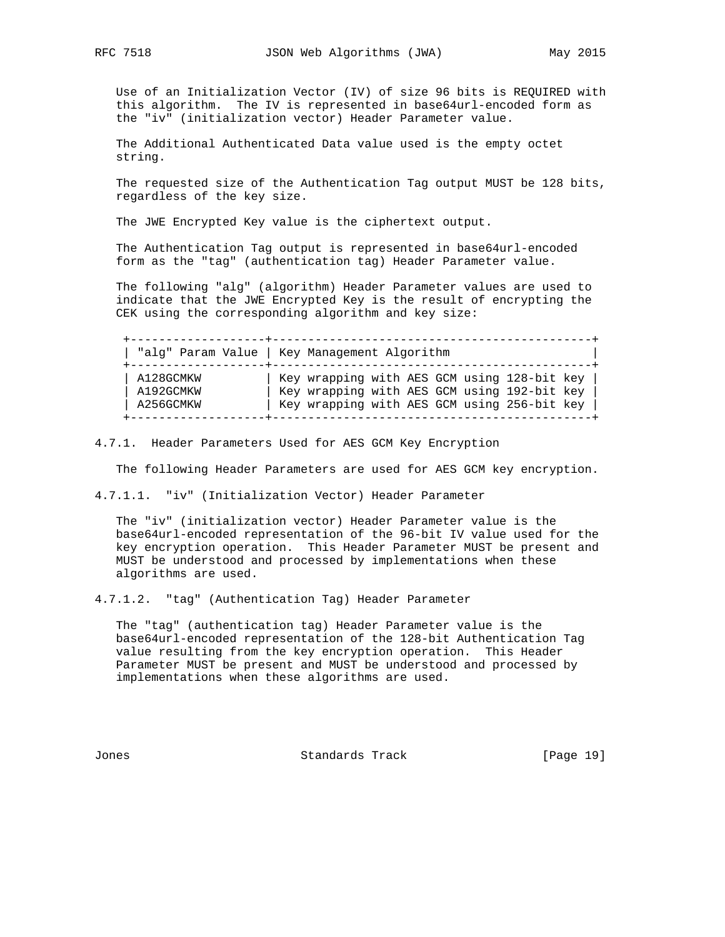Use of an Initialization Vector (IV) of size 96 bits is REQUIRED with this algorithm. The IV is represented in base64url-encoded form as the "iv" (initialization vector) Header Parameter value.

 The Additional Authenticated Data value used is the empty octet string.

 The requested size of the Authentication Tag output MUST be 128 bits, regardless of the key size.

The JWE Encrypted Key value is the ciphertext output.

 The Authentication Tag output is represented in base64url-encoded form as the "tag" (authentication tag) Header Parameter value.

 The following "alg" (algorithm) Header Parameter values are used to indicate that the JWE Encrypted Key is the result of encrypting the CEK using the corresponding algorithm and key size:

 +-------------------+---------------------------------------------+ | "alg" Param Value | Key Management Algorithm | +-------------------+---------------------------------------------+ | A128GCMKW | Key wrapping with AES GCM using 128-bit key | | A192GCMKW | Key wrapping with AES GCM using 192-bit key | | A256GCMKW | Key wrapping with AES GCM using 256-bit key | +-------------------+---------------------------------------------+

4.7.1. Header Parameters Used for AES GCM Key Encryption

The following Header Parameters are used for AES GCM key encryption.

4.7.1.1. "iv" (Initialization Vector) Header Parameter

 The "iv" (initialization vector) Header Parameter value is the base64url-encoded representation of the 96-bit IV value used for the key encryption operation. This Header Parameter MUST be present and MUST be understood and processed by implementations when these algorithms are used.

4.7.1.2. "tag" (Authentication Tag) Header Parameter

 The "tag" (authentication tag) Header Parameter value is the base64url-encoded representation of the 128-bit Authentication Tag value resulting from the key encryption operation. This Header Parameter MUST be present and MUST be understood and processed by implementations when these algorithms are used.

Jones Standards Track [Page 19]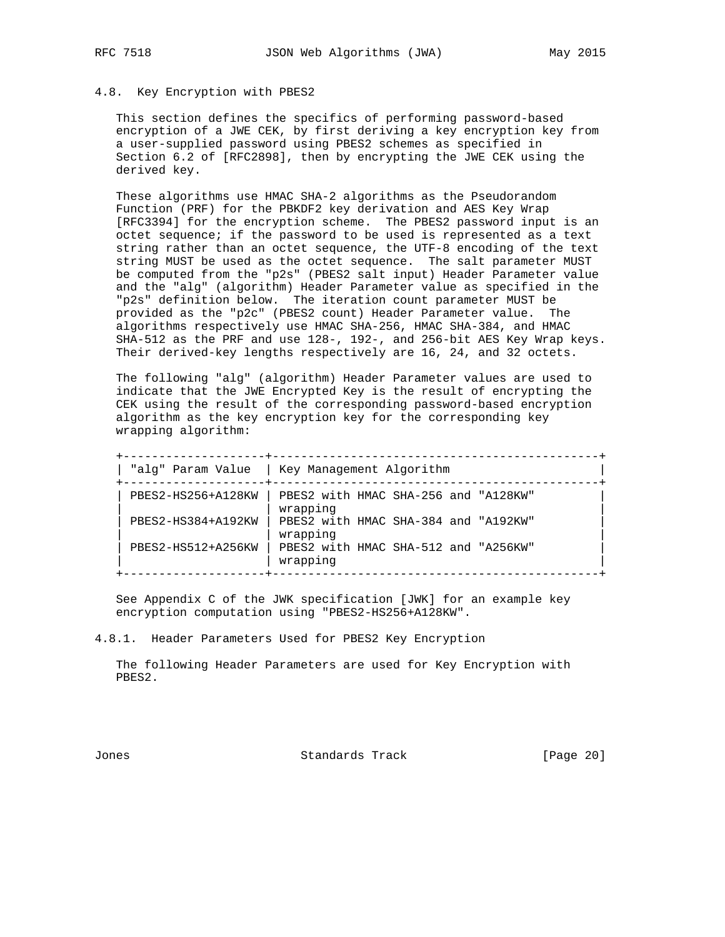## 4.8. Key Encryption with PBES2

 This section defines the specifics of performing password-based encryption of a JWE CEK, by first deriving a key encryption key from a user-supplied password using PBES2 schemes as specified in Section 6.2 of [RFC2898], then by encrypting the JWE CEK using the derived key.

 These algorithms use HMAC SHA-2 algorithms as the Pseudorandom Function (PRF) for the PBKDF2 key derivation and AES Key Wrap [RFC3394] for the encryption scheme. The PBES2 password input is an octet sequence; if the password to be used is represented as a text string rather than an octet sequence, the UTF-8 encoding of the text string MUST be used as the octet sequence. The salt parameter MUST be computed from the "p2s" (PBES2 salt input) Header Parameter value and the "alg" (algorithm) Header Parameter value as specified in the "p2s" definition below. The iteration count parameter MUST be provided as the "p2c" (PBES2 count) Header Parameter value. The algorithms respectively use HMAC SHA-256, HMAC SHA-384, and HMAC SHA-512 as the PRF and use 128-, 192-, and 256-bit AES Key Wrap keys. Their derived-key lengths respectively are 16, 24, and 32 octets.

 The following "alg" (algorithm) Header Parameter values are used to indicate that the JWE Encrypted Key is the result of encrypting the CEK using the result of the corresponding password-based encryption algorithm as the key encryption key for the corresponding key wrapping algorithm:

|                    | "alg" Param Value   Key Management Algorithm     |
|--------------------|--------------------------------------------------|
| PBES2-HS256+A128KW | PBES2 with HMAC SHA-256 and "A128KW"<br>wrapping |
| PBES2-HS384+A192KW | PBES2 with HMAC SHA-384 and "A192KW"<br>wrapping |
| PBES2-HS512+A256KW | PBES2 with HMAC SHA-512 and "A256KW"<br>wrapping |

 See Appendix C of the JWK specification [JWK] for an example key encryption computation using "PBES2-HS256+A128KW".

4.8.1. Header Parameters Used for PBES2 Key Encryption

 The following Header Parameters are used for Key Encryption with PBES2.

Jones Standards Track [Page 20]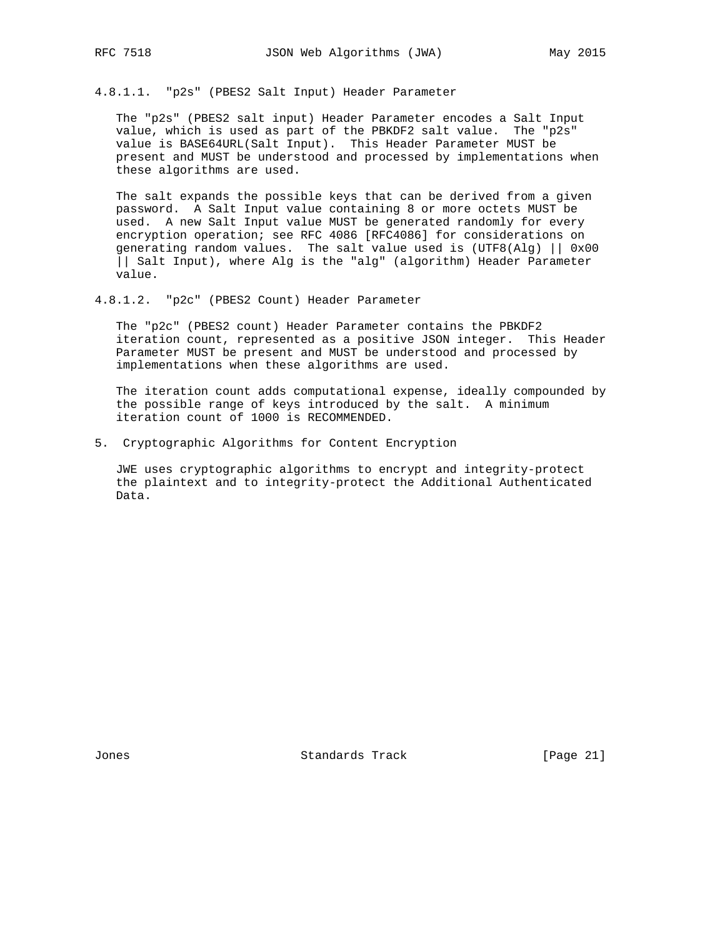4.8.1.1. "p2s" (PBES2 Salt Input) Header Parameter

 The "p2s" (PBES2 salt input) Header Parameter encodes a Salt Input value, which is used as part of the PBKDF2 salt value. The "p2s" value is BASE64URL(Salt Input). This Header Parameter MUST be present and MUST be understood and processed by implementations when these algorithms are used.

 The salt expands the possible keys that can be derived from a given password. A Salt Input value containing 8 or more octets MUST be used. A new Salt Input value MUST be generated randomly for every encryption operation; see RFC 4086 [RFC4086] for considerations on generating random values. The salt value used is (UTF8(Alg) || 0x00 || Salt Input), where Alg is the "alg" (algorithm) Header Parameter value.

4.8.1.2. "p2c" (PBES2 Count) Header Parameter

 The "p2c" (PBES2 count) Header Parameter contains the PBKDF2 iteration count, represented as a positive JSON integer. This Header Parameter MUST be present and MUST be understood and processed by implementations when these algorithms are used.

 The iteration count adds computational expense, ideally compounded by the possible range of keys introduced by the salt. A minimum iteration count of 1000 is RECOMMENDED.

5. Cryptographic Algorithms for Content Encryption

 JWE uses cryptographic algorithms to encrypt and integrity-protect the plaintext and to integrity-protect the Additional Authenticated Data.

Jones Standards Track [Page 21]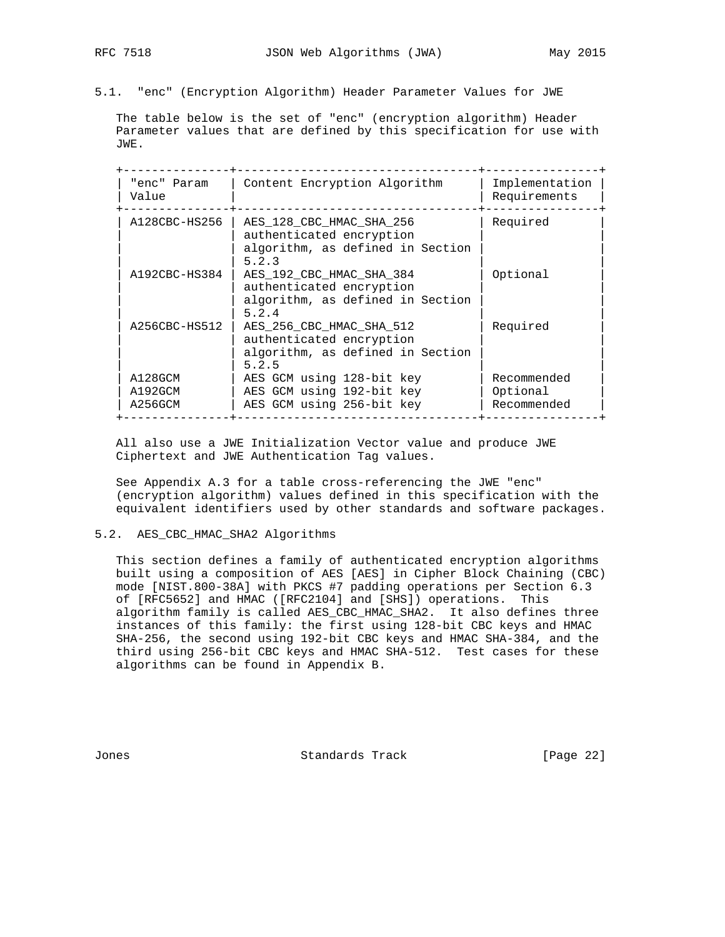5.1. "enc" (Encryption Algorithm) Header Parameter Values for JWE

 The table below is the set of "enc" (encryption algorithm) Header Parameter values that are defined by this specification for use with JWE.

| "enc" Param<br>Value | Content Encryption Algorithm                                                                      | Implementation<br>Requirements |
|----------------------|---------------------------------------------------------------------------------------------------|--------------------------------|
| A128CBC-HS256        | AES 128 CBC HMAC SHA 256<br>authenticated encryption<br>algorithm, as defined in Section<br>5.2.3 | Required                       |
| A192CBC-HS384        | AES_192_CBC_HMAC_SHA_384<br>authenticated encryption<br>algorithm, as defined in Section<br>5.2.4 | Optional                       |
| A256CBC-HS512        | AES_256_CBC_HMAC_SHA_512<br>authenticated encryption<br>algorithm, as defined in Section<br>5.2.5 | Required                       |
| A128GCM              | AES GCM using 128-bit key                                                                         | Recommended                    |
| A192GCM              | AES GCM using 192-bit key                                                                         | Optional                       |
| A256GCM              | AES GCM using 256-bit key                                                                         | Recommended                    |

 All also use a JWE Initialization Vector value and produce JWE Ciphertext and JWE Authentication Tag values.

 See Appendix A.3 for a table cross-referencing the JWE "enc" (encryption algorithm) values defined in this specification with the equivalent identifiers used by other standards and software packages.

#### 5.2. AES\_CBC\_HMAC\_SHA2 Algorithms

 This section defines a family of authenticated encryption algorithms built using a composition of AES [AES] in Cipher Block Chaining (CBC) mode [NIST.800-38A] with PKCS #7 padding operations per Section 6.3 of [RFC5652] and HMAC ([RFC2104] and [SHS]) operations. This algorithm family is called AES\_CBC\_HMAC\_SHA2. It also defines three instances of this family: the first using 128-bit CBC keys and HMAC SHA-256, the second using 192-bit CBC keys and HMAC SHA-384, and the third using 256-bit CBC keys and HMAC SHA-512. Test cases for these algorithms can be found in Appendix B.

Jones Standards Track [Page 22]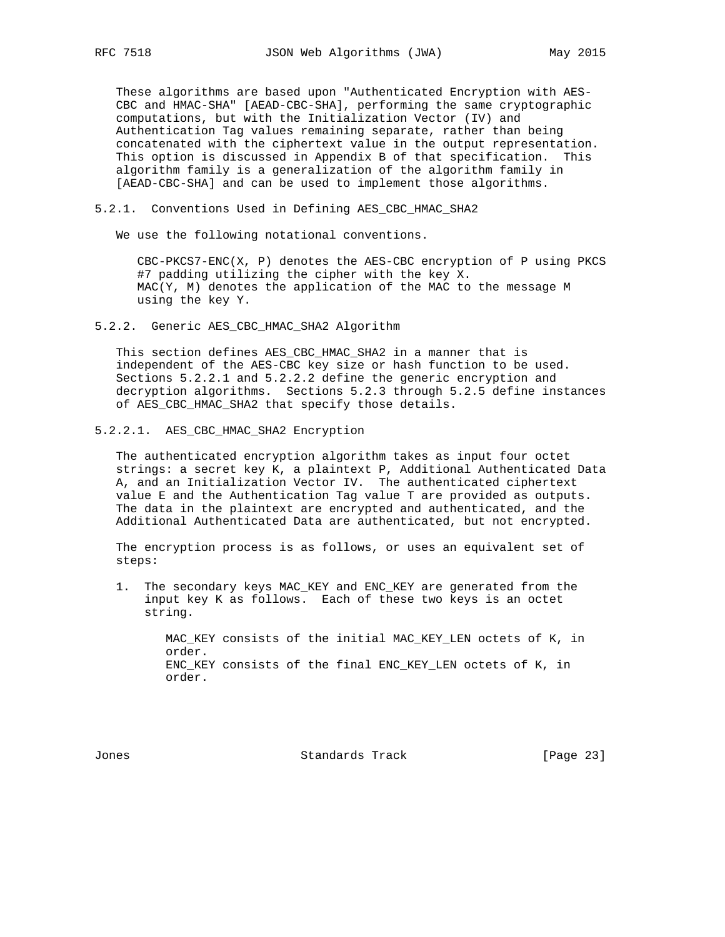These algorithms are based upon "Authenticated Encryption with AES- CBC and HMAC-SHA" [AEAD-CBC-SHA], performing the same cryptographic computations, but with the Initialization Vector (IV) and Authentication Tag values remaining separate, rather than being concatenated with the ciphertext value in the output representation. This option is discussed in Appendix B of that specification. This algorithm family is a generalization of the algorithm family in [AEAD-CBC-SHA] and can be used to implement those algorithms.

#### 5.2.1. Conventions Used in Defining AES\_CBC\_HMAC\_SHA2

We use the following notational conventions.

 CBC-PKCS7-ENC(X, P) denotes the AES-CBC encryption of P using PKCS #7 padding utilizing the cipher with the key X. MAC(Y, M) denotes the application of the MAC to the message M using the key Y.

5.2.2. Generic AES\_CBC\_HMAC\_SHA2 Algorithm

 This section defines AES\_CBC\_HMAC\_SHA2 in a manner that is independent of the AES-CBC key size or hash function to be used. Sections 5.2.2.1 and 5.2.2.2 define the generic encryption and decryption algorithms. Sections 5.2.3 through 5.2.5 define instances of AES\_CBC\_HMAC\_SHA2 that specify those details.

5.2.2.1. AES\_CBC\_HMAC\_SHA2 Encryption

 The authenticated encryption algorithm takes as input four octet strings: a secret key K, a plaintext P, Additional Authenticated Data A, and an Initialization Vector IV. The authenticated ciphertext value E and the Authentication Tag value T are provided as outputs. The data in the plaintext are encrypted and authenticated, and the Additional Authenticated Data are authenticated, but not encrypted.

 The encryption process is as follows, or uses an equivalent set of steps:

 1. The secondary keys MAC\_KEY and ENC\_KEY are generated from the input key K as follows. Each of these two keys is an octet string.

> MAC\_KEY consists of the initial MAC\_KEY\_LEN octets of K, in order. ENC\_KEY consists of the final ENC\_KEY\_LEN octets of K, in order.

Jones Standards Track [Page 23]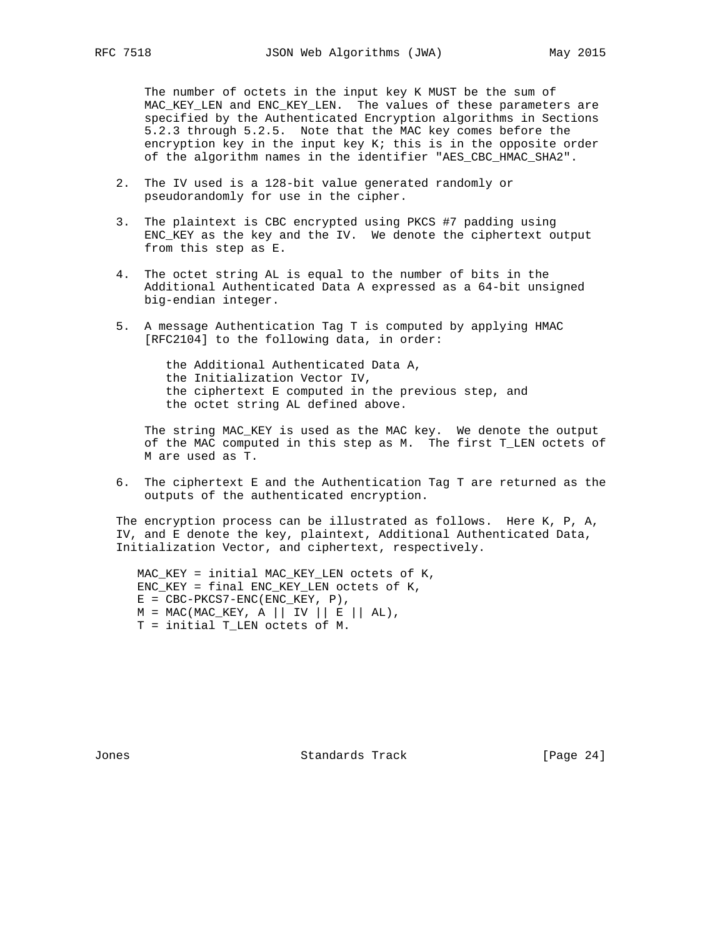The number of octets in the input key K MUST be the sum of MAC\_KEY\_LEN and ENC\_KEY\_LEN. The values of these parameters are specified by the Authenticated Encryption algorithms in Sections 5.2.3 through 5.2.5. Note that the MAC key comes before the encryption key in the input key K; this is in the opposite order of the algorithm names in the identifier "AES\_CBC\_HMAC\_SHA2".

- 2. The IV used is a 128-bit value generated randomly or pseudorandomly for use in the cipher.
- 3. The plaintext is CBC encrypted using PKCS #7 padding using ENC\_KEY as the key and the IV. We denote the ciphertext output from this step as E.
- 4. The octet string AL is equal to the number of bits in the Additional Authenticated Data A expressed as a 64-bit unsigned big-endian integer.
- 5. A message Authentication Tag T is computed by applying HMAC [RFC2104] to the following data, in order:

 the Additional Authenticated Data A, the Initialization Vector IV, the ciphertext E computed in the previous step, and the octet string AL defined above.

 The string MAC\_KEY is used as the MAC key. We denote the output of the MAC computed in this step as M. The first T\_LEN octets of M are used as T.

 6. The ciphertext E and the Authentication Tag T are returned as the outputs of the authenticated encryption.

 The encryption process can be illustrated as follows. Here K, P, A, IV, and E denote the key, plaintext, Additional Authenticated Data, Initialization Vector, and ciphertext, respectively.

 MAC\_KEY = initial MAC\_KEY\_LEN octets of K, ENC\_KEY = final ENC\_KEY\_LEN octets of K,  $E = CBC-PKCS7-ENC(ENC\_KEY, P),$  $M = MAC(MAC\_KEY, A || IV || E || AL),$ T = initial T\_LEN octets of M.

Jones Standards Track [Page 24]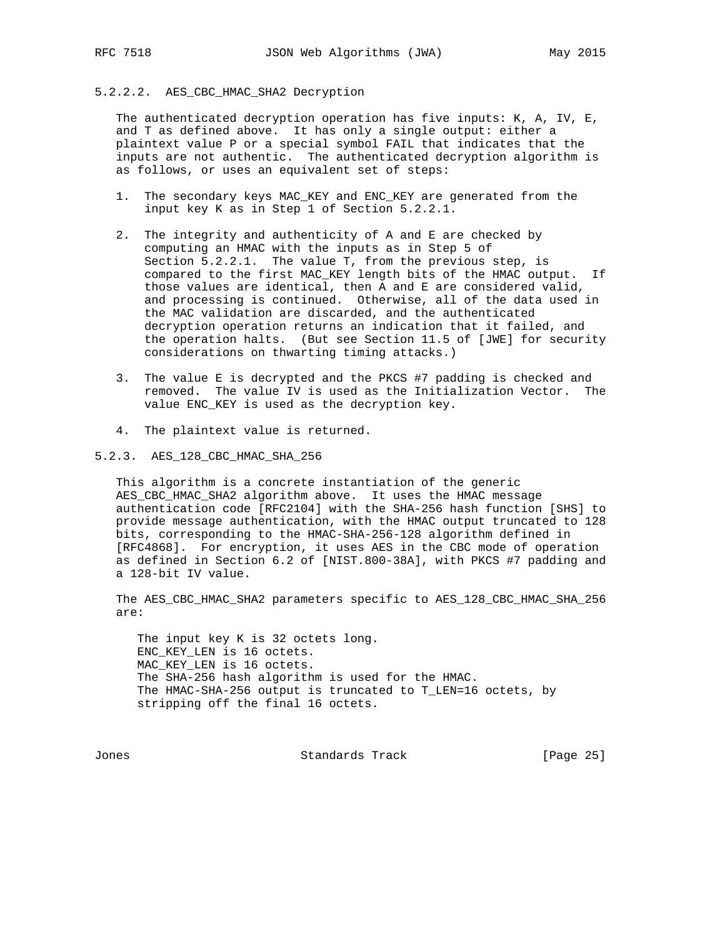## 5.2.2.2. AES\_CBC\_HMAC\_SHA2 Decryption

 The authenticated decryption operation has five inputs: K, A, IV, E, and T as defined above. It has only a single output: either a plaintext value P or a special symbol FAIL that indicates that the inputs are not authentic. The authenticated decryption algorithm is as follows, or uses an equivalent set of steps:

- 1. The secondary keys MAC\_KEY and ENC\_KEY are generated from the input key K as in Step 1 of Section 5.2.2.1.
- 2. The integrity and authenticity of A and E are checked by computing an HMAC with the inputs as in Step 5 of Section 5.2.2.1. The value T, from the previous step, is compared to the first MAC\_KEY length bits of the HMAC output. If those values are identical, then A and E are considered valid, and processing is continued. Otherwise, all of the data used in the MAC validation are discarded, and the authenticated decryption operation returns an indication that it failed, and the operation halts. (But see Section 11.5 of [JWE] for security considerations on thwarting timing attacks.)
- 3. The value E is decrypted and the PKCS #7 padding is checked and removed. The value IV is used as the Initialization Vector. The value ENC\_KEY is used as the decryption key.
- 4. The plaintext value is returned.

#### 5.2.3. AES\_128\_CBC\_HMAC\_SHA\_256

 This algorithm is a concrete instantiation of the generic AES\_CBC\_HMAC\_SHA2 algorithm above. It uses the HMAC message authentication code [RFC2104] with the SHA-256 hash function [SHS] to provide message authentication, with the HMAC output truncated to 128 bits, corresponding to the HMAC-SHA-256-128 algorithm defined in [RFC4868]. For encryption, it uses AES in the CBC mode of operation as defined in Section 6.2 of [NIST.800-38A], with PKCS #7 padding and a 128-bit IV value.

The AES CBC HMAC SHA2 parameters specific to AES 128 CBC HMAC SHA 256 are:

 The input key K is 32 octets long. ENC\_KEY\_LEN is 16 octets. MAC\_KEY\_LEN is 16 octets. The SHA-256 hash algorithm is used for the HMAC. The HMAC-SHA-256 output is truncated to T\_LEN=16 octets, by stripping off the final 16 octets.

Jones Standards Track [Page 25]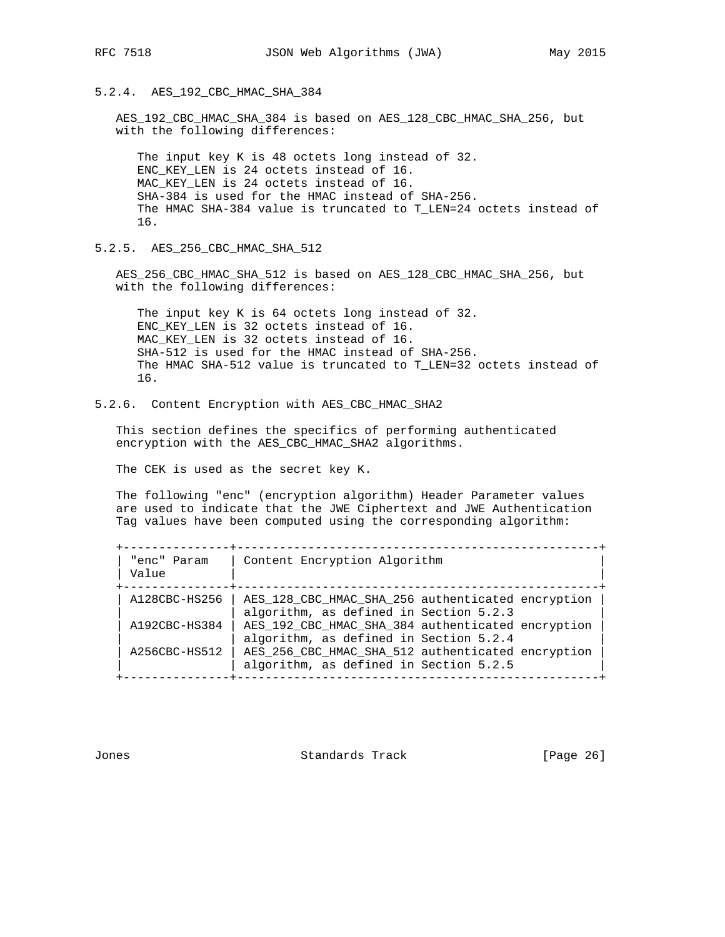## 5.2.4. AES\_192\_CBC\_HMAC\_SHA\_384

 AES\_192\_CBC\_HMAC\_SHA\_384 is based on AES\_128\_CBC\_HMAC\_SHA\_256, but with the following differences:

 The input key K is 48 octets long instead of 32. ENC\_KEY\_LEN is 24 octets instead of 16. MAC\_KEY\_LEN is 24 octets instead of 16. SHA-384 is used for the HMAC instead of SHA-256. The HMAC SHA-384 value is truncated to T\_LEN=24 octets instead of 16.

5.2.5. AES\_256\_CBC\_HMAC\_SHA\_512

 AES\_256\_CBC\_HMAC\_SHA\_512 is based on AES\_128\_CBC\_HMAC\_SHA\_256, but with the following differences:

 The input key K is 64 octets long instead of 32. ENC\_KEY\_LEN is 32 octets instead of 16. MAC\_KEY\_LEN is 32 octets instead of 16. SHA-512 is used for the HMAC instead of SHA-256. The HMAC SHA-512 value is truncated to T\_LEN=32 octets instead of 16.

5.2.6. Content Encryption with AES\_CBC\_HMAC\_SHA2

 This section defines the specifics of performing authenticated encryption with the AES\_CBC\_HMAC\_SHA2 algorithms.

The CEK is used as the secret key K.

 The following "enc" (encryption algorithm) Header Parameter values are used to indicate that the JWE Ciphertext and JWE Authentication Tag values have been computed using the corresponding algorithm:

| "enc" Param<br>Value | Content Encryption Algorithm                                                                |
|----------------------|---------------------------------------------------------------------------------------------|
| A128CBC-HS256        | AES_128_CBC_HMAC_SHA_256 authenticated encryption<br>algorithm, as defined in Section 5.2.3 |
| A192CBC-HS384        | AES 192 CBC HMAC SHA 384 authenticated encryption<br>algorithm, as defined in Section 5.2.4 |
| A256CBC-HS512        | AES 256 CBC_HMAC_SHA_512 authenticated encryption<br>algorithm, as defined in Section 5.2.5 |

Jones Standards Track [Page 26]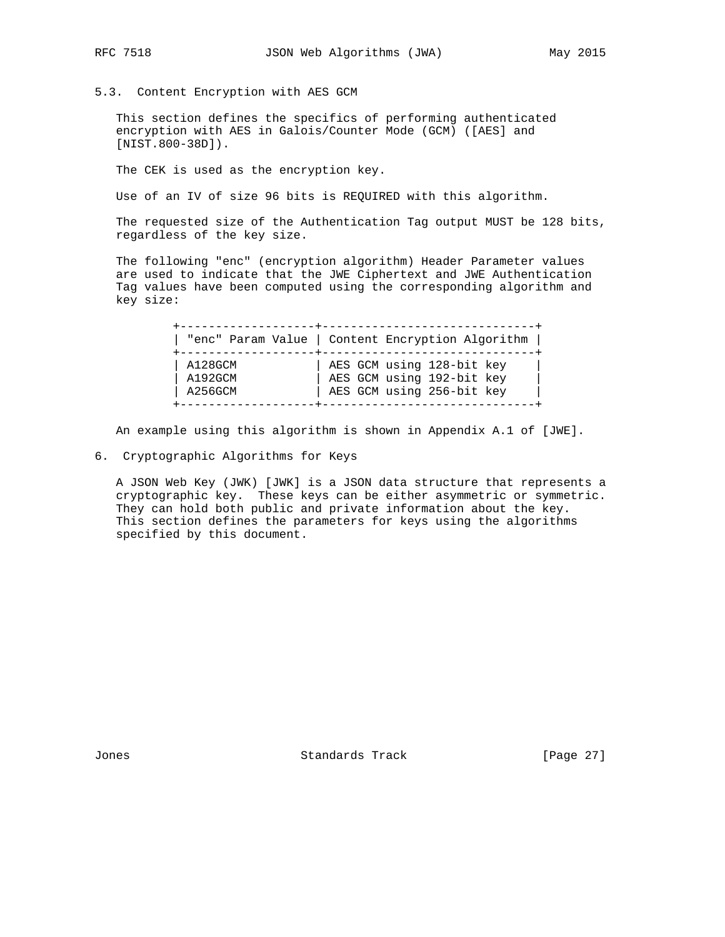- 
- 5.3. Content Encryption with AES GCM

 This section defines the specifics of performing authenticated encryption with AES in Galois/Counter Mode (GCM) ([AES] and [NIST.800-38D]).

The CEK is used as the encryption key.

Use of an IV of size 96 bits is REQUIRED with this algorithm.

 The requested size of the Authentication Tag output MUST be 128 bits, regardless of the key size.

 The following "enc" (encryption algorithm) Header Parameter values are used to indicate that the JWE Ciphertext and JWE Authentication Tag values have been computed using the corresponding algorithm and key size:

|         | "enc" Param Value   Content Encryption Algorithm |
|---------|--------------------------------------------------|
| A128GCM | AES GCM using 128-bit key                        |
| A192GCM | AES GCM using 192-bit key                        |
| A256GCM | AES GCM using 256-bit key                        |

An example using this algorithm is shown in Appendix A.1 of [JWE].

6. Cryptographic Algorithms for Keys

 A JSON Web Key (JWK) [JWK] is a JSON data structure that represents a cryptographic key. These keys can be either asymmetric or symmetric. They can hold both public and private information about the key. This section defines the parameters for keys using the algorithms specified by this document.

Jones Standards Track [Page 27]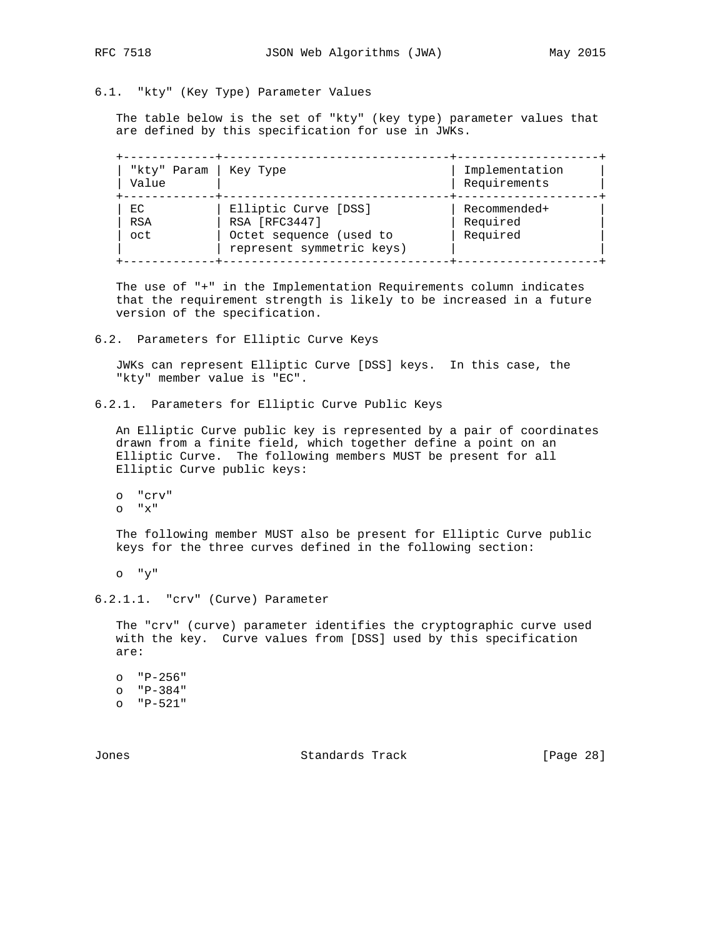# 6.1. "kty" (Key Type) Parameter Values

 The table below is the set of "kty" (key type) parameter values that are defined by this specification for use in JWKs.

| "kty" Param   Key Type<br>Value |                                                      | Implementation<br>Requirements |
|---------------------------------|------------------------------------------------------|--------------------------------|
| EC<br>RSA                       | Elliptic Curve [DSS]<br>RSA [RFC3447]                | Recommended+<br>Required       |
| oct                             | Octet sequence (used to<br>represent symmetric keys) | Required                       |

 The use of "+" in the Implementation Requirements column indicates that the requirement strength is likely to be increased in a future version of the specification.

6.2. Parameters for Elliptic Curve Keys

 JWKs can represent Elliptic Curve [DSS] keys. In this case, the "kty" member value is "EC".

6.2.1. Parameters for Elliptic Curve Public Keys

 An Elliptic Curve public key is represented by a pair of coordinates drawn from a finite field, which together define a point on an Elliptic Curve. The following members MUST be present for all Elliptic Curve public keys:

 o "crv" o "x"

 The following member MUST also be present for Elliptic Curve public keys for the three curves defined in the following section:

o "y"

6.2.1.1. "crv" (Curve) Parameter

 The "crv" (curve) parameter identifies the cryptographic curve used with the key. Curve values from [DSS] used by this specification are:

 o "P-256" o "P-384" o "P-521"

Jones Standards Track [Page 28]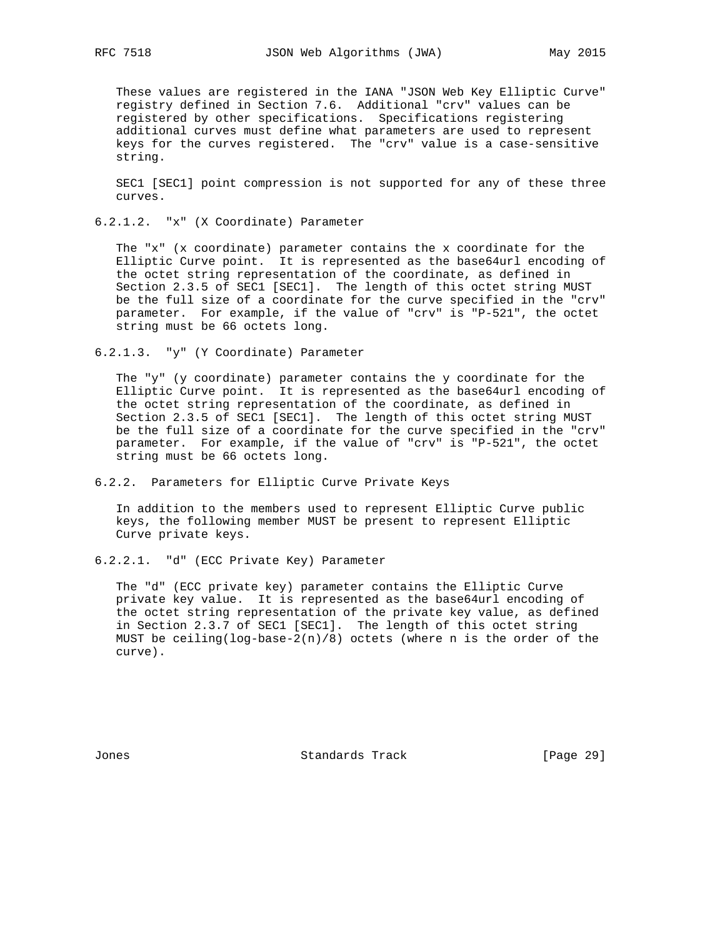These values are registered in the IANA "JSON Web Key Elliptic Curve" registry defined in Section 7.6. Additional "crv" values can be registered by other specifications. Specifications registering additional curves must define what parameters are used to represent keys for the curves registered. The "crv" value is a case-sensitive string.

 SEC1 [SEC1] point compression is not supported for any of these three curves.

6.2.1.2. "x" (X Coordinate) Parameter

 The "x" (x coordinate) parameter contains the x coordinate for the Elliptic Curve point. It is represented as the base64url encoding of the octet string representation of the coordinate, as defined in Section 2.3.5 of SEC1 [SEC1]. The length of this octet string MUST be the full size of a coordinate for the curve specified in the "crv" parameter. For example, if the value of "crv" is "P-521", the octet string must be 66 octets long.

6.2.1.3. "y" (Y Coordinate) Parameter

 The "y" (y coordinate) parameter contains the y coordinate for the Elliptic Curve point. It is represented as the base64url encoding of the octet string representation of the coordinate, as defined in Section 2.3.5 of SEC1 [SEC1]. The length of this octet string MUST be the full size of a coordinate for the curve specified in the "crv" parameter. For example, if the value of "crv" is "P-521", the octet string must be 66 octets long.

6.2.2. Parameters for Elliptic Curve Private Keys

 In addition to the members used to represent Elliptic Curve public keys, the following member MUST be present to represent Elliptic Curve private keys.

6.2.2.1. "d" (ECC Private Key) Parameter

 The "d" (ECC private key) parameter contains the Elliptic Curve private key value. It is represented as the base64url encoding of the octet string representation of the private key value, as defined in Section 2.3.7 of SEC1 [SEC1]. The length of this octet string MUST be ceiling(log-base-2(n)/8) octets (where n is the order of the curve).

Jones Standards Track [Page 29]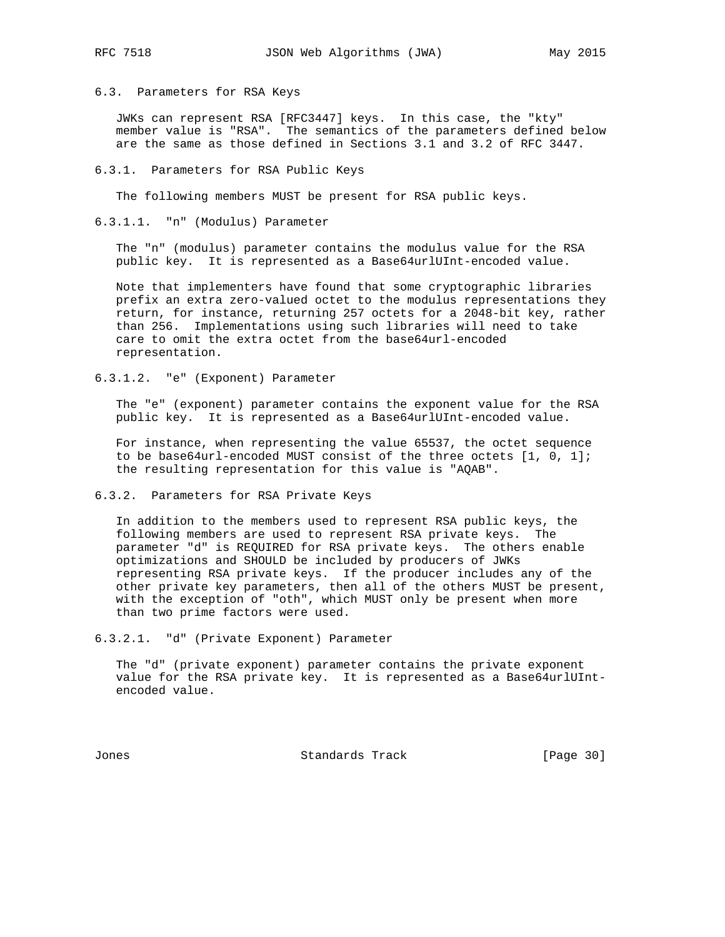#### 6.3. Parameters for RSA Keys

 JWKs can represent RSA [RFC3447] keys. In this case, the "kty" member value is "RSA". The semantics of the parameters defined below are the same as those defined in Sections 3.1 and 3.2 of RFC 3447.

#### 6.3.1. Parameters for RSA Public Keys

The following members MUST be present for RSA public keys.

#### 6.3.1.1. "n" (Modulus) Parameter

 The "n" (modulus) parameter contains the modulus value for the RSA public key. It is represented as a Base64urlUInt-encoded value.

 Note that implementers have found that some cryptographic libraries prefix an extra zero-valued octet to the modulus representations they return, for instance, returning 257 octets for a 2048-bit key, rather than 256. Implementations using such libraries will need to take care to omit the extra octet from the base64url-encoded representation.

6.3.1.2. "e" (Exponent) Parameter

 The "e" (exponent) parameter contains the exponent value for the RSA public key. It is represented as a Base64urlUInt-encoded value.

 For instance, when representing the value 65537, the octet sequence to be base64url-encoded MUST consist of the three octets [1, 0, 1]; the resulting representation for this value is "AQAB".

6.3.2. Parameters for RSA Private Keys

 In addition to the members used to represent RSA public keys, the following members are used to represent RSA private keys. The parameter "d" is REQUIRED for RSA private keys. The others enable optimizations and SHOULD be included by producers of JWKs representing RSA private keys. If the producer includes any of the other private key parameters, then all of the others MUST be present, with the exception of "oth", which MUST only be present when more than two prime factors were used.

6.3.2.1. "d" (Private Exponent) Parameter

 The "d" (private exponent) parameter contains the private exponent value for the RSA private key. It is represented as a Base64urlUInt encoded value.

Jones Standards Track [Page 30]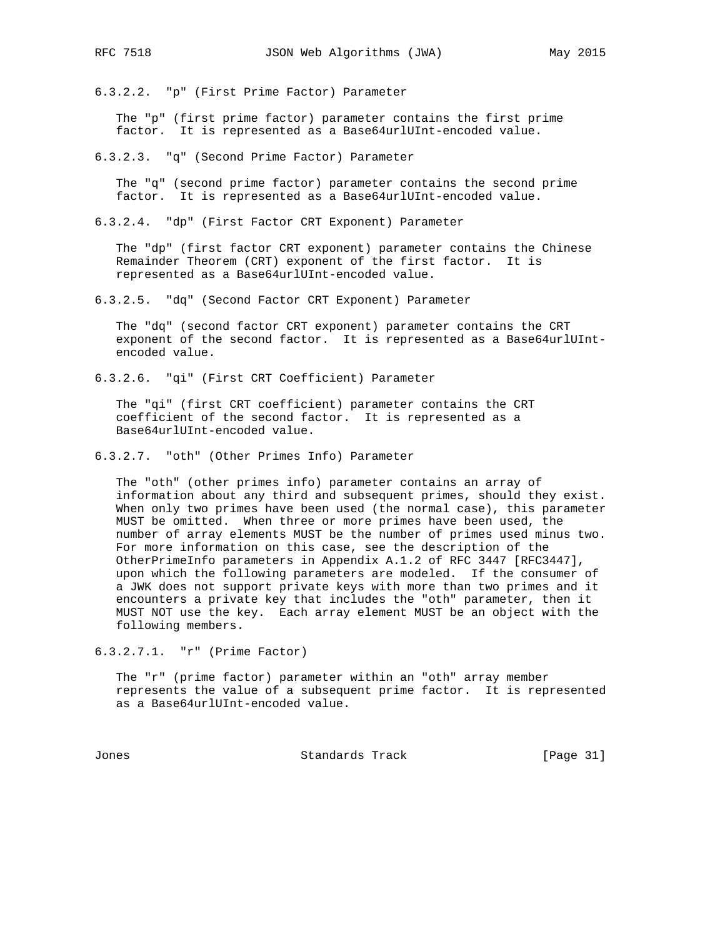6.3.2.2. "p" (First Prime Factor) Parameter

 The "p" (first prime factor) parameter contains the first prime factor. It is represented as a Base64urlUInt-encoded value.

6.3.2.3. "q" (Second Prime Factor) Parameter

 The "q" (second prime factor) parameter contains the second prime factor. It is represented as a Base64urlUInt-encoded value.

6.3.2.4. "dp" (First Factor CRT Exponent) Parameter

 The "dp" (first factor CRT exponent) parameter contains the Chinese Remainder Theorem (CRT) exponent of the first factor. It is represented as a Base64urlUInt-encoded value.

6.3.2.5. "dq" (Second Factor CRT Exponent) Parameter

 The "dq" (second factor CRT exponent) parameter contains the CRT exponent of the second factor. It is represented as a Base64urlUInt encoded value.

6.3.2.6. "qi" (First CRT Coefficient) Parameter

 The "qi" (first CRT coefficient) parameter contains the CRT coefficient of the second factor. It is represented as a Base64urlUInt-encoded value.

6.3.2.7. "oth" (Other Primes Info) Parameter

 The "oth" (other primes info) parameter contains an array of information about any third and subsequent primes, should they exist. When only two primes have been used (the normal case), this parameter MUST be omitted. When three or more primes have been used, the number of array elements MUST be the number of primes used minus two. For more information on this case, see the description of the OtherPrimeInfo parameters in Appendix A.1.2 of RFC 3447 [RFC3447], upon which the following parameters are modeled. If the consumer of a JWK does not support private keys with more than two primes and it encounters a private key that includes the "oth" parameter, then it MUST NOT use the key. Each array element MUST be an object with the following members.

6.3.2.7.1. "r" (Prime Factor)

 The "r" (prime factor) parameter within an "oth" array member represents the value of a subsequent prime factor. It is represented as a Base64urlUInt-encoded value.

Jones Standards Track [Page 31]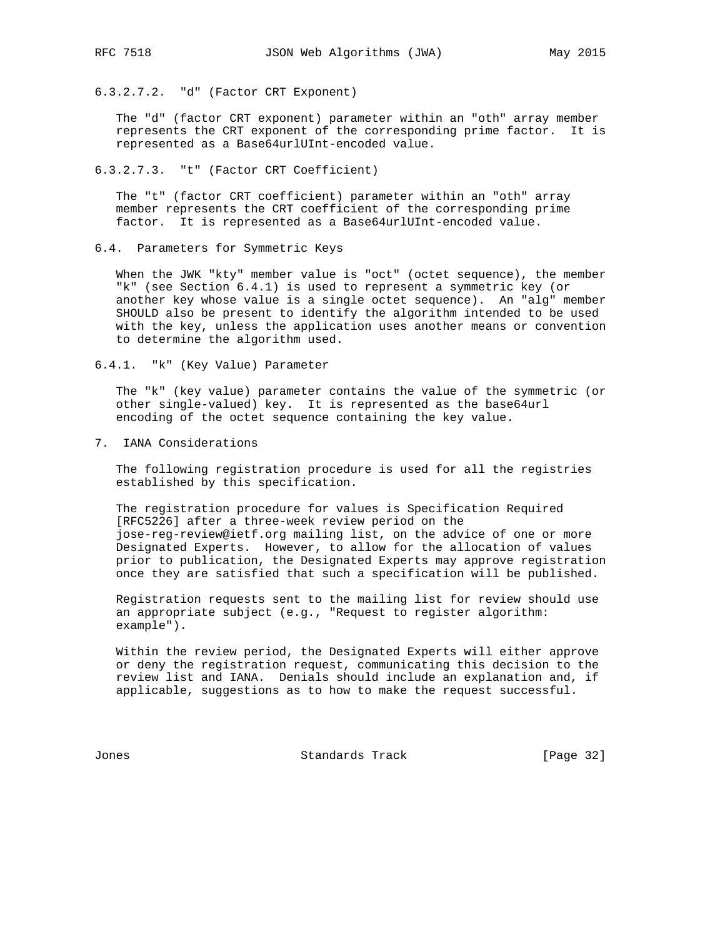- 
- 6.3.2.7.2. "d" (Factor CRT Exponent)

 The "d" (factor CRT exponent) parameter within an "oth" array member represents the CRT exponent of the corresponding prime factor. It is represented as a Base64urlUInt-encoded value.

6.3.2.7.3. "t" (Factor CRT Coefficient)

 The "t" (factor CRT coefficient) parameter within an "oth" array member represents the CRT coefficient of the corresponding prime factor. It is represented as a Base64urlUInt-encoded value.

6.4. Parameters for Symmetric Keys

 When the JWK "kty" member value is "oct" (octet sequence), the member "k" (see Section 6.4.1) is used to represent a symmetric key (or another key whose value is a single octet sequence). An "alg" member SHOULD also be present to identify the algorithm intended to be used with the key, unless the application uses another means or convention to determine the algorithm used.

6.4.1. "k" (Key Value) Parameter

 The "k" (key value) parameter contains the value of the symmetric (or other single-valued) key. It is represented as the base64url encoding of the octet sequence containing the key value.

7. IANA Considerations

 The following registration procedure is used for all the registries established by this specification.

 The registration procedure for values is Specification Required [RFC5226] after a three-week review period on the jose-reg-review@ietf.org mailing list, on the advice of one or more Designated Experts. However, to allow for the allocation of values prior to publication, the Designated Experts may approve registration once they are satisfied that such a specification will be published.

 Registration requests sent to the mailing list for review should use an appropriate subject (e.g., "Request to register algorithm: example").

 Within the review period, the Designated Experts will either approve or deny the registration request, communicating this decision to the review list and IANA. Denials should include an explanation and, if applicable, suggestions as to how to make the request successful.

Jones Standards Track [Page 32]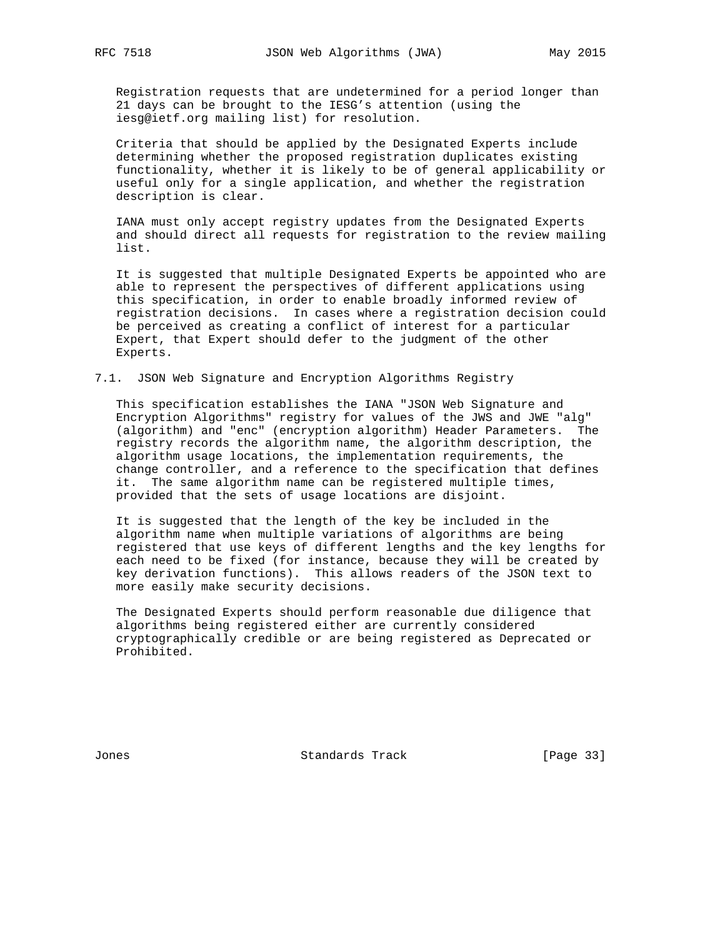Registration requests that are undetermined for a period longer than 21 days can be brought to the IESG's attention (using the iesg@ietf.org mailing list) for resolution.

 Criteria that should be applied by the Designated Experts include determining whether the proposed registration duplicates existing functionality, whether it is likely to be of general applicability or useful only for a single application, and whether the registration description is clear.

 IANA must only accept registry updates from the Designated Experts and should direct all requests for registration to the review mailing list.

 It is suggested that multiple Designated Experts be appointed who are able to represent the perspectives of different applications using this specification, in order to enable broadly informed review of registration decisions. In cases where a registration decision could be perceived as creating a conflict of interest for a particular Expert, that Expert should defer to the judgment of the other Experts.

#### 7.1. JSON Web Signature and Encryption Algorithms Registry

 This specification establishes the IANA "JSON Web Signature and Encryption Algorithms" registry for values of the JWS and JWE "alg" (algorithm) and "enc" (encryption algorithm) Header Parameters. The registry records the algorithm name, the algorithm description, the algorithm usage locations, the implementation requirements, the change controller, and a reference to the specification that defines it. The same algorithm name can be registered multiple times, provided that the sets of usage locations are disjoint.

 It is suggested that the length of the key be included in the algorithm name when multiple variations of algorithms are being registered that use keys of different lengths and the key lengths for each need to be fixed (for instance, because they will be created by key derivation functions). This allows readers of the JSON text to more easily make security decisions.

 The Designated Experts should perform reasonable due diligence that algorithms being registered either are currently considered cryptographically credible or are being registered as Deprecated or Prohibited.

Jones Standards Track [Page 33]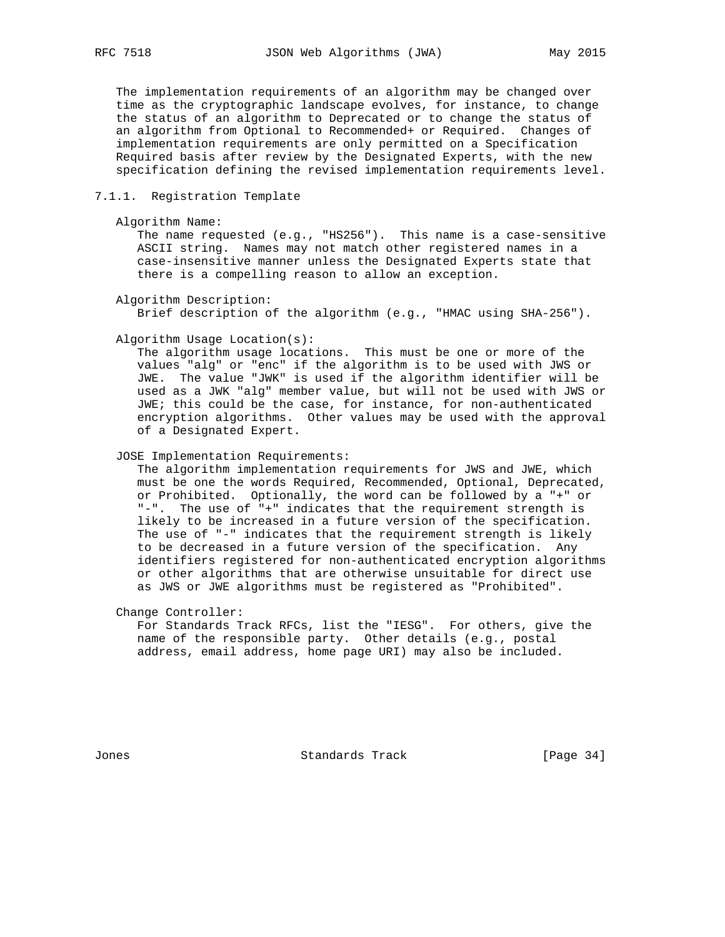The implementation requirements of an algorithm may be changed over time as the cryptographic landscape evolves, for instance, to change the status of an algorithm to Deprecated or to change the status of an algorithm from Optional to Recommended+ or Required. Changes of implementation requirements are only permitted on a Specification Required basis after review by the Designated Experts, with the new specification defining the revised implementation requirements level.

#### 7.1.1. Registration Template

Algorithm Name:

 The name requested (e.g., "HS256"). This name is a case-sensitive ASCII string. Names may not match other registered names in a case-insensitive manner unless the Designated Experts state that there is a compelling reason to allow an exception.

Algorithm Description:

Brief description of the algorithm (e.g., "HMAC using SHA-256").

Algorithm Usage Location(s):

 The algorithm usage locations. This must be one or more of the values "alg" or "enc" if the algorithm is to be used with JWS or JWE. The value "JWK" is used if the algorithm identifier will be used as a JWK "alg" member value, but will not be used with JWS or JWE; this could be the case, for instance, for non-authenticated encryption algorithms. Other values may be used with the approval of a Designated Expert.

JOSE Implementation Requirements:

 The algorithm implementation requirements for JWS and JWE, which must be one the words Required, Recommended, Optional, Deprecated, or Prohibited. Optionally, the word can be followed by a "+" or "-". The use of "+" indicates that the requirement strength is likely to be increased in a future version of the specification. The use of "-" indicates that the requirement strength is likely to be decreased in a future version of the specification. Any identifiers registered for non-authenticated encryption algorithms or other algorithms that are otherwise unsuitable for direct use as JWS or JWE algorithms must be registered as "Prohibited".

Change Controller:

 For Standards Track RFCs, list the "IESG". For others, give the name of the responsible party. Other details (e.g., postal address, email address, home page URI) may also be included.

Jones Standards Track [Page 34]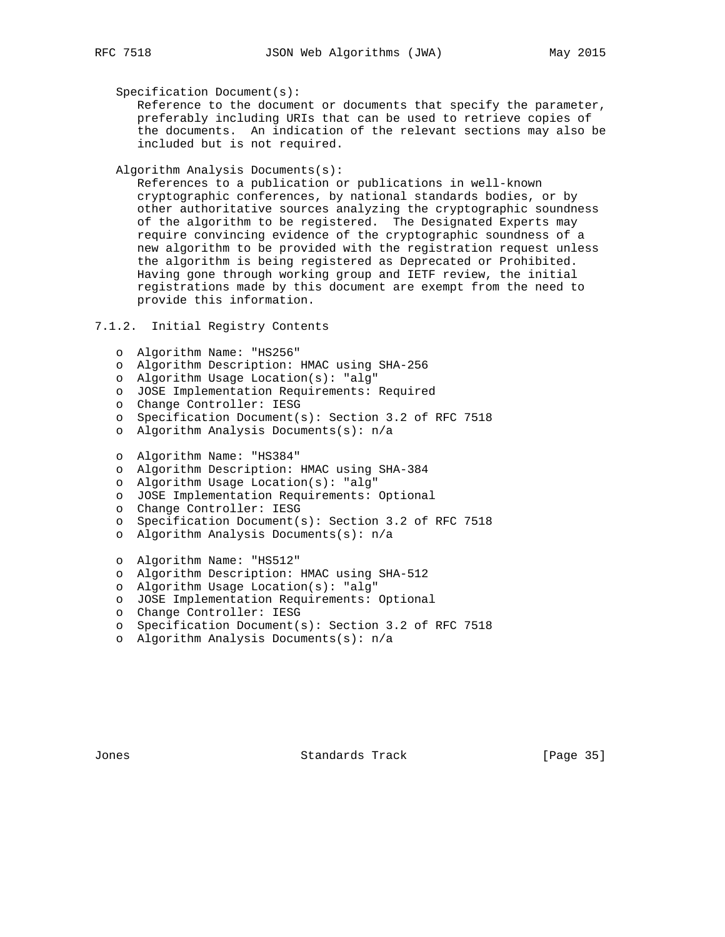Specification Document(s):

 Reference to the document or documents that specify the parameter, preferably including URIs that can be used to retrieve copies of the documents. An indication of the relevant sections may also be included but is not required.

Algorithm Analysis Documents(s):

 References to a publication or publications in well-known cryptographic conferences, by national standards bodies, or by other authoritative sources analyzing the cryptographic soundness of the algorithm to be registered. The Designated Experts may require convincing evidence of the cryptographic soundness of a new algorithm to be provided with the registration request unless the algorithm is being registered as Deprecated or Prohibited. Having gone through working group and IETF review, the initial registrations made by this document are exempt from the need to provide this information.

## 7.1.2. Initial Registry Contents

- o Algorithm Name: "HS256"
- o Algorithm Description: HMAC using SHA-256
- o Algorithm Usage Location(s): "alg"
- o JOSE Implementation Requirements: Required
- o Change Controller: IESG
- o Specification Document(s): Section 3.2 of RFC 7518
- o Algorithm Analysis Documents(s): n/a
- o Algorithm Name: "HS384"
- o Algorithm Description: HMAC using SHA-384
- o Algorithm Usage Location(s): "alg"
- o JOSE Implementation Requirements: Optional
- o Change Controller: IESG
- o Specification Document(s): Section 3.2 of RFC 7518
- o Algorithm Analysis Documents(s): n/a
- o Algorithm Name: "HS512"
- o Algorithm Description: HMAC using SHA-512
- o Algorithm Usage Location(s): "alg"
- o JOSE Implementation Requirements: Optional
- o Change Controller: IESG
- o Specification Document(s): Section 3.2 of RFC 7518
- o Algorithm Analysis Documents(s): n/a

Jones Standards Track [Page 35]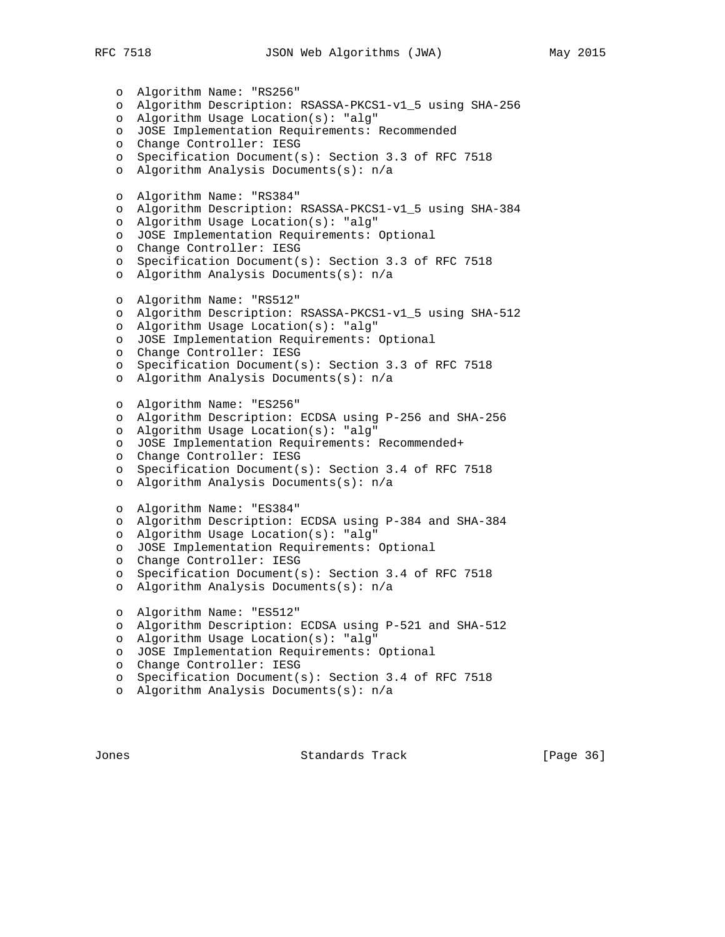o Algorithm Name: "RS256" o Algorithm Description: RSASSA-PKCS1-v1\_5 using SHA-256 o Algorithm Usage Location(s): "alg" o JOSE Implementation Requirements: Recommended o Change Controller: IESG o Specification Document(s): Section 3.3 of RFC 7518 o Algorithm Analysis Documents(s): n/a o Algorithm Name: "RS384" o Algorithm Description: RSASSA-PKCS1-v1\_5 using SHA-384 o Algorithm Usage Location(s): "alg" o JOSE Implementation Requirements: Optional o Change Controller: IESG o Specification Document(s): Section 3.3 of RFC 7518 o Algorithm Analysis Documents(s): n/a o Algorithm Name: "RS512" o Algorithm Description: RSASSA-PKCS1-v1\_5 using SHA-512 o Algorithm Usage Location(s): "alg" o JOSE Implementation Requirements: Optional o Change Controller: IESG o Specification Document(s): Section 3.3 of RFC 7518 o Algorithm Analysis Documents(s): n/a o Algorithm Name: "ES256" o Algorithm Description: ECDSA using P-256 and SHA-256 o Algorithm Usage Location(s): "alg" o JOSE Implementation Requirements: Recommended+ o Change Controller: IESG o Specification Document(s): Section 3.4 of RFC 7518 o Algorithm Analysis Documents(s): n/a o Algorithm Name: "ES384" o Algorithm Description: ECDSA using P-384 and SHA-384 o Algorithm Usage Location(s): "alg" o JOSE Implementation Requirements: Optional o Change Controller: IESG o Specification Document(s): Section 3.4 of RFC 7518 o Algorithm Analysis Documents(s): n/a o Algorithm Name: "ES512" o Algorithm Description: ECDSA using P-521 and SHA-512 o Algorithm Usage Location(s): "alg" o JOSE Implementation Requirements: Optional o Change Controller: IESG o Specification Document(s): Section 3.4 of RFC 7518 o Algorithm Analysis Documents(s): n/a

Jones Standards Track [Page 36]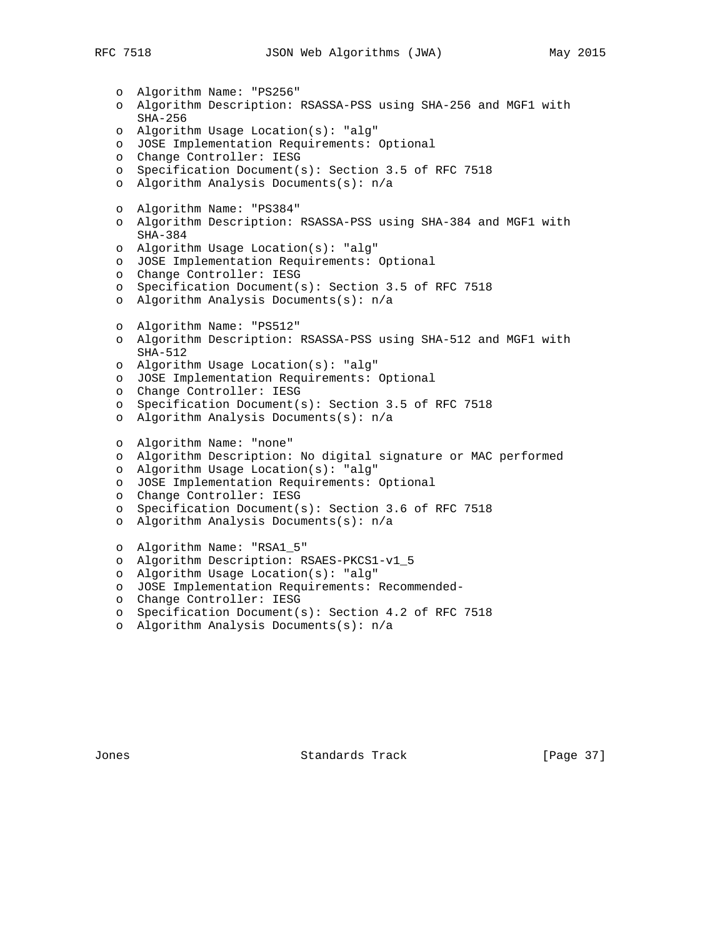o Algorithm Name: "PS256" o Algorithm Description: RSASSA-PSS using SHA-256 and MGF1 with SHA-256 o Algorithm Usage Location(s): "alg" o JOSE Implementation Requirements: Optional o Change Controller: IESG o Specification Document(s): Section 3.5 of RFC 7518 o Algorithm Analysis Documents(s): n/a o Algorithm Name: "PS384" o Algorithm Description: RSASSA-PSS using SHA-384 and MGF1 with SHA-384 o Algorithm Usage Location(s): "alg" o JOSE Implementation Requirements: Optional o Change Controller: IESG o Specification Document(s): Section 3.5 of RFC 7518 o Algorithm Analysis Documents(s): n/a o Algorithm Name: "PS512" o Algorithm Description: RSASSA-PSS using SHA-512 and MGF1 with SHA-512 o Algorithm Usage Location(s): "alg" o JOSE Implementation Requirements: Optional o Change Controller: IESG o Specification Document(s): Section 3.5 of RFC 7518 o Algorithm Analysis Documents(s): n/a o Algorithm Name: "none" o Algorithm Description: No digital signature or MAC performed o Algorithm Usage Location(s): "alg" o JOSE Implementation Requirements: Optional o Change Controller: IESG o Specification Document(s): Section 3.6 of RFC 7518 o Algorithm Analysis Documents(s): n/a o Algorithm Name: "RSA1\_5" o Algorithm Description: RSAES-PKCS1-v1\_5 o Algorithm Usage Location(s): "alg" o JOSE Implementation Requirements: Recommended o Change Controller: IESG o Specification Document(s): Section 4.2 of RFC 7518 o Algorithm Analysis Documents(s): n/a

Jones Standards Track [Page 37]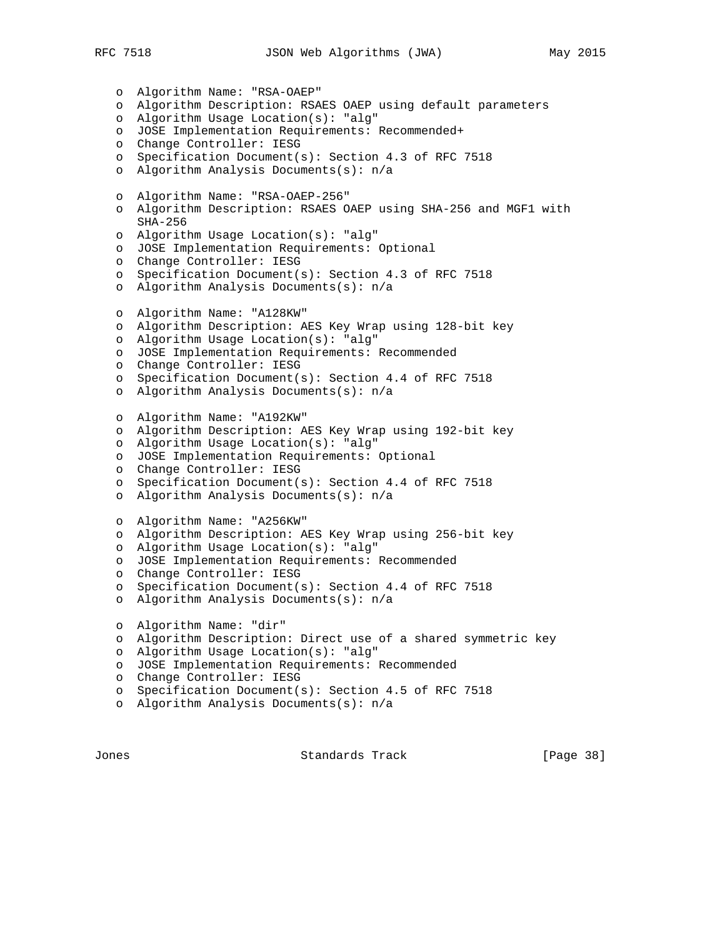o Algorithm Name: "RSA-OAEP" o Algorithm Description: RSAES OAEP using default parameters o Algorithm Usage Location(s): "alg" o JOSE Implementation Requirements: Recommended+ o Change Controller: IESG o Specification Document(s): Section 4.3 of RFC 7518 o Algorithm Analysis Documents(s): n/a o Algorithm Name: "RSA-OAEP-256" o Algorithm Description: RSAES OAEP using SHA-256 and MGF1 with SHA-256 o Algorithm Usage Location(s): "alg" o JOSE Implementation Requirements: Optional o Change Controller: IESG o Specification Document(s): Section 4.3 of RFC 7518 o Algorithm Analysis Documents(s): n/a o Algorithm Name: "A128KW" o Algorithm Description: AES Key Wrap using 128-bit key o Algorithm Usage Location(s): "alg" o JOSE Implementation Requirements: Recommended o Change Controller: IESG o Specification Document(s): Section 4.4 of RFC 7518 o Algorithm Analysis Documents(s): n/a o Algorithm Name: "A192KW" o Algorithm Description: AES Key Wrap using 192-bit key o Algorithm Usage Location(s): "alg" o JOSE Implementation Requirements: Optional o Change Controller: IESG o Specification Document(s): Section 4.4 of RFC 7518 o Algorithm Analysis Documents(s): n/a o Algorithm Name: "A256KW" o Algorithm Description: AES Key Wrap using 256-bit key o Algorithm Usage Location(s): "alg" o JOSE Implementation Requirements: Recommended o Change Controller: IESG o Specification Document(s): Section 4.4 of RFC 7518 o Algorithm Analysis Documents(s): n/a o Algorithm Name: "dir" o Algorithm Description: Direct use of a shared symmetric key o Algorithm Usage Location(s): "alg" o JOSE Implementation Requirements: Recommended o Change Controller: IESG o Specification Document(s): Section 4.5 of RFC 7518 o Algorithm Analysis Documents(s): n/a

Jones Standards Track [Page 38]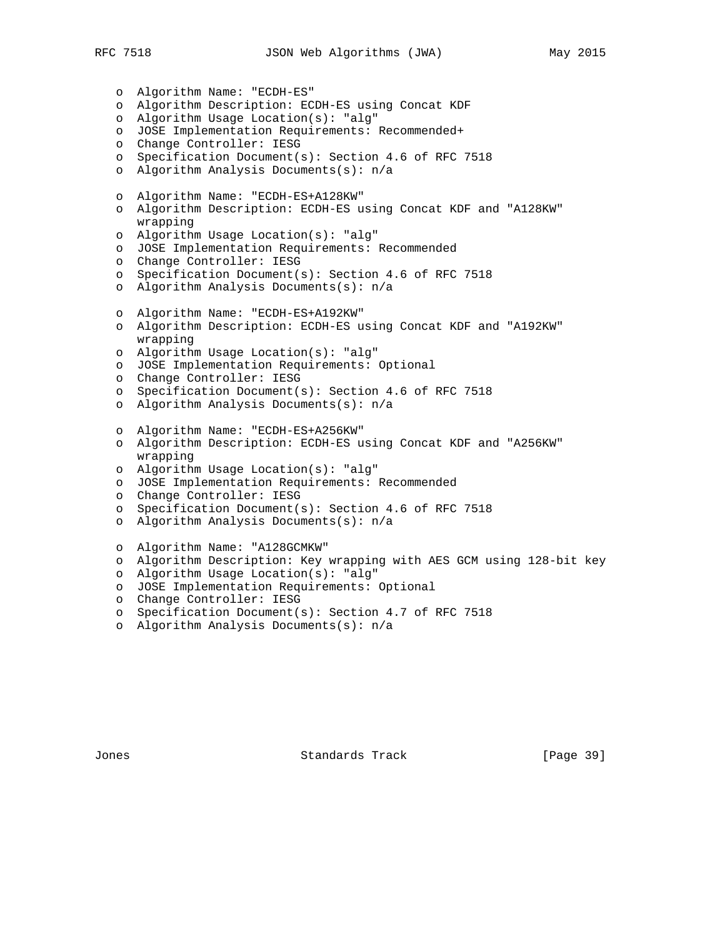o Algorithm Name: "ECDH-ES" o Algorithm Description: ECDH-ES using Concat KDF o Algorithm Usage Location(s): "alg" o JOSE Implementation Requirements: Recommended+ o Change Controller: IESG o Specification Document(s): Section 4.6 of RFC 7518 o Algorithm Analysis Documents(s): n/a o Algorithm Name: "ECDH-ES+A128KW" o Algorithm Description: ECDH-ES using Concat KDF and "A128KW" wrapping o Algorithm Usage Location(s): "alg" o JOSE Implementation Requirements: Recommended o Change Controller: IESG o Specification Document(s): Section 4.6 of RFC 7518 o Algorithm Analysis Documents(s): n/a o Algorithm Name: "ECDH-ES+A192KW" o Algorithm Description: ECDH-ES using Concat KDF and "A192KW" wrapping o Algorithm Usage Location(s): "alg" o JOSE Implementation Requirements: Optional o Change Controller: IESG o Specification Document(s): Section 4.6 of RFC 7518 o Algorithm Analysis Documents(s): n/a o Algorithm Name: "ECDH-ES+A256KW" o Algorithm Description: ECDH-ES using Concat KDF and "A256KW" wrapping o Algorithm Usage Location(s): "alg" o JOSE Implementation Requirements: Recommended o Change Controller: IESG o Specification Document(s): Section 4.6 of RFC 7518 o Algorithm Analysis Documents(s): n/a o Algorithm Name: "A128GCMKW" o Algorithm Description: Key wrapping with AES GCM using 128-bit key o Algorithm Usage Location(s): "alg" o JOSE Implementation Requirements: Optional o Change Controller: IESG

- o Specification Document(s): Section 4.7 of RFC 7518
- o Algorithm Analysis Documents(s): n/a

Jones Standards Track [Page 39]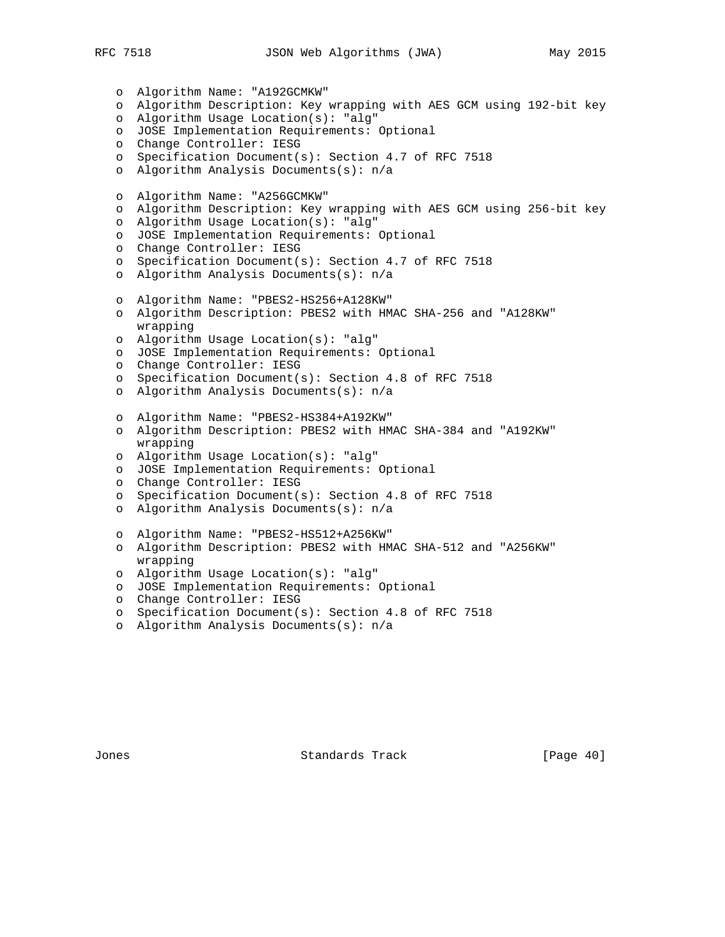o Algorithm Name: "A192GCMKW" o Algorithm Description: Key wrapping with AES GCM using 192-bit key o Algorithm Usage Location(s): "alg" o JOSE Implementation Requirements: Optional o Change Controller: IESG o Specification Document(s): Section 4.7 of RFC 7518 o Algorithm Analysis Documents(s): n/a o Algorithm Name: "A256GCMKW" o Algorithm Description: Key wrapping with AES GCM using 256-bit key o Algorithm Usage Location(s): "alg" o JOSE Implementation Requirements: Optional o Change Controller: IESG o Specification Document(s): Section 4.7 of RFC 7518 o Algorithm Analysis Documents(s): n/a o Algorithm Name: "PBES2-HS256+A128KW" o Algorithm Description: PBES2 with HMAC SHA-256 and "A128KW" wrapping o Algorithm Usage Location(s): "alg" o JOSE Implementation Requirements: Optional o Change Controller: IESG o Specification Document(s): Section 4.8 of RFC 7518 o Algorithm Analysis Documents(s): n/a o Algorithm Name: "PBES2-HS384+A192KW" o Algorithm Description: PBES2 with HMAC SHA-384 and "A192KW" wrapping o Algorithm Usage Location(s): "alg" o JOSE Implementation Requirements: Optional o Change Controller: IESG o Specification Document(s): Section 4.8 of RFC 7518 o Algorithm Analysis Documents(s): n/a o Algorithm Name: "PBES2-HS512+A256KW" o Algorithm Description: PBES2 with HMAC SHA-512 and "A256KW" wrapping o Algorithm Usage Location(s): "alg" o JOSE Implementation Requirements: Optional o Change Controller: IESG o Specification Document(s): Section 4.8 of RFC 7518

o Algorithm Analysis Documents(s): n/a

Jones Standards Track [Page 40]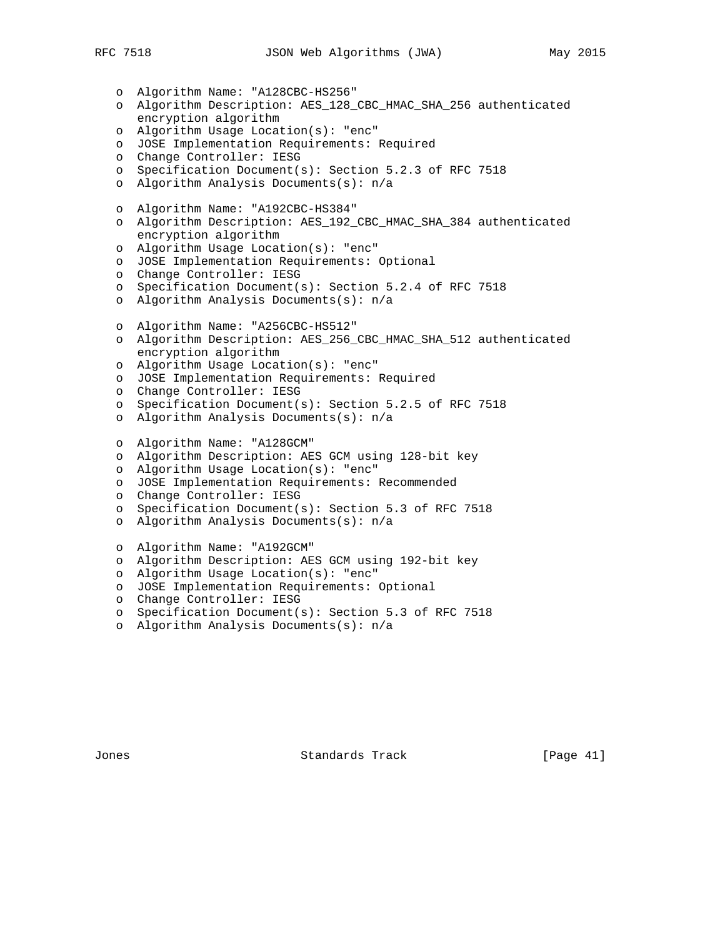o Algorithm Name: "A128CBC-HS256" o Algorithm Description: AES\_128\_CBC\_HMAC\_SHA\_256 authenticated encryption algorithm o Algorithm Usage Location(s): "enc" o JOSE Implementation Requirements: Required o Change Controller: IESG o Specification Document(s): Section 5.2.3 of RFC 7518 o Algorithm Analysis Documents(s): n/a o Algorithm Name: "A192CBC-HS384" o Algorithm Description: AES\_192\_CBC\_HMAC\_SHA\_384 authenticated encryption algorithm o Algorithm Usage Location(s): "enc" o JOSE Implementation Requirements: Optional o Change Controller: IESG o Specification Document(s): Section 5.2.4 of RFC 7518 o Algorithm Analysis Documents(s): n/a o Algorithm Name: "A256CBC-HS512" o Algorithm Description: AES\_256\_CBC\_HMAC\_SHA\_512 authenticated encryption algorithm o Algorithm Usage Location(s): "enc" o JOSE Implementation Requirements: Required o Change Controller: IESG o Specification Document(s): Section 5.2.5 of RFC 7518 o Algorithm Analysis Documents(s): n/a o Algorithm Name: "A128GCM" o Algorithm Description: AES GCM using 128-bit key o Algorithm Usage Location(s): "enc" o JOSE Implementation Requirements: Recommended o Change Controller: IESG o Specification Document(s): Section 5.3 of RFC 7518 o Algorithm Analysis Documents(s): n/a o Algorithm Name: "A192GCM" o Algorithm Description: AES GCM using 192-bit key o Algorithm Usage Location(s): "enc" o JOSE Implementation Requirements: Optional o Change Controller: IESG o Specification Document(s): Section 5.3 of RFC 7518

o Algorithm Analysis Documents(s): n/a

Jones Standards Track [Page 41]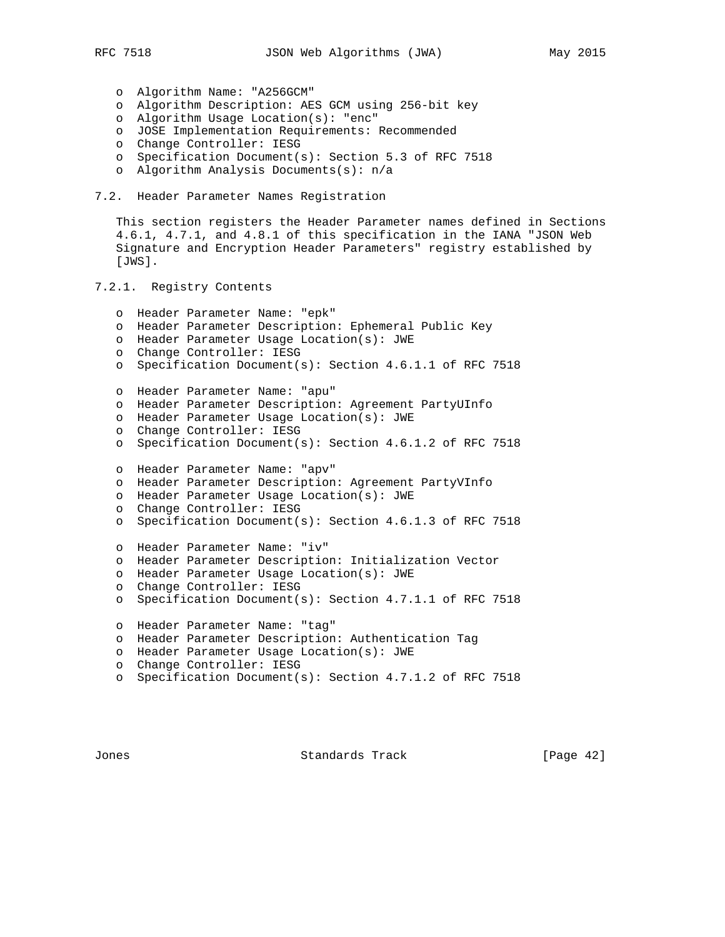- o Algorithm Name: "A256GCM"
- o Algorithm Description: AES GCM using 256-bit key
- o Algorithm Usage Location(s): "enc"
	- o JOSE Implementation Requirements: Recommended
	- o Change Controller: IESG
	- o Specification Document(s): Section 5.3 of RFC 7518
	- o Algorithm Analysis Documents(s): n/a
- 7.2. Header Parameter Names Registration

 This section registers the Header Parameter names defined in Sections 4.6.1, 4.7.1, and 4.8.1 of this specification in the IANA "JSON Web Signature and Encryption Header Parameters" registry established by [JWS].

7.2.1. Registry Contents

```
 o Header Parameter Name: "epk"
o Header Parameter Description: Ephemeral Public Key
o Header Parameter Usage Location(s): JWE
o Change Controller: IESG
o Specification Document(s): Section 4.6.1.1 of RFC 7518
o Header Parameter Name: "apu"
o Header Parameter Description: Agreement PartyUInfo
o Header Parameter Usage Location(s): JWE
o Change Controller: IESG
o Specification Document(s): Section 4.6.1.2 of RFC 7518
o Header Parameter Name: "apv"
o Header Parameter Description: Agreement PartyVInfo
o Header Parameter Usage Location(s): JWE
o Change Controller: IESG
o Specification Document(s): Section 4.6.1.3 of RFC 7518
o Header Parameter Name: "iv"
o Header Parameter Description: Initialization Vector
o Header Parameter Usage Location(s): JWE
o Change Controller: IESG
o Specification Document(s): Section 4.7.1.1 of RFC 7518
o Header Parameter Name: "tag"
o Header Parameter Description: Authentication Tag
o Header Parameter Usage Location(s): JWE
o Change Controller: IESG
o Specification Document(s): Section 4.7.1.2 of RFC 7518
```
Jones Standards Track [Page 42]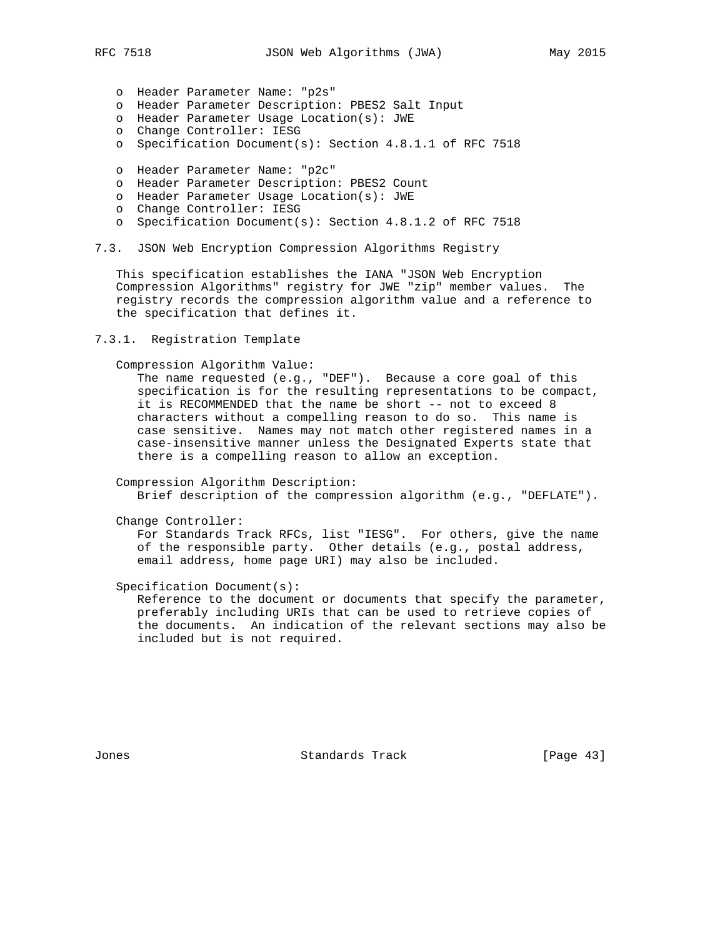- o Header Parameter Name: "p2s"
- o Header Parameter Description: PBES2 Salt Input
- o Header Parameter Usage Location(s): JWE
- o Change Controller: IESG
- o Specification Document(s): Section 4.8.1.1 of RFC 7518
- o Header Parameter Name: "p2c"
- o Header Parameter Description: PBES2 Count
- o Header Parameter Usage Location(s): JWE
- o Change Controller: IESG
- o Specification Document(s): Section 4.8.1.2 of RFC 7518
- 7.3. JSON Web Encryption Compression Algorithms Registry

 This specification establishes the IANA "JSON Web Encryption Compression Algorithms" registry for JWE "zip" member values. The registry records the compression algorithm value and a reference to the specification that defines it.

7.3.1. Registration Template

Compression Algorithm Value:

 The name requested (e.g., "DEF"). Because a core goal of this specification is for the resulting representations to be compact, it is RECOMMENDED that the name be short -- not to exceed 8 characters without a compelling reason to do so. This name is case sensitive. Names may not match other registered names in a case-insensitive manner unless the Designated Experts state that there is a compelling reason to allow an exception.

 Compression Algorithm Description: Brief description of the compression algorithm (e.g., "DEFLATE").

Change Controller:

 For Standards Track RFCs, list "IESG". For others, give the name of the responsible party. Other details (e.g., postal address, email address, home page URI) may also be included.

Specification Document(s):

 Reference to the document or documents that specify the parameter, preferably including URIs that can be used to retrieve copies of the documents. An indication of the relevant sections may also be included but is not required.

Jones Standards Track [Page 43]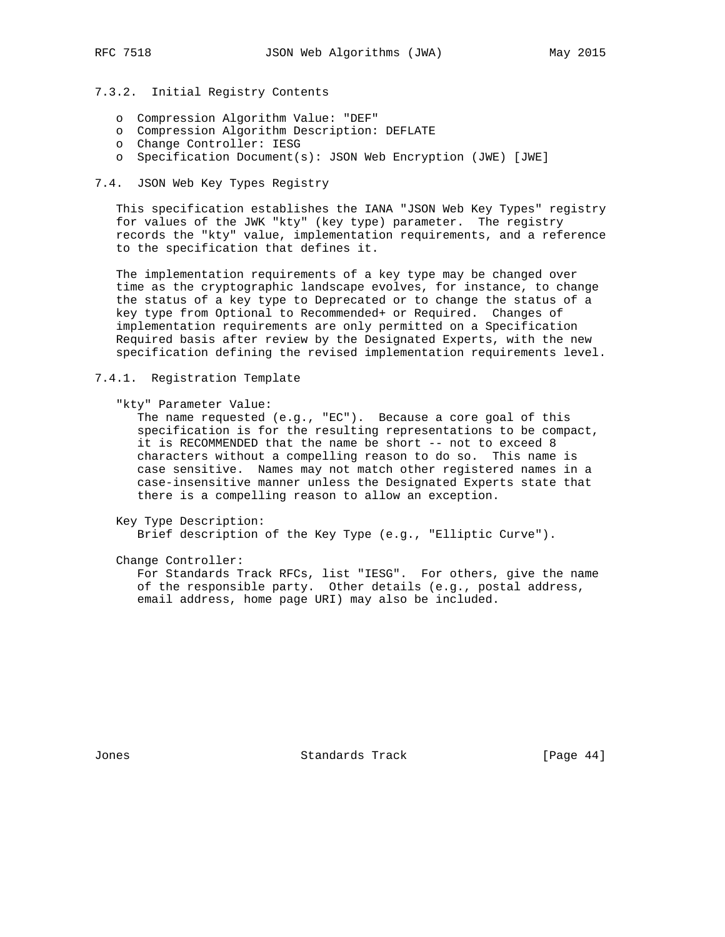# 7.3.2. Initial Registry Contents

- o Compression Algorithm Value: "DEF"
- o Compression Algorithm Description: DEFLATE
- o Change Controller: IESG
- o Specification Document(s): JSON Web Encryption (JWE) [JWE]

## 7.4. JSON Web Key Types Registry

 This specification establishes the IANA "JSON Web Key Types" registry for values of the JWK "kty" (key type) parameter. The registry records the "kty" value, implementation requirements, and a reference to the specification that defines it.

 The implementation requirements of a key type may be changed over time as the cryptographic landscape evolves, for instance, to change the status of a key type to Deprecated or to change the status of a key type from Optional to Recommended+ or Required. Changes of implementation requirements are only permitted on a Specification Required basis after review by the Designated Experts, with the new specification defining the revised implementation requirements level.

#### 7.4.1. Registration Template

"kty" Parameter Value:

 The name requested (e.g., "EC"). Because a core goal of this specification is for the resulting representations to be compact, it is RECOMMENDED that the name be short -- not to exceed 8 characters without a compelling reason to do so. This name is case sensitive. Names may not match other registered names in a case-insensitive manner unless the Designated Experts state that there is a compelling reason to allow an exception.

 Key Type Description: Brief description of the Key Type (e.g., "Elliptic Curve").

Change Controller:

 For Standards Track RFCs, list "IESG". For others, give the name of the responsible party. Other details (e.g., postal address, email address, home page URI) may also be included.

Jones Standards Track [Page 44]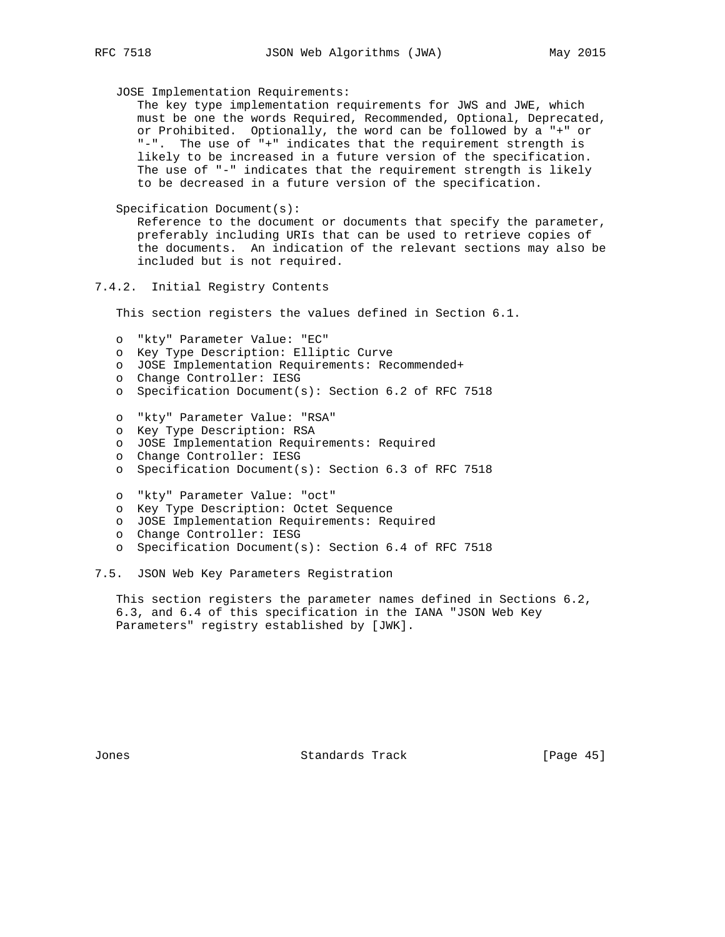JOSE Implementation Requirements:

 The key type implementation requirements for JWS and JWE, which must be one the words Required, Recommended, Optional, Deprecated, or Prohibited. Optionally, the word can be followed by a "+" or "-". The use of "+" indicates that the requirement strength is likely to be increased in a future version of the specification. The use of "-" indicates that the requirement strength is likely to be decreased in a future version of the specification.

Specification Document(s):

 Reference to the document or documents that specify the parameter, preferably including URIs that can be used to retrieve copies of the documents. An indication of the relevant sections may also be included but is not required.

#### 7.4.2. Initial Registry Contents

This section registers the values defined in Section 6.1.

- o "kty" Parameter Value: "EC"
- o Key Type Description: Elliptic Curve
- o JOSE Implementation Requirements: Recommended+
- o Change Controller: IESG
- o Specification Document(s): Section 6.2 of RFC 7518
- o "kty" Parameter Value: "RSA"
- o Key Type Description: RSA
- o JOSE Implementation Requirements: Required
- o Change Controller: IESG
- o Specification Document(s): Section 6.3 of RFC 7518
- o "kty" Parameter Value: "oct"
- o Key Type Description: Octet Sequence
- o JOSE Implementation Requirements: Required
- o Change Controller: IESG
- o Specification Document(s): Section 6.4 of RFC 7518
- 7.5. JSON Web Key Parameters Registration

 This section registers the parameter names defined in Sections 6.2, 6.3, and 6.4 of this specification in the IANA "JSON Web Key Parameters" registry established by [JWK].

Jones Standards Track [Page 45]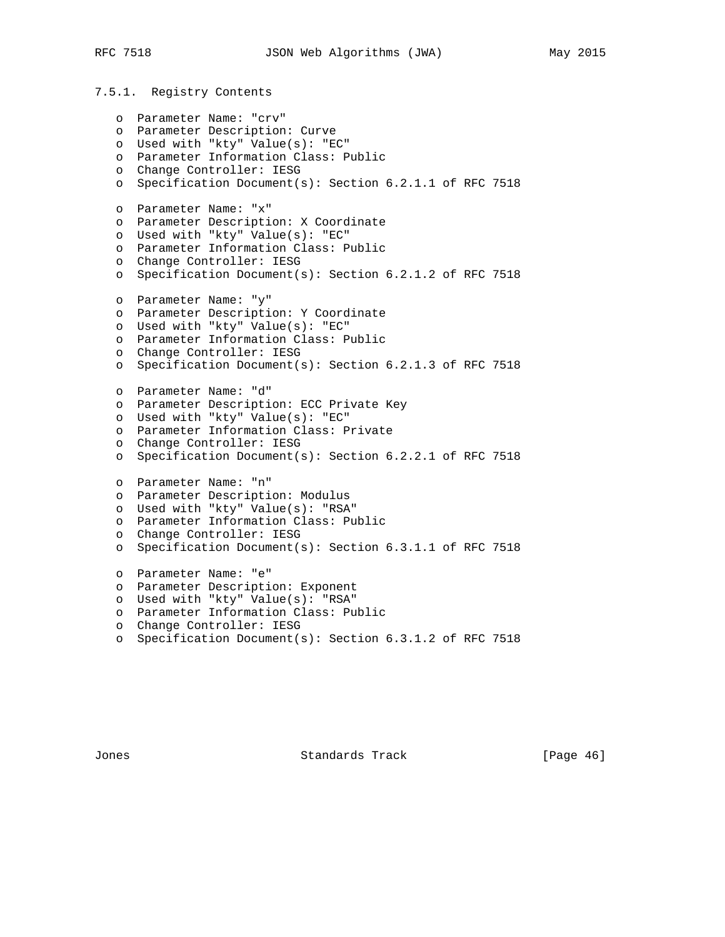```
7.5.1. Registry Contents
   o Parameter Name: "crv"
  o Parameter Description: Curve
  o Used with "kty" Value(s): "EC"
  o Parameter Information Class: Public
  o Change Controller: IESG
  o Parameter Name: "x"
  o Parameter Description: X Coordinate
  o Used with "kty" Value(s): "EC"
  o Parameter Information Class: Public
   o Change Controller: IESG
  o Parameter Name: "y"
  o Parameter Description: Y Coordinate
  o Used with "kty" Value(s): "EC"
  o Parameter Information Class: Public
  o Change Controller: IESG
  o Parameter Name: "d"
```

```
 o Specification Document(s): Section 6.2.1.1 of RFC 7518
o Specification Document(s): Section 6.2.1.2 of RFC 7518
o Specification Document(s): Section 6.2.1.3 of RFC 7518
o Parameter Description: ECC Private Key
o Used with "kty" Value(s): "EC"
o Parameter Information Class: Private
o Change Controller: IESG
o Specification Document(s): Section 6.2.2.1 of RFC 7518
o Parameter Name: "n"
o Parameter Description: Modulus
o Used with "kty" Value(s): "RSA"
o Parameter Information Class: Public
o Change Controller: IESG
o Specification Document(s): Section 6.3.1.1 of RFC 7518
o Parameter Name: "e"
o Parameter Description: Exponent
o Used with "kty" Value(s): "RSA"
o Parameter Information Class: Public
o Change Controller: IESG
```

```
 o Specification Document(s): Section 6.3.1.2 of RFC 7518
```
Jones Standards Track [Page 46]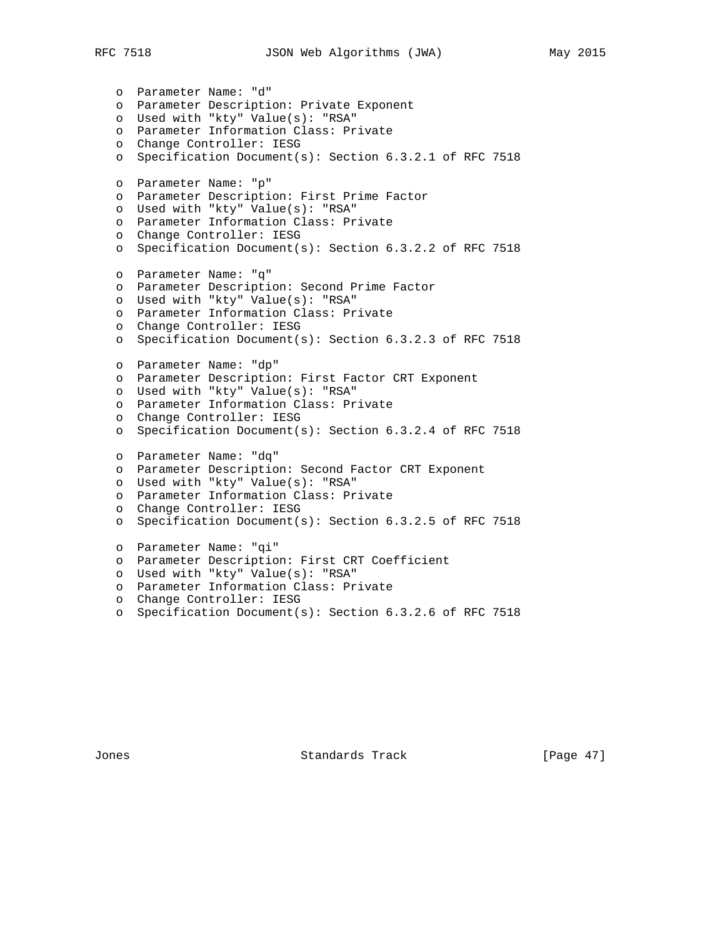```
 o Parameter Name: "d"
  o Parameter Description: Private Exponent
  o Used with "kty" Value(s): "RSA"
  o Parameter Information Class: Private
  o Change Controller: IESG
  o Specification Document(s): Section 6.3.2.1 of RFC 7518
  o Parameter Name: "p"
  o Parameter Description: First Prime Factor
  o Used with "kty" Value(s): "RSA"
  o Parameter Information Class: Private
  o Change Controller: IESG
  o Specification Document(s): Section 6.3.2.2 of RFC 7518
  o Parameter Name: "q"
  o Parameter Description: Second Prime Factor
  o Used with "kty" Value(s): "RSA"
  o Parameter Information Class: Private
  o Change Controller: IESG
  o Specification Document(s): Section 6.3.2.3 of RFC 7518
  o Parameter Name: "dp"
  o Parameter Description: First Factor CRT Exponent
  o Used with "kty" Value(s): "RSA"
  o Parameter Information Class: Private
o Change Controller: IESG
o Specification Document(s): Section 6.3.2.4 of RFC 7518
  o Parameter Name: "dq"
  o Parameter Description: Second Factor CRT Exponent
  o Used with "kty" Value(s): "RSA"
  o Parameter Information Class: Private
  o Change Controller: IESG
  o Specification Document(s): Section 6.3.2.5 of RFC 7518
  o Parameter Name: "qi"
  o Parameter Description: First CRT Coefficient
o Used with "kty" Value(s): "RSA"
o Parameter Information Class: Private
  o Change Controller: IESG
  o Specification Document(s): Section 6.3.2.6 of RFC 7518
```
Jones Standards Track [Page 47]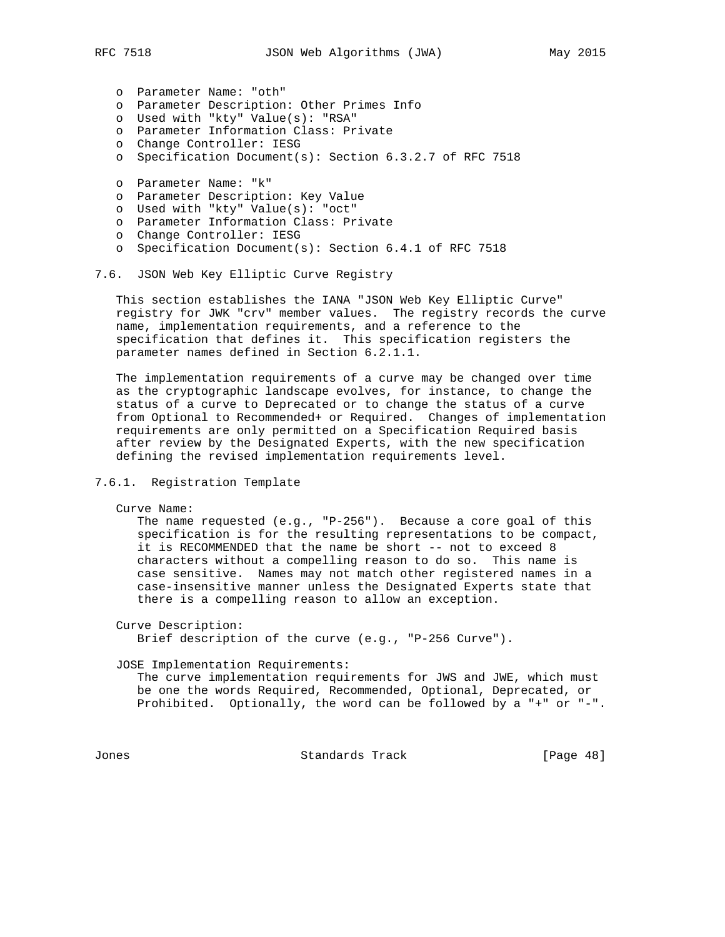o Parameter Name: "oth"

- o Parameter Description: Other Primes Info
- o Used with "kty" Value(s): "RSA"
- o Parameter Information Class: Private
- o Change Controller: IESG
- o Specification Document(s): Section 6.3.2.7 of RFC 7518
- o Parameter Name: "k"
- o Parameter Description: Key Value
- o Used with "kty" Value(s): "oct"
- o Parameter Information Class: Private
- o Change Controller: IESG
- o Specification Document(s): Section 6.4.1 of RFC 7518

#### 7.6. JSON Web Key Elliptic Curve Registry

 This section establishes the IANA "JSON Web Key Elliptic Curve" registry for JWK "crv" member values. The registry records the curve name, implementation requirements, and a reference to the specification that defines it. This specification registers the parameter names defined in Section 6.2.1.1.

 The implementation requirements of a curve may be changed over time as the cryptographic landscape evolves, for instance, to change the status of a curve to Deprecated or to change the status of a curve from Optional to Recommended+ or Required. Changes of implementation requirements are only permitted on a Specification Required basis after review by the Designated Experts, with the new specification defining the revised implementation requirements level.

# 7.6.1. Registration Template

Curve Name:

 The name requested (e.g., "P-256"). Because a core goal of this specification is for the resulting representations to be compact, it is RECOMMENDED that the name be short -- not to exceed 8 characters without a compelling reason to do so. This name is case sensitive. Names may not match other registered names in a case-insensitive manner unless the Designated Experts state that there is a compelling reason to allow an exception.

Curve Description:

Brief description of the curve (e.g., "P-256 Curve").

JOSE Implementation Requirements:

 The curve implementation requirements for JWS and JWE, which must be one the words Required, Recommended, Optional, Deprecated, or Prohibited. Optionally, the word can be followed by a "+" or "-".

Jones Standards Track [Page 48]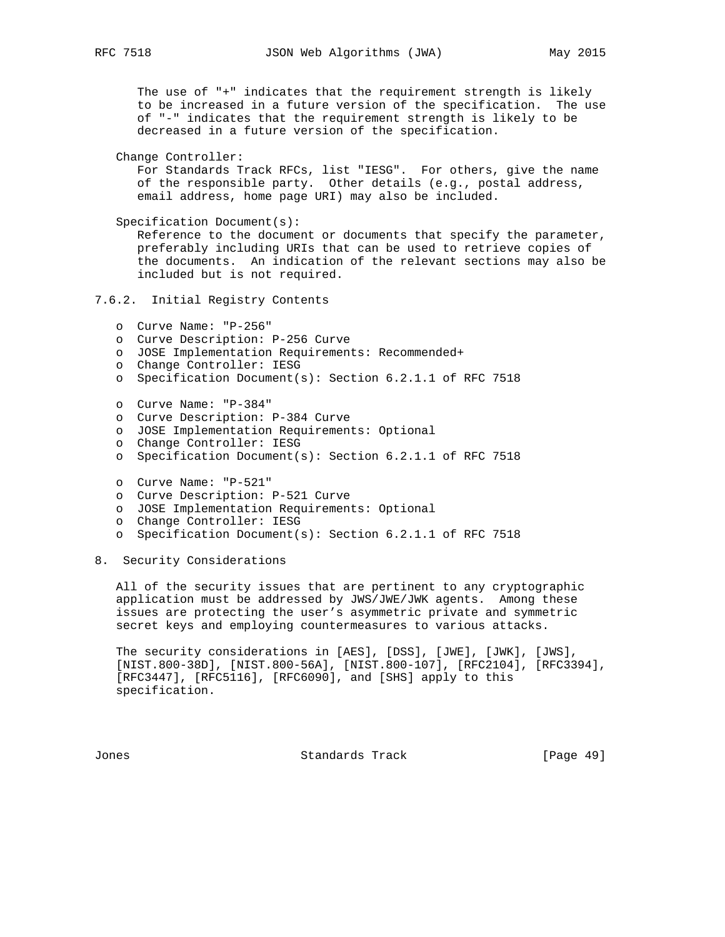The use of "+" indicates that the requirement strength is likely to be increased in a future version of the specification. The use of "-" indicates that the requirement strength is likely to be decreased in a future version of the specification.

 Change Controller: For Standards Track RFCs, list "IESG". For others, give the name of the responsible party. Other details (e.g., postal address, email address, home page URI) may also be included.

 Specification Document(s): Reference to the document or documents that specify the parameter, preferably including URIs that can be used to retrieve copies of the documents. An indication of the relevant sections may also be included but is not required.

7.6.2. Initial Registry Contents

```
 o Curve Name: "P-256"
```
- o Curve Description: P-256 Curve
- o JOSE Implementation Requirements: Recommended+
- o Change Controller: IESG
- o Specification Document(s): Section 6.2.1.1 of RFC 7518
- o Curve Name: "P-384"
- o Curve Description: P-384 Curve
- o JOSE Implementation Requirements: Optional
- o Change Controller: IESG
- o Specification Document(s): Section 6.2.1.1 of RFC 7518
- o Curve Name: "P-521"
- o Curve Description: P-521 Curve
- o JOSE Implementation Requirements: Optional
- o Change Controller: IESG
- o Specification Document(s): Section 6.2.1.1 of RFC 7518

8. Security Considerations

 All of the security issues that are pertinent to any cryptographic application must be addressed by JWS/JWE/JWK agents. Among these issues are protecting the user's asymmetric private and symmetric secret keys and employing countermeasures to various attacks.

 The security considerations in [AES], [DSS], [JWE], [JWK], [JWS], [NIST.800-38D], [NIST.800-56A], [NIST.800-107], [RFC2104], [RFC3394], [RFC3447], [RFC5116], [RFC6090], and [SHS] apply to this specification.

Jones Standards Track [Page 49]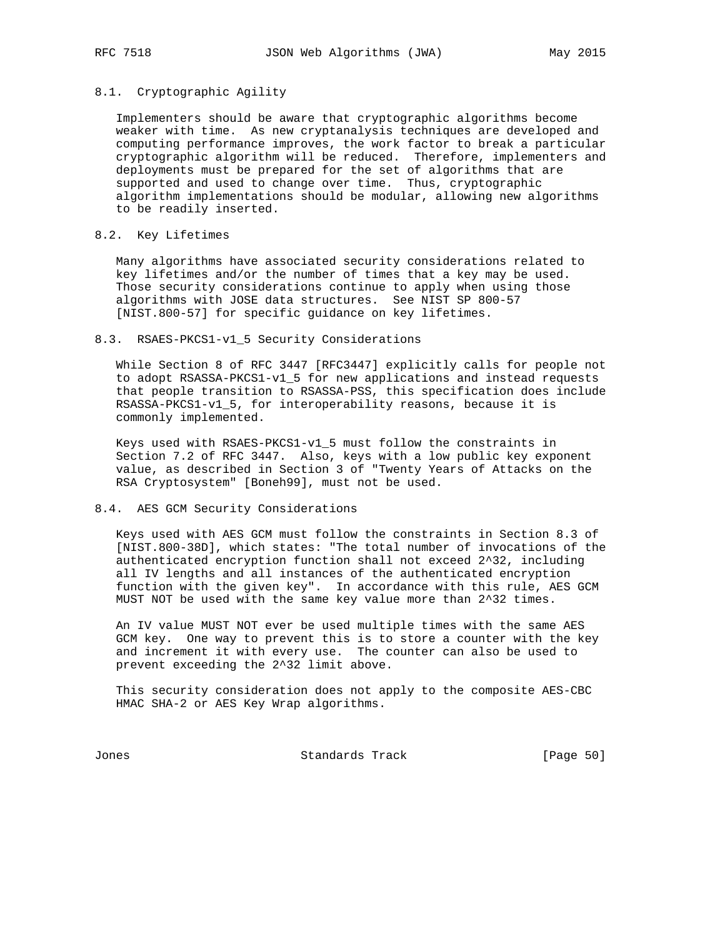#### 8.1. Cryptographic Agility

 Implementers should be aware that cryptographic algorithms become weaker with time. As new cryptanalysis techniques are developed and computing performance improves, the work factor to break a particular cryptographic algorithm will be reduced. Therefore, implementers and deployments must be prepared for the set of algorithms that are supported and used to change over time. Thus, cryptographic algorithm implementations should be modular, allowing new algorithms to be readily inserted.

## 8.2. Key Lifetimes

 Many algorithms have associated security considerations related to key lifetimes and/or the number of times that a key may be used. Those security considerations continue to apply when using those algorithms with JOSE data structures. See NIST SP 800-57 [NIST.800-57] for specific guidance on key lifetimes.

#### 8.3. RSAES-PKCS1-v1\_5 Security Considerations

 While Section 8 of RFC 3447 [RFC3447] explicitly calls for people not to adopt RSASSA-PKCS1-v1\_5 for new applications and instead requests that people transition to RSASSA-PSS, this specification does include RSASSA-PKCS1-v1\_5, for interoperability reasons, because it is commonly implemented.

 Keys used with RSAES-PKCS1-v1\_5 must follow the constraints in Section 7.2 of RFC 3447. Also, keys with a low public key exponent value, as described in Section 3 of "Twenty Years of Attacks on the RSA Cryptosystem" [Boneh99], must not be used.

#### 8.4. AES GCM Security Considerations

 Keys used with AES GCM must follow the constraints in Section 8.3 of [NIST.800-38D], which states: "The total number of invocations of the authenticated encryption function shall not exceed 2^32, including all IV lengths and all instances of the authenticated encryption function with the given key". In accordance with this rule, AES GCM MUST NOT be used with the same key value more than 2^32 times.

 An IV value MUST NOT ever be used multiple times with the same AES GCM key. One way to prevent this is to store a counter with the key and increment it with every use. The counter can also be used to prevent exceeding the 2^32 limit above.

 This security consideration does not apply to the composite AES-CBC HMAC SHA-2 or AES Key Wrap algorithms.

Jones **Standards Track** [Page 50]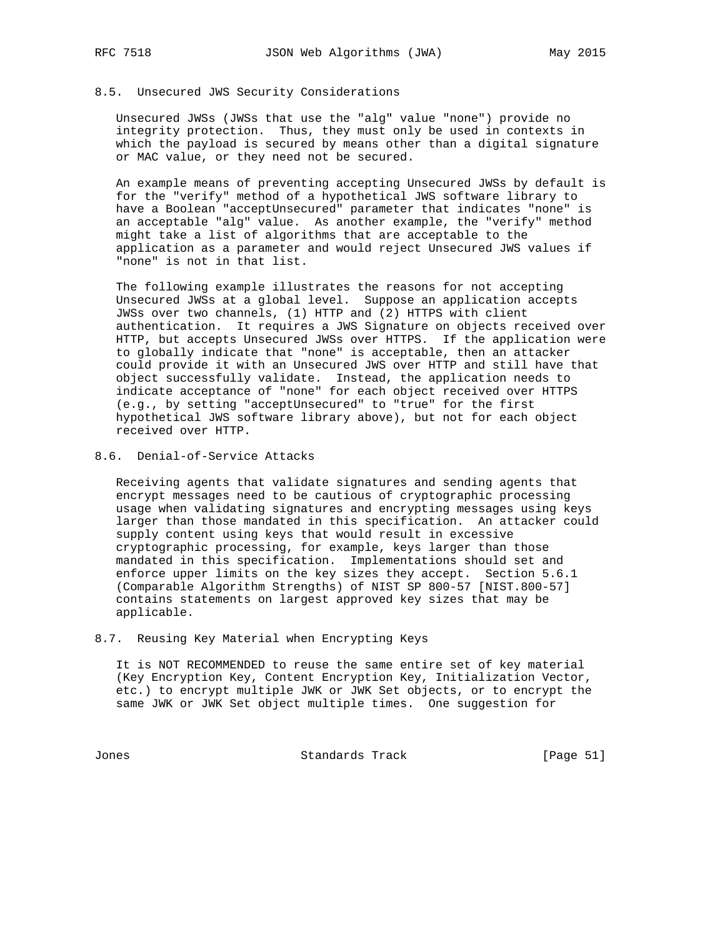## 8.5. Unsecured JWS Security Considerations

 Unsecured JWSs (JWSs that use the "alg" value "none") provide no integrity protection. Thus, they must only be used in contexts in which the payload is secured by means other than a digital signature or MAC value, or they need not be secured.

 An example means of preventing accepting Unsecured JWSs by default is for the "verify" method of a hypothetical JWS software library to have a Boolean "acceptUnsecured" parameter that indicates "none" is an acceptable "alg" value. As another example, the "verify" method might take a list of algorithms that are acceptable to the application as a parameter and would reject Unsecured JWS values if "none" is not in that list.

 The following example illustrates the reasons for not accepting Unsecured JWSs at a global level. Suppose an application accepts JWSs over two channels, (1) HTTP and (2) HTTPS with client authentication. It requires a JWS Signature on objects received over HTTP, but accepts Unsecured JWSs over HTTPS. If the application were to globally indicate that "none" is acceptable, then an attacker could provide it with an Unsecured JWS over HTTP and still have that object successfully validate. Instead, the application needs to indicate acceptance of "none" for each object received over HTTPS (e.g., by setting "acceptUnsecured" to "true" for the first hypothetical JWS software library above), but not for each object received over HTTP.

8.6. Denial-of-Service Attacks

 Receiving agents that validate signatures and sending agents that encrypt messages need to be cautious of cryptographic processing usage when validating signatures and encrypting messages using keys larger than those mandated in this specification. An attacker could supply content using keys that would result in excessive cryptographic processing, for example, keys larger than those mandated in this specification. Implementations should set and enforce upper limits on the key sizes they accept. Section 5.6.1 (Comparable Algorithm Strengths) of NIST SP 800-57 [NIST.800-57] contains statements on largest approved key sizes that may be applicable.

## 8.7. Reusing Key Material when Encrypting Keys

 It is NOT RECOMMENDED to reuse the same entire set of key material (Key Encryption Key, Content Encryption Key, Initialization Vector, etc.) to encrypt multiple JWK or JWK Set objects, or to encrypt the same JWK or JWK Set object multiple times. One suggestion for

Jones Standards Track [Page 51]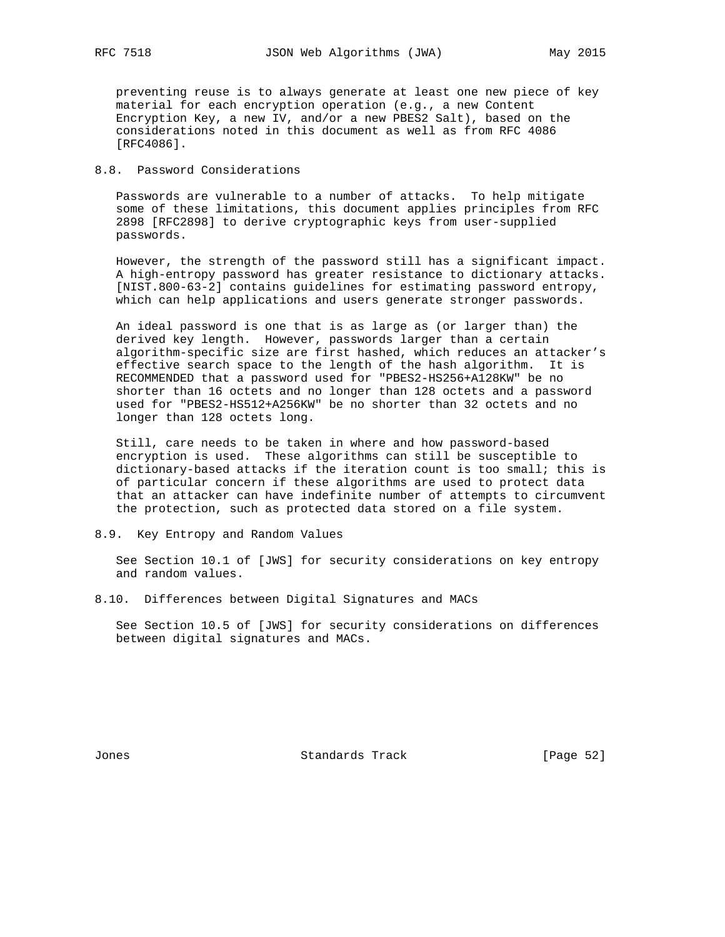preventing reuse is to always generate at least one new piece of key material for each encryption operation (e.g., a new Content Encryption Key, a new IV, and/or a new PBES2 Salt), based on the considerations noted in this document as well as from RFC 4086 [RFC4086].

# 8.8. Password Considerations

 Passwords are vulnerable to a number of attacks. To help mitigate some of these limitations, this document applies principles from RFC 2898 [RFC2898] to derive cryptographic keys from user-supplied passwords.

 However, the strength of the password still has a significant impact. A high-entropy password has greater resistance to dictionary attacks. [NIST.800-63-2] contains guidelines for estimating password entropy, which can help applications and users generate stronger passwords.

 An ideal password is one that is as large as (or larger than) the derived key length. However, passwords larger than a certain algorithm-specific size are first hashed, which reduces an attacker's effective search space to the length of the hash algorithm. It is RECOMMENDED that a password used for "PBES2-HS256+A128KW" be no shorter than 16 octets and no longer than 128 octets and a password used for "PBES2-HS512+A256KW" be no shorter than 32 octets and no longer than 128 octets long.

 Still, care needs to be taken in where and how password-based encryption is used. These algorithms can still be susceptible to dictionary-based attacks if the iteration count is too small; this is of particular concern if these algorithms are used to protect data that an attacker can have indefinite number of attempts to circumvent the protection, such as protected data stored on a file system.

#### 8.9. Key Entropy and Random Values

 See Section 10.1 of [JWS] for security considerations on key entropy and random values.

8.10. Differences between Digital Signatures and MACs

 See Section 10.5 of [JWS] for security considerations on differences between digital signatures and MACs.

Jones Standards Track [Page 52]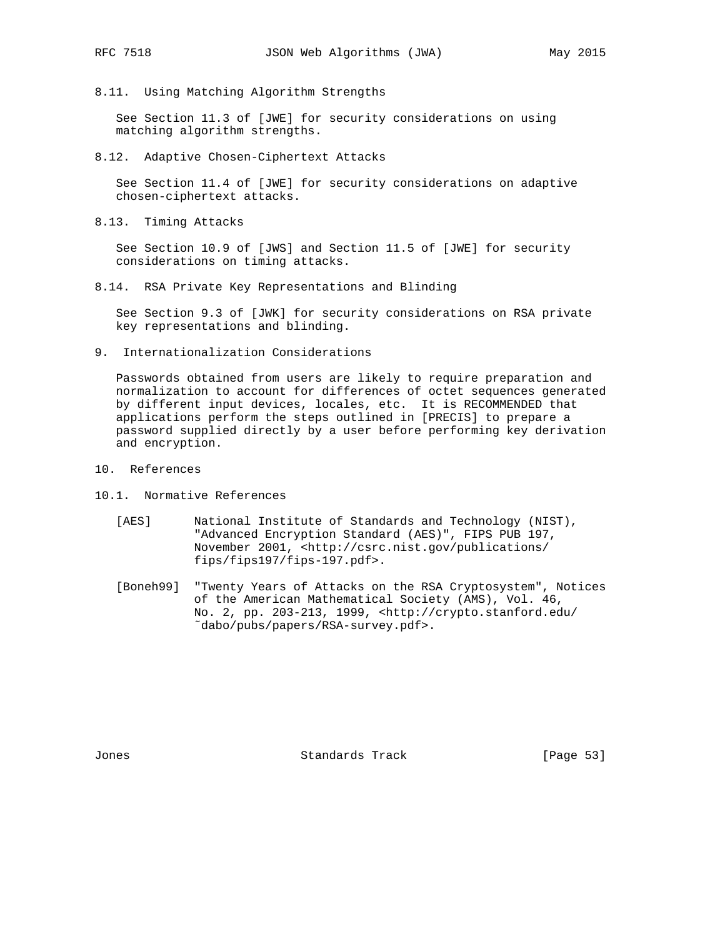- 
- 8.11. Using Matching Algorithm Strengths

 See Section 11.3 of [JWE] for security considerations on using matching algorithm strengths.

8.12. Adaptive Chosen-Ciphertext Attacks

 See Section 11.4 of [JWE] for security considerations on adaptive chosen-ciphertext attacks.

8.13. Timing Attacks

 See Section 10.9 of [JWS] and Section 11.5 of [JWE] for security considerations on timing attacks.

8.14. RSA Private Key Representations and Blinding

 See Section 9.3 of [JWK] for security considerations on RSA private key representations and blinding.

9. Internationalization Considerations

 Passwords obtained from users are likely to require preparation and normalization to account for differences of octet sequences generated by different input devices, locales, etc. It is RECOMMENDED that applications perform the steps outlined in [PRECIS] to prepare a password supplied directly by a user before performing key derivation and encryption.

- 10. References
- 10.1. Normative References
	- [AES] National Institute of Standards and Technology (NIST), "Advanced Encryption Standard (AES)", FIPS PUB 197, November 2001, <http://csrc.nist.gov/publications/ fips/fips197/fips-197.pdf>.
	- [Boneh99] "Twenty Years of Attacks on the RSA Cryptosystem", Notices of the American Mathematical Society (AMS), Vol. 46, No. 2, pp. 203-213, 1999, <http://crypto.stanford.edu/ ˜dabo/pubs/papers/RSA-survey.pdf>.

Jones Standards Track [Page 53]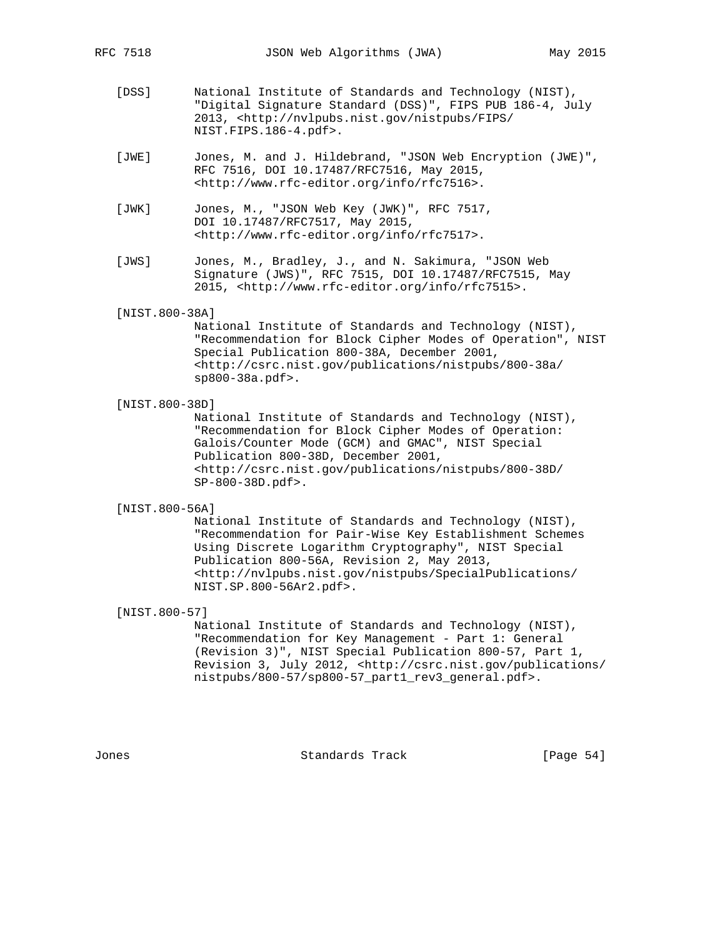- [DSS] National Institute of Standards and Technology (NIST), "Digital Signature Standard (DSS)", FIPS PUB 186-4, July 2013, <http://nvlpubs.nist.gov/nistpubs/FIPS/ NIST.FIPS.186-4.pdf>.
- [JWE] Jones, M. and J. Hildebrand, "JSON Web Encryption (JWE)", RFC 7516, DOI 10.17487/RFC7516, May 2015, <http://www.rfc-editor.org/info/rfc7516>.
- [JWK] Jones, M., "JSON Web Key (JWK)", RFC 7517, DOI 10.17487/RFC7517, May 2015, <http://www.rfc-editor.org/info/rfc7517>.
- [JWS] Jones, M., Bradley, J., and N. Sakimura, "JSON Web Signature (JWS)", RFC 7515, DOI 10.17487/RFC7515, May 2015, <http://www.rfc-editor.org/info/rfc7515>.
- [NIST.800-38A]

 National Institute of Standards and Technology (NIST), "Recommendation for Block Cipher Modes of Operation", NIST Special Publication 800-38A, December 2001, <http://csrc.nist.gov/publications/nistpubs/800-38a/ sp800-38a.pdf>.

[NIST.800-38D]

 National Institute of Standards and Technology (NIST), "Recommendation for Block Cipher Modes of Operation: Galois/Counter Mode (GCM) and GMAC", NIST Special Publication 800-38D, December 2001, <http://csrc.nist.gov/publications/nistpubs/800-38D/ SP-800-38D.pdf>.

[NIST.800-56A]

 National Institute of Standards and Technology (NIST), "Recommendation for Pair-Wise Key Establishment Schemes Using Discrete Logarithm Cryptography", NIST Special Publication 800-56A, Revision 2, May 2013, <http://nvlpubs.nist.gov/nistpubs/SpecialPublications/ NIST.SP.800-56Ar2.pdf>.

## [NIST.800-57]

 National Institute of Standards and Technology (NIST), "Recommendation for Key Management - Part 1: General (Revision 3)", NIST Special Publication 800-57, Part 1, Revision 3, July 2012, <http://csrc.nist.gov/publications/ nistpubs/800-57/sp800-57\_part1\_rev3\_general.pdf>.

Jones Standards Track [Page 54]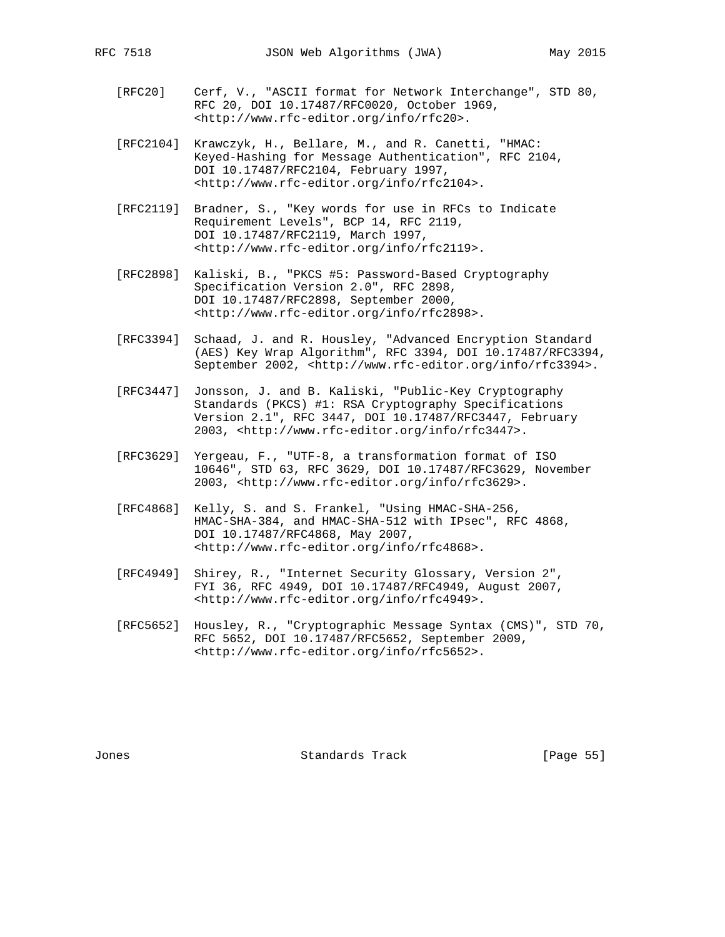- [RFC20] Cerf, V., "ASCII format for Network Interchange", STD 80, RFC 20, DOI 10.17487/RFC0020, October 1969, <http://www.rfc-editor.org/info/rfc20>.
- [RFC2104] Krawczyk, H., Bellare, M., and R. Canetti, "HMAC: Keyed-Hashing for Message Authentication", RFC 2104, DOI 10.17487/RFC2104, February 1997, <http://www.rfc-editor.org/info/rfc2104>.
- [RFC2119] Bradner, S., "Key words for use in RFCs to Indicate Requirement Levels", BCP 14, RFC 2119, DOI 10.17487/RFC2119, March 1997, <http://www.rfc-editor.org/info/rfc2119>.
- [RFC2898] Kaliski, B., "PKCS #5: Password-Based Cryptography Specification Version 2.0", RFC 2898, DOI 10.17487/RFC2898, September 2000, <http://www.rfc-editor.org/info/rfc2898>.
- [RFC3394] Schaad, J. and R. Housley, "Advanced Encryption Standard (AES) Key Wrap Algorithm", RFC 3394, DOI 10.17487/RFC3394, September 2002, <http://www.rfc-editor.org/info/rfc3394>.
- [RFC3447] Jonsson, J. and B. Kaliski, "Public-Key Cryptography Standards (PKCS) #1: RSA Cryptography Specifications Version 2.1", RFC 3447, DOI 10.17487/RFC3447, February 2003, <http://www.rfc-editor.org/info/rfc3447>.
- [RFC3629] Yergeau, F., "UTF-8, a transformation format of ISO 10646", STD 63, RFC 3629, DOI 10.17487/RFC3629, November 2003, <http://www.rfc-editor.org/info/rfc3629>.
- [RFC4868] Kelly, S. and S. Frankel, "Using HMAC-SHA-256, HMAC-SHA-384, and HMAC-SHA-512 with IPsec", RFC 4868, DOI 10.17487/RFC4868, May 2007, <http://www.rfc-editor.org/info/rfc4868>.
- [RFC4949] Shirey, R., "Internet Security Glossary, Version 2", FYI 36, RFC 4949, DOI 10.17487/RFC4949, August 2007, <http://www.rfc-editor.org/info/rfc4949>.
- [RFC5652] Housley, R., "Cryptographic Message Syntax (CMS)", STD 70, RFC 5652, DOI 10.17487/RFC5652, September 2009, <http://www.rfc-editor.org/info/rfc5652>.

Jones Standards Track [Page 55]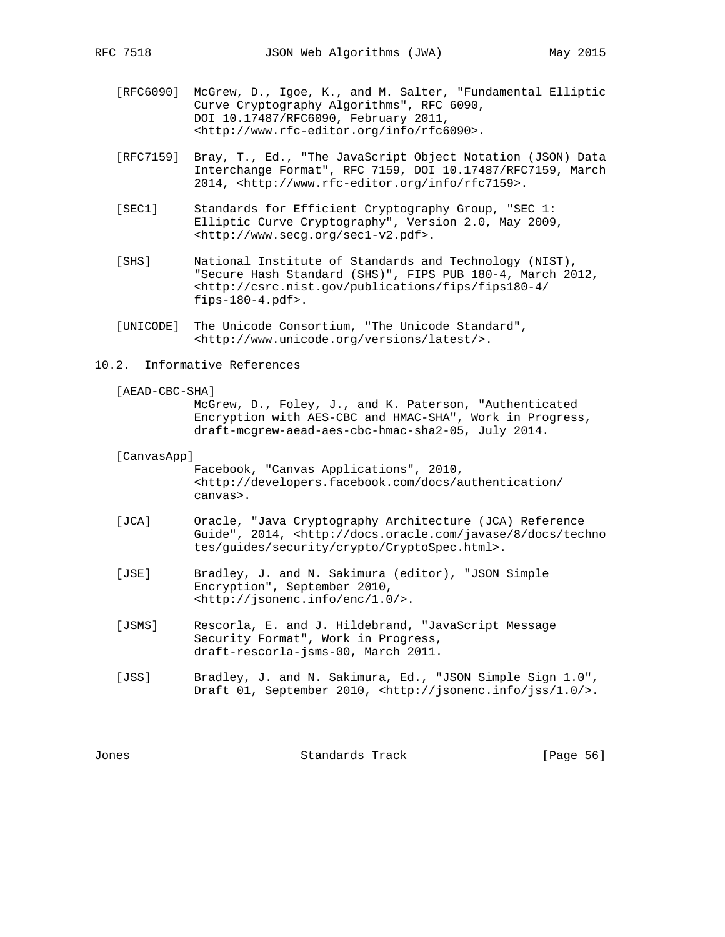- [RFC6090] McGrew, D., Igoe, K., and M. Salter, "Fundamental Elliptic Curve Cryptography Algorithms", RFC 6090, DOI 10.17487/RFC6090, February 2011, <http://www.rfc-editor.org/info/rfc6090>.
- [RFC7159] Bray, T., Ed., "The JavaScript Object Notation (JSON) Data Interchange Format", RFC 7159, DOI 10.17487/RFC7159, March 2014, <http://www.rfc-editor.org/info/rfc7159>.
- [SEC1] Standards for Efficient Cryptography Group, "SEC 1: Elliptic Curve Cryptography", Version 2.0, May 2009, <http://www.secg.org/sec1-v2.pdf>.
- [SHS] National Institute of Standards and Technology (NIST), "Secure Hash Standard (SHS)", FIPS PUB 180-4, March 2012, <http://csrc.nist.gov/publications/fips/fips180-4/ fips-180-4.pdf>.
- [UNICODE] The Unicode Consortium, "The Unicode Standard", <http://www.unicode.org/versions/latest/>.
- 10.2. Informative References
	- [AEAD-CBC-SHA]

 McGrew, D., Foley, J., and K. Paterson, "Authenticated Encryption with AES-CBC and HMAC-SHA", Work in Progress, draft-mcgrew-aead-aes-cbc-hmac-sha2-05, July 2014.

#### [CanvasApp]

 Facebook, "Canvas Applications", 2010, <http://developers.facebook.com/docs/authentication/ canvas>.

- [JCA] Oracle, "Java Cryptography Architecture (JCA) Reference Guide", 2014, <http://docs.oracle.com/javase/8/docs/techno tes/guides/security/crypto/CryptoSpec.html>.
- [JSE] Bradley, J. and N. Sakimura (editor), "JSON Simple Encryption", September 2010, <http://jsonenc.info/enc/1.0/>.
- [JSMS] Rescorla, E. and J. Hildebrand, "JavaScript Message Security Format", Work in Progress, draft-rescorla-jsms-00, March 2011.
- [JSS] Bradley, J. and N. Sakimura, Ed., "JSON Simple Sign 1.0", Draft 01, September 2010, <http://jsonenc.info/jss/1.0/>.

Jones Standards Track [Page 56]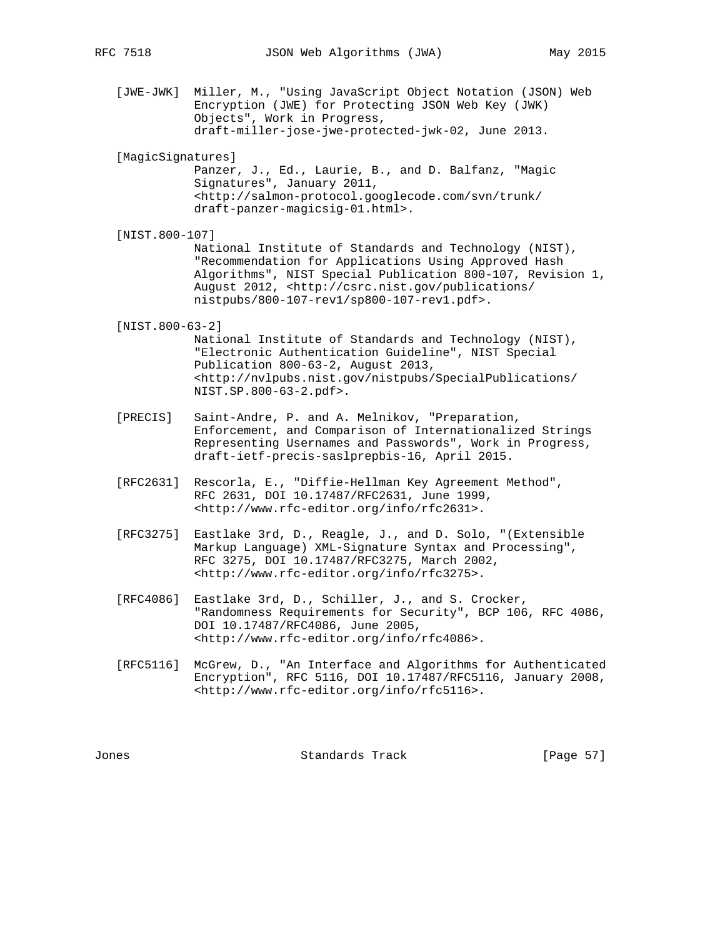- [JWE-JWK] Miller, M., "Using JavaScript Object Notation (JSON) Web Encryption (JWE) for Protecting JSON Web Key (JWK) Objects", Work in Progress, draft-miller-jose-jwe-protected-jwk-02, June 2013.
- [MagicSignatures]

 Panzer, J., Ed., Laurie, B., and D. Balfanz, "Magic Signatures", January 2011, <http://salmon-protocol.googlecode.com/svn/trunk/ draft-panzer-magicsig-01.html>.

[NIST.800-107]

 National Institute of Standards and Technology (NIST), "Recommendation for Applications Using Approved Hash Algorithms", NIST Special Publication 800-107, Revision 1, August 2012, <http://csrc.nist.gov/publications/ nistpubs/800-107-rev1/sp800-107-rev1.pdf>.

[NIST.800-63-2]

 National Institute of Standards and Technology (NIST), "Electronic Authentication Guideline", NIST Special Publication 800-63-2, August 2013, <http://nvlpubs.nist.gov/nistpubs/SpecialPublications/ NIST.SP.800-63-2.pdf>.

- [PRECIS] Saint-Andre, P. and A. Melnikov, "Preparation, Enforcement, and Comparison of Internationalized Strings Representing Usernames and Passwords", Work in Progress, draft-ietf-precis-saslprepbis-16, April 2015.
- [RFC2631] Rescorla, E., "Diffie-Hellman Key Agreement Method", RFC 2631, DOI 10.17487/RFC2631, June 1999, <http://www.rfc-editor.org/info/rfc2631>.
- [RFC3275] Eastlake 3rd, D., Reagle, J., and D. Solo, "(Extensible Markup Language) XML-Signature Syntax and Processing", RFC 3275, DOI 10.17487/RFC3275, March 2002, <http://www.rfc-editor.org/info/rfc3275>.
- [RFC4086] Eastlake 3rd, D., Schiller, J., and S. Crocker, "Randomness Requirements for Security", BCP 106, RFC 4086, DOI 10.17487/RFC4086, June 2005, <http://www.rfc-editor.org/info/rfc4086>.
- [RFC5116] McGrew, D., "An Interface and Algorithms for Authenticated Encryption", RFC 5116, DOI 10.17487/RFC5116, January 2008, <http://www.rfc-editor.org/info/rfc5116>.

Jones Standards Track [Page 57]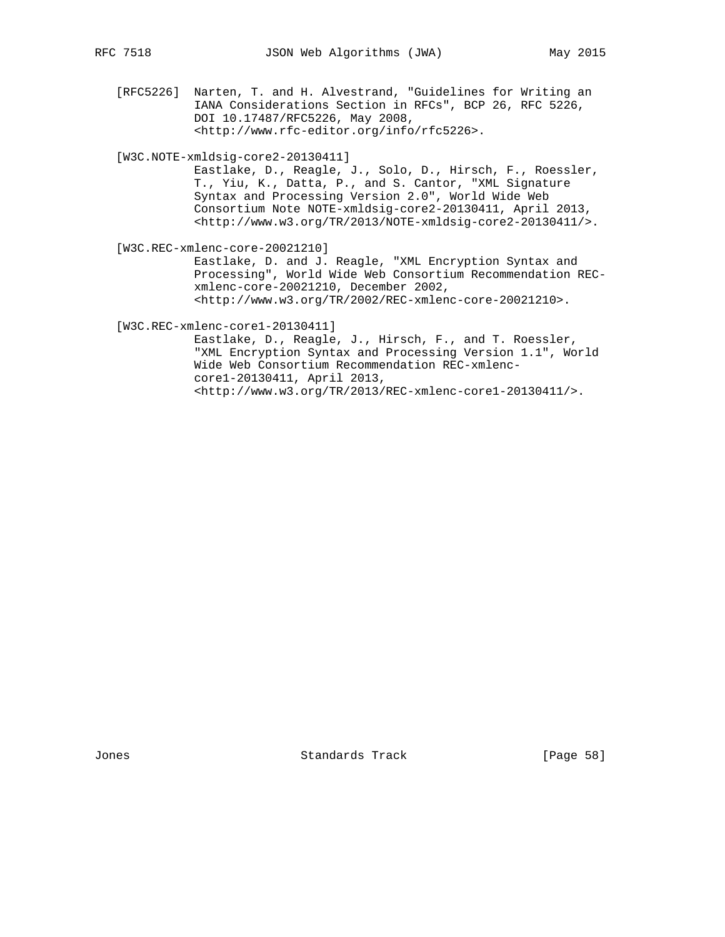[RFC5226] Narten, T. and H. Alvestrand, "Guidelines for Writing an IANA Considerations Section in RFCs", BCP 26, RFC 5226, DOI 10.17487/RFC5226, May 2008, <http://www.rfc-editor.org/info/rfc5226>.

[W3C.NOTE-xmldsig-core2-20130411]

 Eastlake, D., Reagle, J., Solo, D., Hirsch, F., Roessler, T., Yiu, K., Datta, P., and S. Cantor, "XML Signature Syntax and Processing Version 2.0", World Wide Web Consortium Note NOTE-xmldsig-core2-20130411, April 2013, <http://www.w3.org/TR/2013/NOTE-xmldsig-core2-20130411/>.

[W3C.REC-xmlenc-core-20021210]

 Eastlake, D. and J. Reagle, "XML Encryption Syntax and Processing", World Wide Web Consortium Recommendation REC xmlenc-core-20021210, December 2002, <http://www.w3.org/TR/2002/REC-xmlenc-core-20021210>.

[W3C.REC-xmlenc-core1-20130411]

 Eastlake, D., Reagle, J., Hirsch, F., and T. Roessler, "XML Encryption Syntax and Processing Version 1.1", World Wide Web Consortium Recommendation REC-xmlenc core1-20130411, April 2013, <http://www.w3.org/TR/2013/REC-xmlenc-core1-20130411/>.

Jones **Standards Track** [Page 58]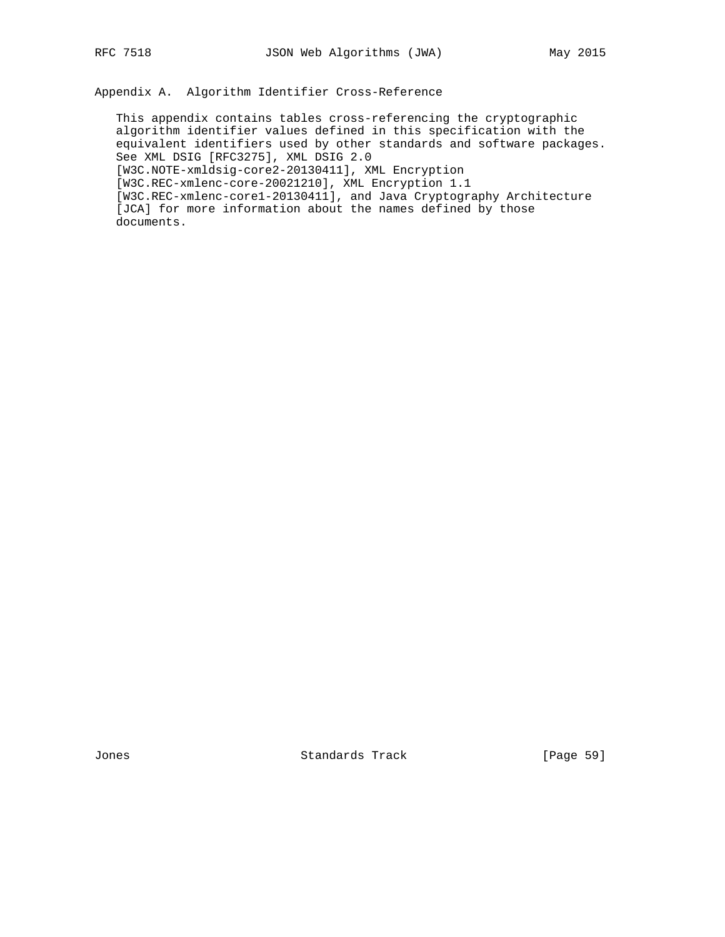Appendix A. Algorithm Identifier Cross-Reference

 This appendix contains tables cross-referencing the cryptographic algorithm identifier values defined in this specification with the equivalent identifiers used by other standards and software packages. See XML DSIG [RFC3275], XML DSIG 2.0 [W3C.NOTE-xmldsig-core2-20130411], XML Encryption [W3C.REC-xmlenc-core-20021210], XML Encryption 1.1 [W3C.REC-xmlenc-core1-20130411], and Java Cryptography Architecture [JCA] for more information about the names defined by those documents.

Jones **Standards Track** [Page 59]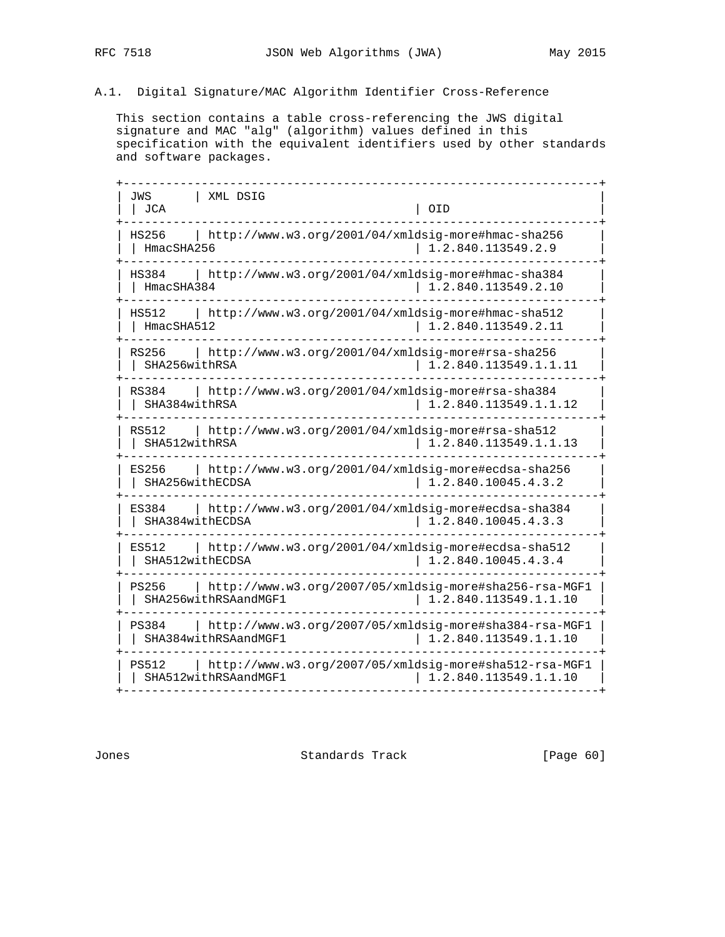# A.1. Digital Signature/MAC Algorithm Identifier Cross-Reference

 This section contains a table cross-referencing the JWS digital signature and MAC "alg" (algorithm) values defined in this specification with the equivalent identifiers used by other standards and software packages.

| JWS<br>XML DSIG<br><b>JCA</b> | OID                                                    |
|-------------------------------|--------------------------------------------------------|
| HS256                         | http://www.w3.org/2001/04/xmldsig-more#hmac-sha256     |
| HmacSHA256                    | 1.2.840.113549.2.9                                     |
| HS384                         | http://www.w3.org/2001/04/xmldsig-more#hmac-sha384     |
| HmacSHA384                    | 1.2.840.113549.2.10                                    |
| HS512                         | http://www.w3.org/2001/04/xmldsig-more#hmac-sha512     |
| HmacSHA512                    | 1.2.840.113549.2.11                                    |
| RS256                         | http://www.w3.org/2001/04/xmldsig-more#rsa-sha256      |
| SHA256withRSA                 | 1.2.840.113549.1.1.11                                  |
| RS384                         | http://www.w3.org/2001/04/xmldsig-more#rsa-sha384      |
| SHA384withRSA                 | 1.2.840.113549.1.1.12                                  |
| RS512                         | http://www.w3.org/2001/04/xmldsig-more#rsa-sha512      |
| SHA512withRSA                 | 1.2.840.113549.1.1.13                                  |
| ES256                         | http://www.w3.org/2001/04/xmldsig-more#ecdsa-sha256    |
| SHA256withECDSA               | 1.2.840.10045.4.3.2                                    |
| ES384                         | http://www.w3.org/2001/04/xmldsig-more#ecdsa-sha384    |
| SHA384withECDSA               | 1.2.840.10045.4.3.3                                    |
| ES512                         | http://www.w3.org/2001/04/xmldsig-more#ecdsa-sha512    |
| SHA512withECDSA               | 1.2.840.10045.4.3.4                                    |
| PS256                         | http://www.w3.org/2007/05/xmldsig-more#sha256-rsa-MGF1 |
| SHA256withRSAandMGF1          | 1.2.840.113549.1.1.10                                  |
| PS384                         | http://www.w3.org/2007/05/xmldsig-more#sha384-rsa-MGF1 |
| SHA384withRSAandMGF1          | 1.2.840.113549.1.1.10                                  |
| PS512                         | http://www.w3.org/2007/05/xmldsig-more#sha512-rsa-MGF1 |
| SHA512withRSAandMGF1          | 1.2.840.113549.1.1.10                                  |

Jones Standards Track [Page 60]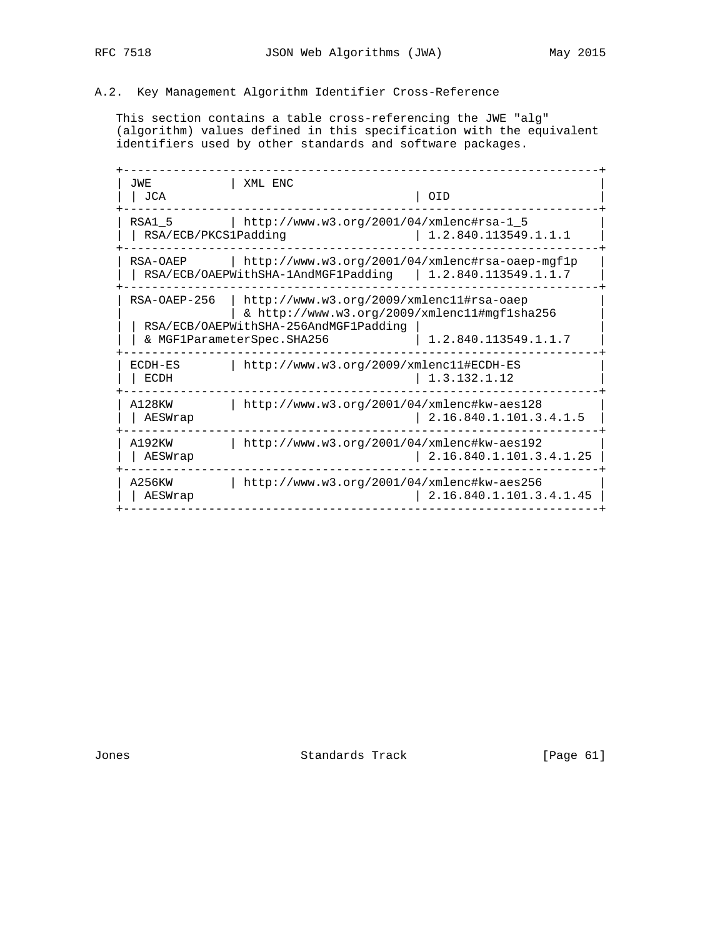# A.2. Key Management Algorithm Identifier Cross-Reference

 This section contains a table cross-referencing the JWE "alg" (algorithm) values defined in this specification with the equivalent identifiers used by other standards and software packages.

 +-------------------------------------------------------------------+ | JWE | XML ENC | 2002 | XML ENC | 2003 | 2004 | 2014 | 2015 | 2016 | 2016 | 2016 | 2017 | 2017 | 2016 | 2017 | 2017 | 2017 | 2017 | 2017 | 2017 | 2017 | 2017 | 2017 | 2017 | 2017 | 2017 | 2017 | 2017 | 2017 | 2017 | 2017 | | JCA | OID | +-------------------------------------------------------------------+ | RSA1\_5 | http://www.w3.org/2001/04/xmlenc#rsa-1\_5 | | RSA/ECB/PKCS1Padding | 1.2.840.113549.1.1.1 | +-------------------------------------------------------------------+ | RSA-OAEP | http://www.w3.org/2001/04/xmlenc#rsa-oaep-mgf1p |  $\vert$  | RSA/ECB/OAEPWithSHA-1AndMGF1Padding | 1.2.840.113549.1.1.7 +-------------------------------------------------------------------+ | RSA-OAEP-256 | http://www.w3.org/2009/xmlenc11#rsa-oaep | | | & http://www.w3.org/2009/xmlenc11#mgf1sha256 | | | RSA/ECB/OAEPWithSHA-256AndMGF1Padding | | | | & MGF1ParameterSpec.SHA256 | 1.2.840.113549.1.1.7 +-------------------------------------------------------------------+ | ECDH-ES | http://www.w3.org/2009/xmlenc11#ECDH-ES<br>| ECDH | 1.3.132.1.12  $\begin{array}{|c|c|c|c|c|c|} \hline 1.3.132.1.12 \hline \end{array}$  +-------------------------------------------------------------------+ | A128KW | http://www.w3.org/2001/04/xmlenc#kw-aes128 | | | AESWrap | 2.16.840.1.101.3.4.1.5 | +-------------------------------------------------------------------+ | A192KW | http://www.w3.org/2001/04/xmlenc#kw-aes192 | | | AESWrap | 2.16.840.1.101.3.4.1.25 | +-------------------------------------------------------------------+ | A256KW | http://www.w3.org/2001/04/xmlenc#kw-aes256 | | | AESWrap | 2.16.840.1.101.3.4.1.45 | +-------------------------------------------------------------------+

Jones Standards Track [Page 61]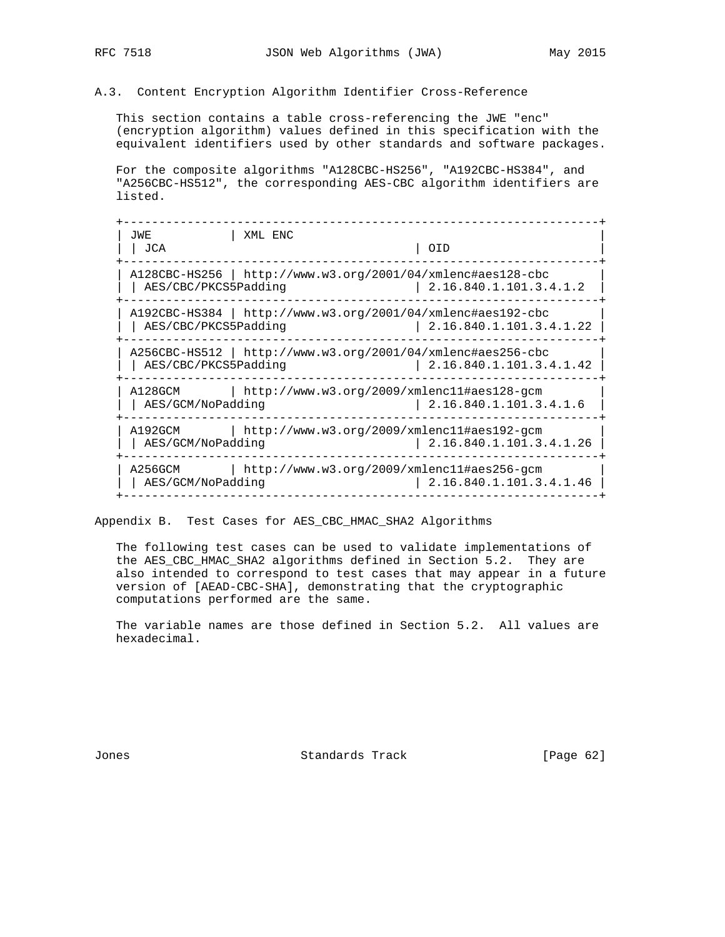## A.3. Content Encryption Algorithm Identifier Cross-Reference

 This section contains a table cross-referencing the JWE "enc" (encryption algorithm) values defined in this specification with the equivalent identifiers used by other standards and software packages.

 For the composite algorithms "A128CBC-HS256", "A192CBC-HS384", and "A256CBC-HS512", the corresponding AES-CBC algorithm identifiers are listed.

| JWE<br>JCA                   | XML ENC                                                       | 0ID                     |
|------------------------------|---------------------------------------------------------------|-------------------------|
| AES/CBC/PKCS5Padding         | A128CBC-HS256   http://www.w3.org/2001/04/xmlenc#aes128-cbc   | 2.16.840.1.101.3.4.1.2  |
| AES/CBC/PKCS5Padding         | A192CBC-HS384   http://www.w3.org/2001/04/xmlenc#aes192-cbc   | 2.16.840.1.101.3.4.1.22 |
| AES/CBC/PKCS5Padding         | $A256CBC-HS512$   http://www.w3.org/2001/04/xmlenc#aes256-cbc | 2.16.840.1.101.3.4.1.42 |
| A128GCM<br>AES/GCM/NoPadding | $http://www.w3.org/2009/xmlenc11#aes128-qcm$                  | 2.16.840.1.101.3.4.1.6  |
| A192GCM<br>AES/GCM/NoPadding | http://www.w3.org/2009/xmlenc11#aes192-gcm                    | 2.16.840.1.101.3.4.1.26 |
| A256GCM<br>AES/GCM/NoPadding | http://www.w3.org/2009/xmlenc11#aes256-gcm                    | 2.16.840.1.101.3.4.1.46 |

Appendix B. Test Cases for AES\_CBC\_HMAC\_SHA2 Algorithms

 The following test cases can be used to validate implementations of the AES\_CBC\_HMAC\_SHA2 algorithms defined in Section 5.2. They are also intended to correspond to test cases that may appear in a future version of [AEAD-CBC-SHA], demonstrating that the cryptographic computations performed are the same.

 The variable names are those defined in Section 5.2. All values are hexadecimal.

Jones Standards Track [Page 62]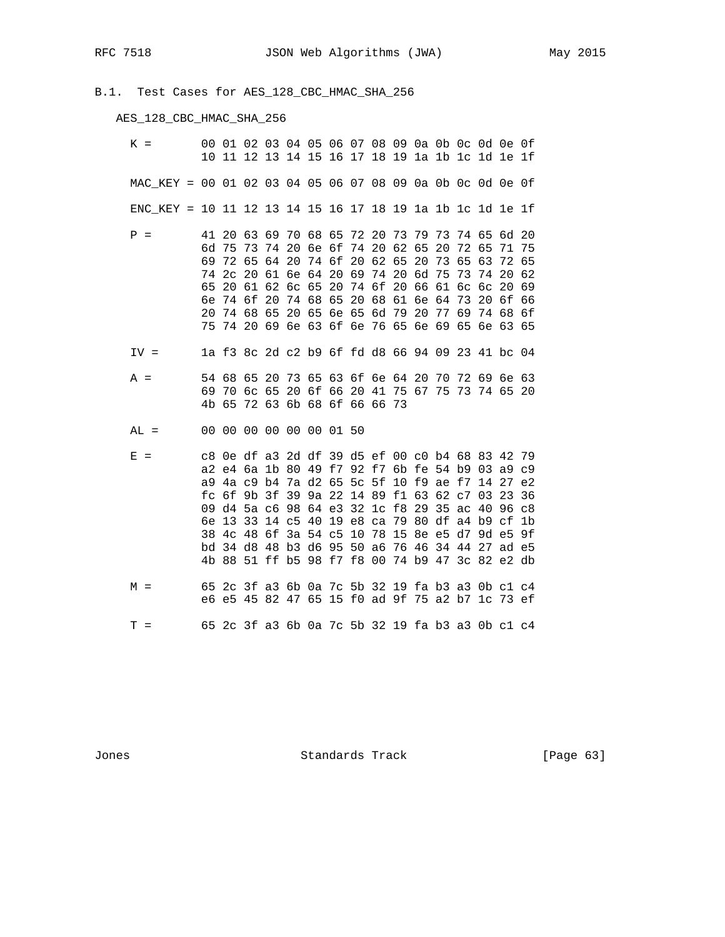B.1. Test Cases for AES\_128\_CBC\_HMAC\_SHA\_256

# AES\_128\_CBC\_HMAC\_SHA\_256

| $K =$                                                     |                | 00 01 02 03 04 05 06 07 08 09 0a 0b 0c 0d 0e 0f<br>10 11 12 13 14 15 16 17 18 19 1a 1b 1c 1d 1e 1f                                                                                                                                                                                                                                                                                                                                                                      |                                                          |    |                         |  |  |  |                                                                            |          |    |                |                |
|-----------------------------------------------------------|----------------|-------------------------------------------------------------------------------------------------------------------------------------------------------------------------------------------------------------------------------------------------------------------------------------------------------------------------------------------------------------------------------------------------------------------------------------------------------------------------|----------------------------------------------------------|----|-------------------------|--|--|--|----------------------------------------------------------------------------|----------|----|----------------|----------------|
| MAC_KEY = 00 01 02 03 04 05 06 07 08 09 0a 0b 0c 0d 0e 0f |                |                                                                                                                                                                                                                                                                                                                                                                                                                                                                         |                                                          |    |                         |  |  |  |                                                                            |          |    |                |                |
| ENC_KEY = 10 11 12 13 14 15 16 17 18 19 1a 1b 1c 1d 1e 1f |                |                                                                                                                                                                                                                                                                                                                                                                                                                                                                         |                                                          |    |                         |  |  |  |                                                                            |          |    |                |                |
| $P =$                                                     | 69<br>65<br>бe | 41 20 63 69 70 68 65 72 20 73 79 73 74 65 6d 20<br>6d 75 73 74 20 6e 6f 74 20 62 65 20 72 65<br>74 2c 20 61 6e 64 20 69 74 20 6d 75 73<br>20 74 68 65<br>75 74 20 69 6e 63 6f 6e 76 65 6e 69 65 6e 63 65                                                                                                                                                                                                                                                                | 72 65<br>20 61 62 6c 65 20 74 6f 20 66 61 6c 6c<br>74 6f | 20 | 64 20 74 6f 20 62 65 20 |  |  |  | 74 68 65 20 68 61 6e 64 73 20 6f 66<br>20 65 6e 65 6d 79 20 77 69 74 68 6f | 73 65 63 | 74 | 20 62<br>20 69 | 71 75<br>72 65 |
| $IV =$                                                    |                | 1a f3 8c 2d c2 b9 6f fd d8 66 94 09 23 41 bc 04                                                                                                                                                                                                                                                                                                                                                                                                                         |                                                          |    |                         |  |  |  |                                                                            |          |    |                |                |
| $A =$                                                     |                | 54 68 65 20 73 65 63 6f 6e 64 20 70 72 69 6e 63<br>69 70 6c 65 20 6f 66 20 41 75 67 75 73 74 65 20<br>4b 65 72 63 6b 68 6f 66 66 73                                                                                                                                                                                                                                                                                                                                     |                                                          |    |                         |  |  |  |                                                                            |          |    |                |                |
| $AL =$                                                    |                | 00 00 00 00 00 00 01 50                                                                                                                                                                                                                                                                                                                                                                                                                                                 |                                                          |    |                         |  |  |  |                                                                            |          |    |                |                |
| $E =$                                                     |                | c8 0e df a3 2d df 39 d5 ef 00 c0 b4 68 83 42 79<br>a2 e4 6a 1b 80 49 f7 92 f7 6b fe 54 b9 03 a9 c9<br>a9 4a c9 b4 7a d2 65 5c 5f 10 f9 ae f7 14 27 e2<br>fc 6f 9b 3f 39 9a 22 14 89 f1 63 62 c7 03 23 36<br>09 d4 5a c6 98 64 e3 32 1c f8 29 35 ac 40 96 c8<br>6e 13 33 14 c5 40 19 e8 ca 79 80 df a4 b9 cf 1b<br>38 4c 48 6f 3a 54 c5 10 78 15 8e e5 d7 9d e5 9f<br>bd 34 d8 48 b3 d6 95 50 a6 76 46 34 44 27 ad e5<br>4b 88 51 ff b5 98 f7 f8 00 74 b9 47 3c 82 e2 db |                                                          |    |                         |  |  |  |                                                                            |          |    |                |                |
| $M =$                                                     |                | 65 2c 3f a3 6b 0a 7c 5b 32 19 fa b3 a3 0b c1 c4<br>e6 e5 45 82 47 65 15 f0 ad 9f 75 a2 b7 1c 73 ef                                                                                                                                                                                                                                                                                                                                                                      |                                                          |    |                         |  |  |  |                                                                            |          |    |                |                |
| $T =$                                                     |                | 65 2c 3f a3 6b 0a 7c 5b 32 19 fa b3 a3 0b c1 c4                                                                                                                                                                                                                                                                                                                                                                                                                         |                                                          |    |                         |  |  |  |                                                                            |          |    |                |                |

Jones **Standards Track** [Page 63]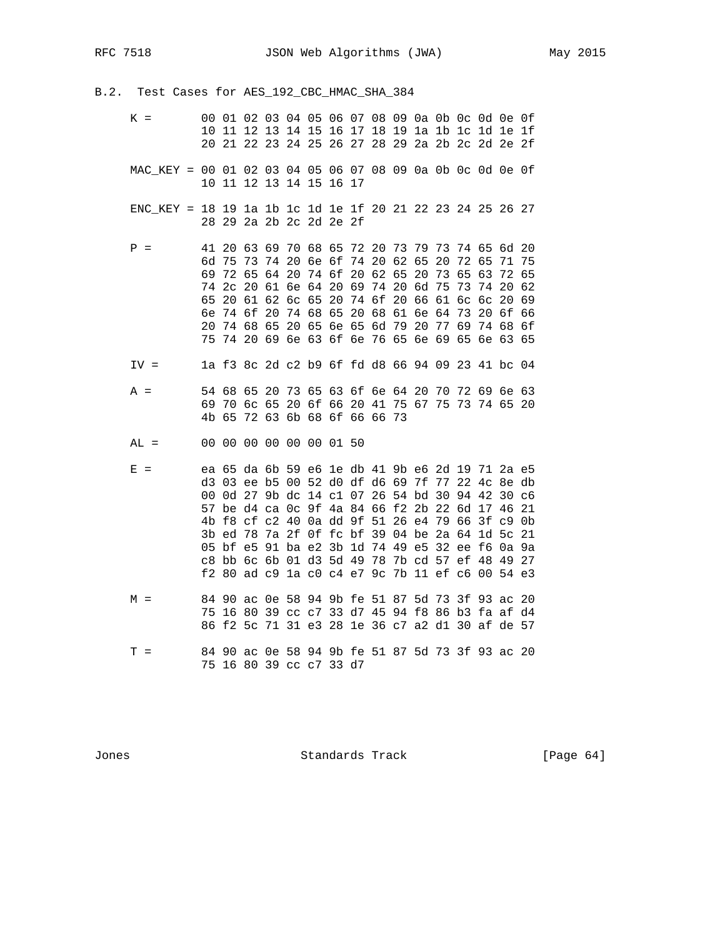B.2. Test Cases for AES\_192\_CBC\_HMAC\_SHA\_384

- K = 00 01 02 03 04 05 06 07 08 09 0a 0b 0c 0d 0e 0f 10 11 12 13 14 15 16 17 18 19 1a 1b 1c 1d 1e 1f 20 21 22 23 24 25 26 27 28 29 2a 2b 2c 2d 2e 2f MAC\_KEY = 00 01 02 03 04 05 06 07 08 09 0a 0b 0c 0d 0e 0f 10 11 12 13 14 15 16 17
- ENC\_KEY = 18 19 1a 1b 1c 1d 1e 1f 20 21 22 23 24 25 26 27 28 29 2a 2b 2c 2d 2e 2f
- P = 41 20 63 69 70 68 65 72 20 73 79 73 74 65 6d 20 6d 75 73 74 20 6e 6f 74 20 62 65 20 72 65 71 75 69 72 65 64 20 74 6f 20 62 65 20 73 65 63 72 65 74 2c 20 61 6e 64 20 69 74 20 6d 75 73 74 20 62 65 20 61 62 6c 65 20 74 6f 20 66 61 6c 6c 20 69 6e 74 6f 20 74 68 65 20 68 61 6e 64 73 20 6f 66 20 74 68 65 20 65 6e 65 6d 79 20 77 69 74 68 6f 75 74 20 69 6e 63 6f 6e 76 65 6e 69 65 6e 63 65 IV = 1a f3 8c 2d c2 b9 6f fd d8 66 94 09 23 41 bc 04
- A = 54 68 65 20 73 65 63 6f 6e 64 20 70 72 69 6e 63 69 70 6c 65 20 6f 66 20 41 75 67 75 73 74 65 20 4b 65 72 63 6b 68 6f 66 66 73
- AL = 00 00 00 00 00 00 01 50
- E = ea 65 da 6b 59 e6 1e db 41 9b e6 2d 19 71 2a e5 d3 03 ee b5 00 52 d0 df d6 69 7f 77 22 4c 8e db 00 0d 27 9b dc 14 c1 07 26 54 bd 30 94 42 30 c6 57 be d4 ca 0c 9f 4a 84 66 f2 2b 22 6d 17 46 21 4b f8 cf c2 40 0a dd 9f 51 26 e4 79 66 3f c9 0b 3b ed 78 7a 2f 0f fc bf 39 04 be 2a 64 1d 5c 21 05 bf e5 91 ba e2 3b 1d 74 49 e5 32 ee f6 0a 9a c8 bb 6c 6b 01 d3 5d 49 78 7b cd 57 ef 48 49 27 f2 80 ad c9 1a c0 c4 e7 9c 7b 11 ef c6 00 54 e3 M = 84 90 ac 0e 58 94 9b fe 51 87 5d 73 3f 93 ac 20 75 16 80 39 cc c7 33 d7 45 94 f8 86 b3 fa af d4 86 f2 5c 71 31 e3 28 1e 36 c7 a2 d1 30 af de 57 T = 84 90 ac 0e 58 94 9b fe 51 87 5d 73 3f 93 ac 20 75 16 80 39 cc c7 33 d7

Jones Standards Track [Page 64]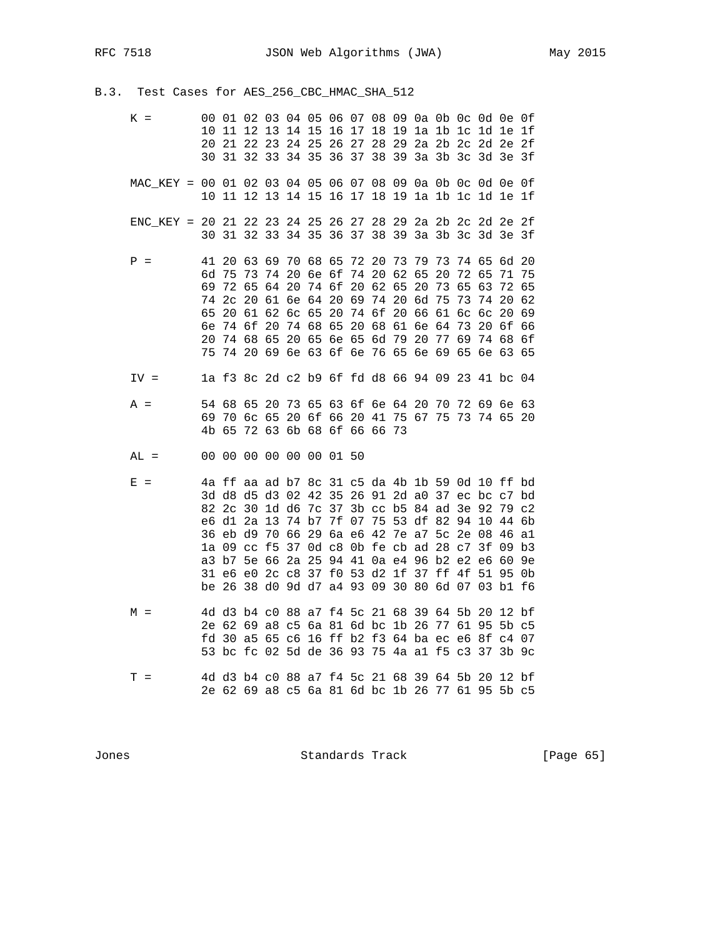B.3. Test Cases for AES\_256\_CBC\_HMAC\_SHA\_512

| $K =$                                                     | 10<br>20<br>30                               | 11<br>21                                        | 12<br>-22<br>31 32                                       | 13<br>23                   | 14 15                                                                |                         | 16 17    |                            | 18                                                                                                                                                 | 19                                        |                            |                               |                                  |                                              | 00  01  02  03  04  05  06  07  08  09  0a  0b  0c  0d  0e  0f<br>la 1b 1c 1d 1e 1f<br>24 25 26 27 28 29 2a 2b 2c 2d 2e 2f<br>33 34 35 36 37 38 39 3a 3b 3c 3d 3e 3f                               |                                               |
|-----------------------------------------------------------|----------------------------------------------|-------------------------------------------------|----------------------------------------------------------|----------------------------|----------------------------------------------------------------------|-------------------------|----------|----------------------------|----------------------------------------------------------------------------------------------------------------------------------------------------|-------------------------------------------|----------------------------|-------------------------------|----------------------------------|----------------------------------------------|----------------------------------------------------------------------------------------------------------------------------------------------------------------------------------------------------|-----------------------------------------------|
| MAC_KEY = 00 01 02 03 04 05 06 07 08 09 0a 0b 0c 0d 0e 0f |                                              |                                                 |                                                          |                            |                                                                      |                         |          |                            |                                                                                                                                                    |                                           |                            |                               |                                  |                                              | 10 11 12 13 14 15 16 17 18 19 1a 1b 1c 1d 1e 1f                                                                                                                                                    |                                               |
| ENC KEY = 20 21 22 23 24 25 26 27 28 29 2a 2b 2c 2d 2e 2f | 30                                           |                                                 |                                                          |                            |                                                                      |                         |          |                            |                                                                                                                                                    |                                           |                            |                               |                                  |                                              | 31 32 33 34 35 36 37 38 39 3a 3b 3c 3d 3e 3f                                                                                                                                                       |                                               |
| $P =$                                                     | 41<br>6d<br>69<br>74<br>65<br>бe<br>20<br>75 | 20<br>75<br>72<br>2 <sub>c</sub><br>20<br>74 6f | 63<br>73<br>65<br>-20<br>61<br>74 68 65                  | 69<br>74<br>64<br>62<br>20 | 70<br>20<br>20<br>61 6e 64 20 69<br>6c 65<br>74 68<br>20 65 6e 65 6d | 68 65<br>6e 6f<br>74 6f | 20<br>65 | 72 20<br>74<br>20<br>74 6f | 20<br>62<br>20 68<br>74 20 69 6e 63 6f 6e 76 65 6e 69 65 6e 63                                                                                     | 73<br>62<br>65<br>74 20 6d 75<br>61 6e 64 | 79<br>65<br>20<br>20 66 61 | 73<br>20<br>73<br>79 20 77 69 | 74<br>72<br>65<br>73<br>6с<br>73 | 65<br>65<br>63<br>74<br>6с<br>20 6f<br>74 68 | 6d<br>71<br>72<br>20<br>20                                                                                                                                                                         | -20<br>75<br>65<br>62<br>69<br>66<br>6f<br>65 |
| $IV =$                                                    |                                              |                                                 |                                                          |                            |                                                                      |                         |          |                            |                                                                                                                                                    |                                           |                            |                               |                                  |                                              | la f3 8c 2d c2 b9 6f fd d8 66 94 09 23 41 bc 04                                                                                                                                                    |                                               |
| $A =$                                                     | 54 68<br>69                                  | 70                                              | 65<br>6c 65                                              | 20                         | 20 6f 66 20 41                                                       |                         |          |                            | 73 65 63 6f 6e 64 20<br>4b 65 72 63 6b 68 6f 66 66 73                                                                                              |                                           |                            |                               |                                  |                                              | 70 72 69 6e 63<br>75 67 75 73 74 65 20                                                                                                                                                             |                                               |
| $AL =$                                                    |                                              |                                                 | 00 00 00 00 00 00 01 50                                  |                            |                                                                      |                         |          |                            |                                                                                                                                                    |                                           |                            |                               |                                  |                                              |                                                                                                                                                                                                    |                                               |
| $E =$                                                     |                                              | 82 2c 30<br>e6 d1 2a<br>36 eb d9                | 1a 09 cc f5<br>a3 b7 5e 66<br>31 e6 e0 2c c8 37 f0 53 d2 | 13<br>70                   | 74 b7<br>66<br>2a 25                                                 |                         |          |                            | 1d d6 7c 37 3b cc b5 84 ad 3e 92<br>7f 07 75 53 df 82 94 10<br>29 6a e6 42 7e a7 5c 2e 08<br>37 Od c8 Ob fe cb ad 28 c7 3f<br>94 41 0a e4 96 b2 e2 | 1f                                        | 37 ff                      |                               | 4f                               | eб<br>51                                     | 4a ff aa ad b7 8c 31 c5 da 4b 1b 59 0d 10 ff bd<br>3d d8 d5 d3 02 42 35 26 91 2d a0 37 ec bc c7 bd<br>79 c2<br>44 6b<br>46 al<br>09<br>60<br>95<br>be 26 38 d0 9d d7 a4 93 09 30 80 6d 07 03 b1 f6 | b3<br>9e<br>0b                                |
| $M =$                                                     |                                              | 2e 62 69<br>fd 30 a5                            | 4d d3 b4 c0                                              |                            | a8 c5 6a 81 6d bc                                                    |                         |          |                            | 88 a7 f4 5c 21 68                                                                                                                                  |                                           |                            | 39 64 5b 20<br>1b 26 77 61    |                                  | 95                                           | $12$ bf<br>$5b$ $c5$<br>65 c6 16 ff b2 f3 64 ba ec e6 8f c4 07<br>53 bc fc 02 5d de 36 93 75 4a al f5 c3 37 3b 9c                                                                                  |                                               |
| $T =$                                                     |                                              |                                                 |                                                          |                            |                                                                      |                         |          |                            | 4d d3 b4 c0 88 a7 f4 5c 21 68                                                                                                                      |                                           |                            | 39 64 5b 20                   |                                  |                                              | $12$ bf<br>2e 62 69 a8 c5 6a 81 6d bc 1b 26 77 61 95 5b c5                                                                                                                                         |                                               |

Jones **Standards Track** [Page 65]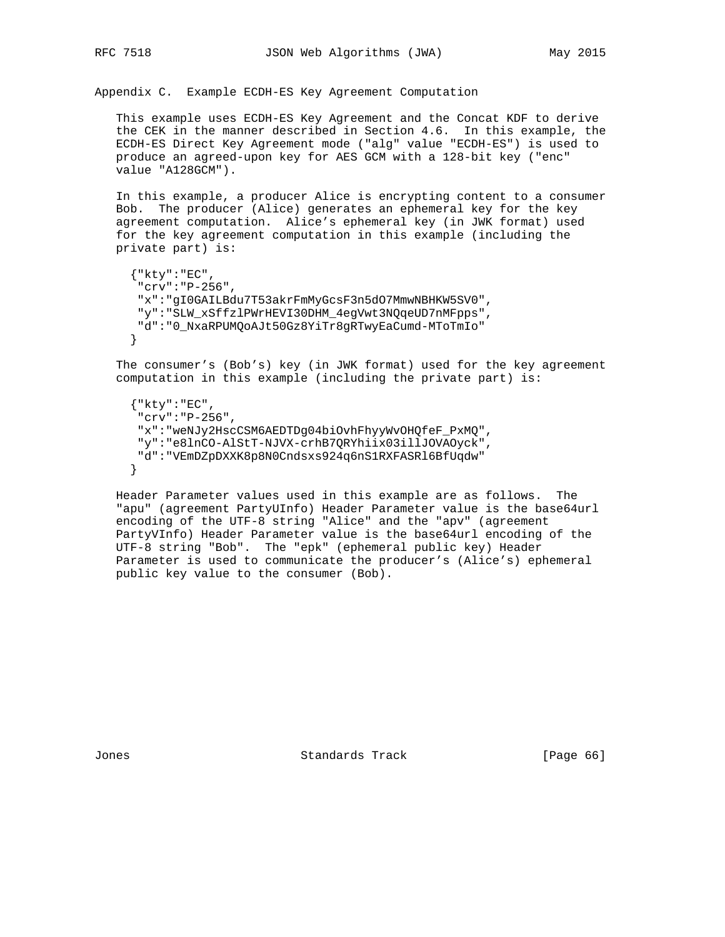Appendix C. Example ECDH-ES Key Agreement Computation

 This example uses ECDH-ES Key Agreement and the Concat KDF to derive the CEK in the manner described in Section 4.6. In this example, the ECDH-ES Direct Key Agreement mode ("alg" value "ECDH-ES") is used to produce an agreed-upon key for AES GCM with a 128-bit key ("enc" value "A128GCM").

 In this example, a producer Alice is encrypting content to a consumer Bob. The producer (Alice) generates an ephemeral key for the key agreement computation. Alice's ephemeral key (in JWK format) used for the key agreement computation in this example (including the private part) is:

```
{\n \times}"kty" : "EC", "crv":"P-256",
 "x":"gI0GAILBdu7T53akrFmMyGcsF3n5dO7MmwNBHKW5SV0",
 "y":"SLW_xSffzlPWrHEVI30DHM_4egVwt3NQqeUD7nMFpps",
 "d":"0_NxaRPUMQoAJt50Gz8YiTr8gRTwyEaCumd-MToTmIo"
}
```
 The consumer's (Bob's) key (in JWK format) used for the key agreement computation in this example (including the private part) is:

```
 {"kty":"EC",
 "crv":"P-256",
 "x":"weNJy2HscCSM6AEDTDg04biOvhFhyyWvOHQfeF_PxMQ",
 "y":"e8lnCO-AlStT-NJVX-crhB7QRYhiix03illJOVAOyck",
"d":"VEmDZpDXXK8p8N0Cndsxs924q6nS1RXFASRl6BfUqdw"
}
```
 Header Parameter values used in this example are as follows. The "apu" (agreement PartyUInfo) Header Parameter value is the base64url encoding of the UTF-8 string "Alice" and the "apv" (agreement PartyVInfo) Header Parameter value is the base64url encoding of the UTF-8 string "Bob". The "epk" (ephemeral public key) Header Parameter is used to communicate the producer's (Alice's) ephemeral public key value to the consumer (Bob).

Jones Standards Track [Page 66]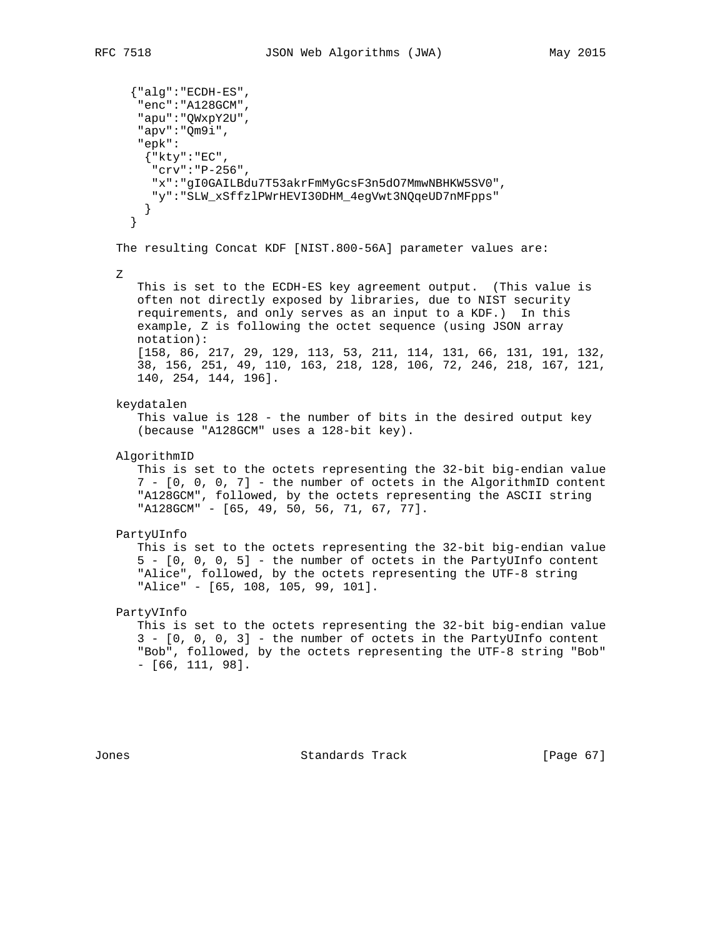```
 {"alg":"ECDH-ES",
   "enc":"A128GCM",
   "apu":"QWxpY2U",
   "apv":"Qm9i",
   "epk":
    {"kty":"EC",
     "crv":"P-256",
     "x":"gI0GAILBdu7T53akrFmMyGcsF3n5dO7MmwNBHKW5SV0",
    "y":"SLW_xSffzlPWrHEVI30DHM_4egVwt3NQqeUD7nMFpps"
    }
  }
The resulting Concat KDF [NIST.800-56A] parameter values are:
Z
   This is set to the ECDH-ES key agreement output. (This value is
   often not directly exposed by libraries, due to NIST security
   requirements, and only serves as an input to a KDF.) In this
   example, Z is following the octet sequence (using JSON array
   notation):
   [158, 86, 217, 29, 129, 113, 53, 211, 114, 131, 66, 131, 191, 132,
   38, 156, 251, 49, 110, 163, 218, 128, 106, 72, 246, 218, 167, 121,
   140, 254, 144, 196].
keydatalen
   This value is 128 - the number of bits in the desired output key
   (because "A128GCM" uses a 128-bit key).
AlgorithmID
   This is set to the octets representing the 32-bit big-endian value
   7 - [0, 0, 0, 7] - the number of octets in the AlgorithmID content
   "A128GCM", followed, by the octets representing the ASCII string
   "A128GCM" - [65, 49, 50, 56, 71, 67, 77].
PartyUInfo
   This is set to the octets representing the 32-bit big-endian value
   5 - [0, 0, 0, 5] - the number of octets in the PartyUInfo content
  "Alice", followed, by the octets representing the UTF-8 string
   "Alice" - [65, 108, 105, 99, 101].
PartyVInfo
   This is set to the octets representing the 32-bit big-endian value
   3 - [0, 0, 0, 3] - the number of octets in the PartyUInfo content
   "Bob", followed, by the octets representing the UTF-8 string "Bob"
   - [66, 111, 98].
```
Jones Standards Track [Page 67]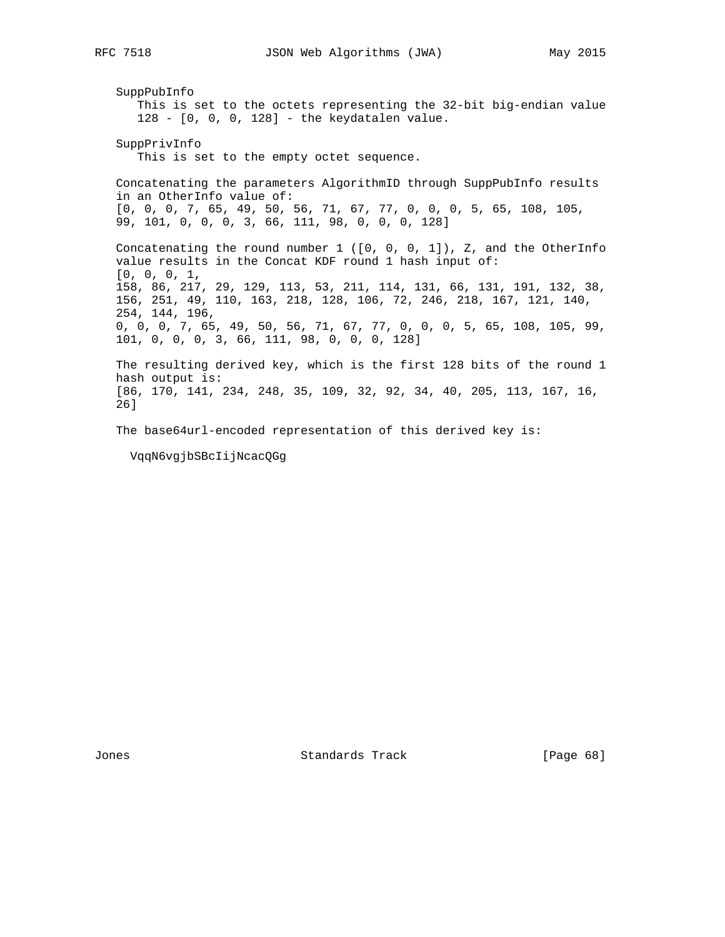SuppPubInfo This is set to the octets representing the 32-bit big-endian value 128 - [0, 0, 0, 128] - the keydatalen value. SuppPrivInfo This is set to the empty octet sequence. Concatenating the parameters AlgorithmID through SuppPubInfo results in an OtherInfo value of: [0, 0, 0, 7, 65, 49, 50, 56, 71, 67, 77, 0, 0, 0, 5, 65, 108, 105, 99, 101, 0, 0, 0, 3, 66, 111, 98, 0, 0, 0, 128] Concatenating the round number 1 ([0, 0, 0, 1]), Z, and the OtherInfo value results in the Concat KDF round 1 hash input of: [0, 0, 0, 1, 158, 86, 217, 29, 129, 113, 53, 211, 114, 131, 66, 131, 191, 132, 38, 156, 251, 49, 110, 163, 218, 128, 106, 72, 246, 218, 167, 121, 140, 254, 144, 196, 0, 0, 0, 7, 65, 49, 50, 56, 71, 67, 77, 0, 0, 0, 5, 65, 108, 105, 99, 101, 0, 0, 0, 3, 66, 111, 98, 0, 0, 0, 128] The resulting derived key, which is the first 128 bits of the round 1 hash output is: [86, 170, 141, 234, 248, 35, 109, 32, 92, 34, 40, 205, 113, 167, 16, 26] The base64url-encoded representation of this derived key is: VqqN6vgjbSBcIijNcacQGg

Jones Standards Track [Page 68]